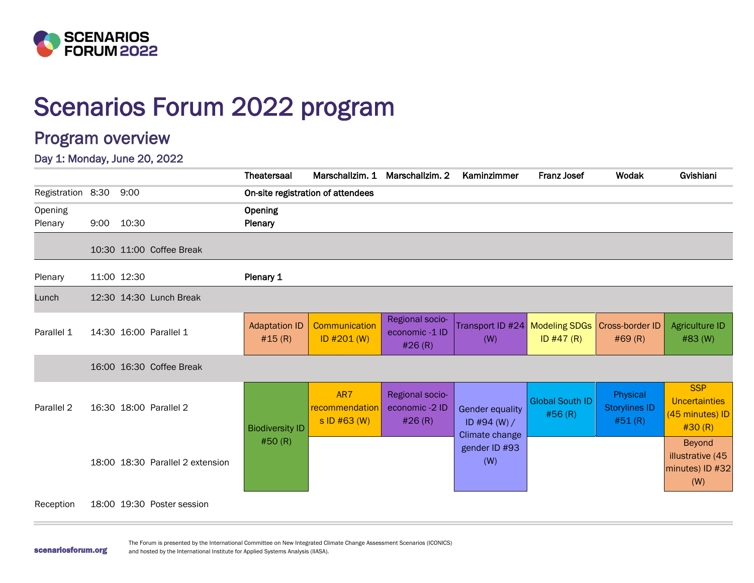

# Scenarios Forum 2022 program

## Program overview

Day 1: Monday, June 20, 2022

|                    |      |                                  | <b>Theatersaal</b>             | Marschallzim. 1                       | Marschallzim. 2                             | Kaminzimmer                                                | <b>Franz Josef</b>                | Wodak                                      | Gvishiani                                                       |
|--------------------|------|----------------------------------|--------------------------------|---------------------------------------|---------------------------------------------|------------------------------------------------------------|-----------------------------------|--------------------------------------------|-----------------------------------------------------------------|
| Registration 8:30  |      | 9:00                             |                                | On-site registration of attendees     |                                             |                                                            |                                   |                                            |                                                                 |
| Opening<br>Plenary | 9:00 | 10:30                            | Opening<br>Plenary             |                                       |                                             |                                                            |                                   |                                            |                                                                 |
|                    |      | 10:30 11:00 Coffee Break         |                                |                                       |                                             |                                                            |                                   |                                            |                                                                 |
| Plenary            |      | 11:00 12:30                      | Plenary 1                      |                                       |                                             |                                                            |                                   |                                            |                                                                 |
| Lunch              |      | 12:30 14:30 Lunch Break          |                                |                                       |                                             |                                                            |                                   |                                            |                                                                 |
| Parallel 1         |      | 14:30 16:00 Parallel 1           | <b>Adaptation ID</b><br>#15(R) | Communication<br>ID #201 (W)          | Regional socio-<br>economic-1 ID<br>#26(R)  | Transport ID #24   Modeling SDGs   Cross-border ID<br>(W)  | ID $#47(R)$                       | #69 (R)                                    | <b>Agriculture ID</b><br>#83 (W)                                |
|                    |      | 16:00 16:30 Coffee Break         |                                |                                       |                                             |                                                            |                                   |                                            |                                                                 |
| Parallel 2         |      | 16:30 18:00 Parallel 2           | <b>Biodiversity ID</b>         | AR7<br>recommendation<br>s ID #63 (W) | Regional socio-<br>economic -2 ID<br>#26(R) | <b>Gender equality</b><br>ID #94 $(W) /$<br>Climate change | <b>Global South ID</b><br>#56 (R) | Physical<br><b>Storylines ID</b><br>#51(R) | <b>SSP</b><br><b>Uncertainties</b><br>(45 minutes) ID<br>#30(R) |
|                    |      | 18:00 18:30 Parallel 2 extension | #50(R)                         |                                       |                                             | gender ID #93<br>(W)                                       |                                   |                                            | <b>Beyond</b><br>illustrative (45<br>minutes) ID #32<br>(W)     |
| Reception          |      | 18:00 19:30 Poster session       |                                |                                       |                                             |                                                            |                                   |                                            |                                                                 |

scenariosforum.org

The Forum is presented by the International Committee on New Integrated Climate Change Assessment Scenarios (ICONICS) and hosted by the International Institute for Applied Systems Analysis (IIASA).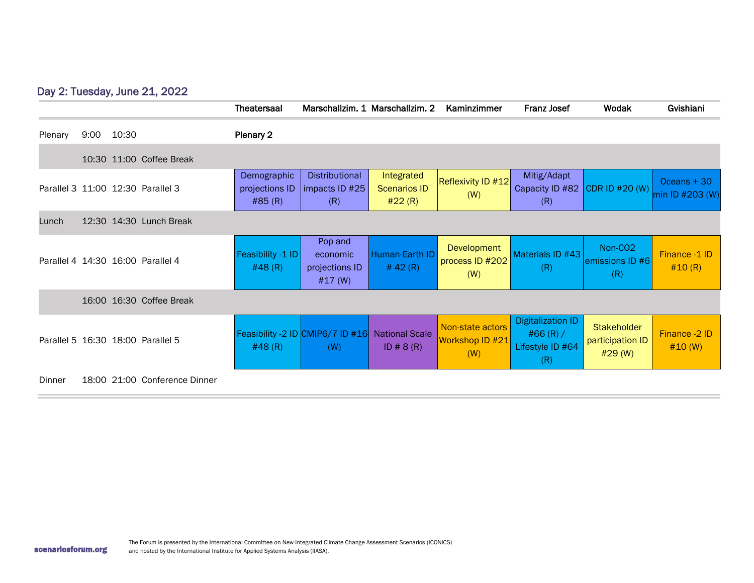### Day 2: Tuesday, June 21, 2022

|         |      |                                   | Theatersaal                             |                                                      | Marschallzim. 1 Marschallzim. 2             | Kaminzimmer                                | <b>Franz Josef</b>                                                 | Wodak                                          | Gvishiani                        |
|---------|------|-----------------------------------|-----------------------------------------|------------------------------------------------------|---------------------------------------------|--------------------------------------------|--------------------------------------------------------------------|------------------------------------------------|----------------------------------|
| Plenary | 9:00 | 10:30                             | Plenary 2                               |                                                      |                                             |                                            |                                                                    |                                                |                                  |
|         |      | 10:30 11:00 Coffee Break          |                                         |                                                      |                                             |                                            |                                                                    |                                                |                                  |
|         |      | Parallel 3 11:00 12:30 Parallel 3 | Demographic<br>projections ID<br>#85(R) | Distributional<br>impacts ID #25<br>(R)              | Integrated<br><b>Scenarios ID</b><br>#22(R) | Reflexivity ID #12<br>(W)                  | Mitig/Adapt<br>Capacity ID #82 CDR ID #20 (W)<br>(R)               |                                                | $Oceans + 30$<br>min ID #203 (W) |
| Lunch   |      | 12:30 14:30 Lunch Break           |                                         |                                                      |                                             |                                            |                                                                    |                                                |                                  |
|         |      | Parallel 4 14:30 16:00 Parallel 4 | Feasibility -1 ID<br>#48(R)             | Pop and<br>economic<br>projections ID<br>#17 (W)     | Human-Earth ID<br># 42 $(R)$                | Development<br>process ID #202<br>(W)      | Materials ID #43<br>(R)                                            | Non-CO <sub>2</sub><br>lemissions ID #6<br>(R) | Finance -1 ID<br>#10(R)          |
|         |      | 16:00 16:30 Coffee Break          |                                         |                                                      |                                             |                                            |                                                                    |                                                |                                  |
|         |      | Parallel 5 16:30 18:00 Parallel 5 | #48(R)                                  | Feasibility -2 ID <mark>CMIP6/7 ID #16</mark><br>(W) | <b>National Scale</b><br>ID # $8(R)$        | Non-state actors<br>Workshop ID #21<br>(W) | <b>Digitalization ID</b><br>#66 $(R) /$<br>Lifestyle ID #64<br>(R) | Stakeholder<br>participation ID<br>#29 (W)     | Finance -2 ID<br>#10 (W)         |
| Dinner  |      | 18:00 21:00 Conference Dinner     |                                         |                                                      |                                             |                                            |                                                                    |                                                |                                  |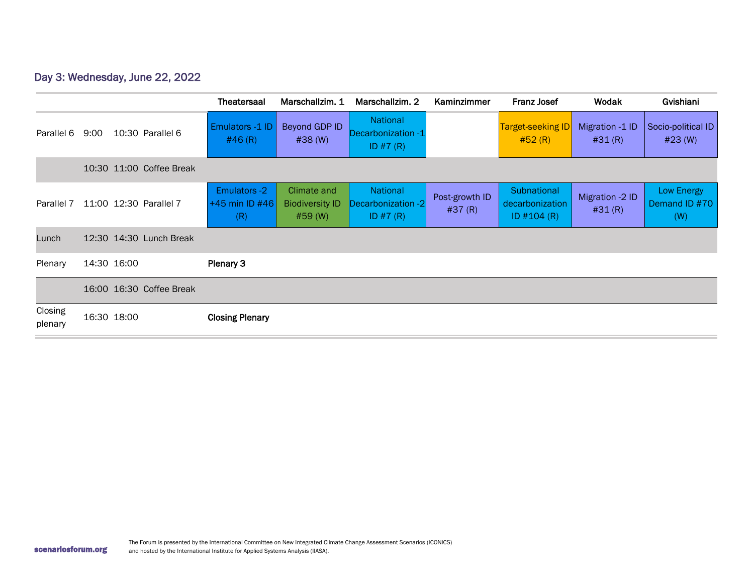### Day 3: Wednesday, June 22, 2022

|                    |                          | <b>Theatersaal</b>                             | Marschallzim, 1                                  | Marschallzim, 2                                     | Kaminzimmer              | <b>Franz Josef</b>                                    | Wodak                     | Gvishiani                          |
|--------------------|--------------------------|------------------------------------------------|--------------------------------------------------|-----------------------------------------------------|--------------------------|-------------------------------------------------------|---------------------------|------------------------------------|
| Parallel 6         | 9:00<br>10:30 Parallel 6 | Emulators -1 ID<br>#46(R)                      | Beyond GDP ID<br>#38 (W)                         | <b>National</b><br>Decarbonization -1<br>ID $#7(R)$ |                          | <b>Target-seeking ID</b><br>#52(R)                    | Migration -1 ID<br>#31(R) | Socio-political ID<br>#23 (W)      |
|                    | 10:30 11:00 Coffee Break |                                                |                                                  |                                                     |                          |                                                       |                           |                                    |
| Parallel 7         | 11:00 12:30 Parallel 7   | <b>Emulators -2</b><br> +45 min ID #46 <br>(R) | Climate and<br><b>Biodiversity ID</b><br>#59 (W) | <b>National</b><br>Decarbonization -2<br>ID $#7(R)$ | Post-growth ID<br>#37(R) | <b>Subnational</b><br>decarbonization<br>ID $#104(R)$ | Migration -2 ID<br>#31(R) | Low Energy<br>Demand ID #70<br>(W) |
| Lunch              | 12:30 14:30 Lunch Break  |                                                |                                                  |                                                     |                          |                                                       |                           |                                    |
| Plenary            | 14:30 16:00              | Plenary 3                                      |                                                  |                                                     |                          |                                                       |                           |                                    |
|                    | 16:00 16:30 Coffee Break |                                                |                                                  |                                                     |                          |                                                       |                           |                                    |
| Closing<br>plenary | 16:30 18:00              | <b>Closing Plenary</b>                         |                                                  |                                                     |                          |                                                       |                           |                                    |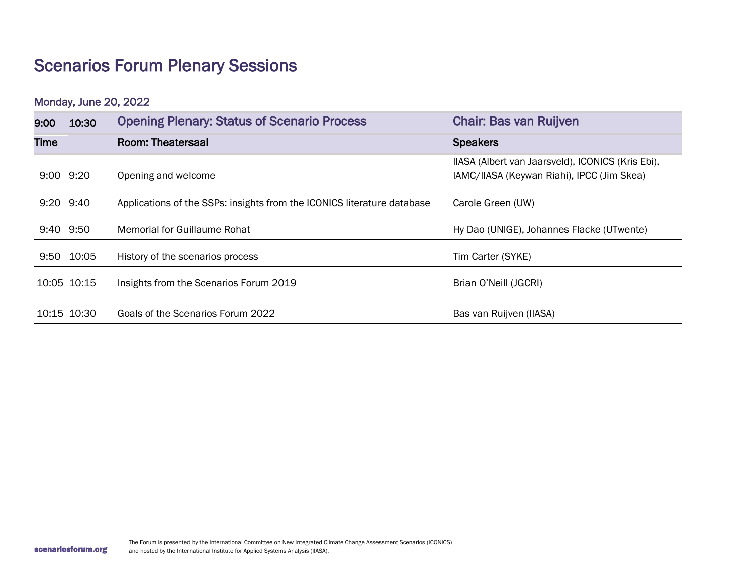## Scenarios Forum Plenary Sessions

Monday, June 20, 2022

| 9:00 | 10:30         | <b>Opening Plenary: Status of Scenario Process</b>                      | <b>Chair: Bas van Ruijven</b>                                                                   |
|------|---------------|-------------------------------------------------------------------------|-------------------------------------------------------------------------------------------------|
| Time |               | Room: Theatersaal                                                       | <b>Speakers</b>                                                                                 |
|      | $9:00$ $9:20$ | Opening and welcome                                                     | IIASA (Albert van Jaarsveld), ICONICS (Kris Ebi),<br>IAMC/IIASA (Keywan Riahi), IPCC (Jim Skea) |
|      | $9:20$ $9:40$ | Applications of the SSPs: insights from the ICONICS literature database | Carole Green (UW)                                                                               |
|      | 9:40 9:50     | Memorial for Guillaume Rohat                                            | Hy Dao (UNIGE), Johannes Flacke (UTwente)                                                       |
|      | 9:50 10:05    | History of the scenarios process                                        | Tim Carter (SYKE)                                                                               |
|      | 10:05 10:15   | Insights from the Scenarios Forum 2019                                  | Brian O'Neill (JGCRI)                                                                           |
|      | 10:15 10:30   | Goals of the Scenarios Forum 2022                                       | Bas van Ruijven (IIASA)                                                                         |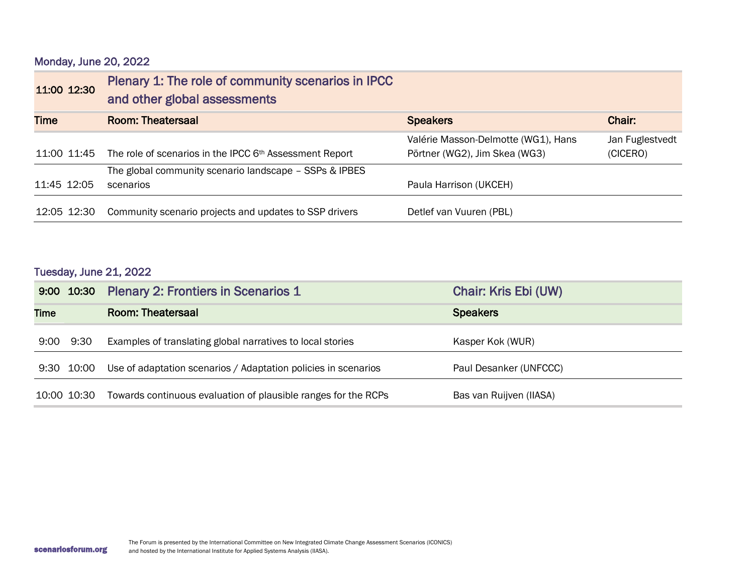| Monday, June 20, 2022 |  |  |
|-----------------------|--|--|
|-----------------------|--|--|

| 11:00 12:30 | Plenary 1: The role of community scenarios in IPCC<br>and other global assessments |                                     |                 |
|-------------|------------------------------------------------------------------------------------|-------------------------------------|-----------------|
| <b>Time</b> | Room: Theatersaal                                                                  | <b>Speakers</b>                     | Chair:          |
|             |                                                                                    | Valérie Masson-Delmotte (WG1), Hans | Jan Fuglestvedt |
| 11:00 11:45 | The role of scenarios in the IPCC 6th Assessment Report                            | Pörtner (WG2), Jim Skea (WG3)       | (CICERO)        |
|             | The global community scenario landscape - SSPs & IPBES                             |                                     |                 |
| 11:45 12:05 | scenarios                                                                          | Paula Harrison (UKCEH)              |                 |
| 12:05 12:30 | Community scenario projects and updates to SSP drivers                             | Detlef van Vuuren (PBL)             |                 |

### Tuesday, June 21, 2022

|             |             | 9:00 10:30 Plenary 2: Frontiers in Scenarios 1                 | Chair: Kris Ebi (UW)    |
|-------------|-------------|----------------------------------------------------------------|-------------------------|
| <b>Time</b> |             | Room: Theatersaal                                              | <b>Speakers</b>         |
| 9:00        | 9:30        | Examples of translating global narratives to local stories     | Kasper Kok (WUR)        |
|             | 9:30 10:00  | Use of adaptation scenarios / Adaptation policies in scenarios | Paul Desanker (UNFCCC)  |
|             | 10:00 10:30 | Towards continuous evaluation of plausible ranges for the RCPs | Bas van Ruijven (IIASA) |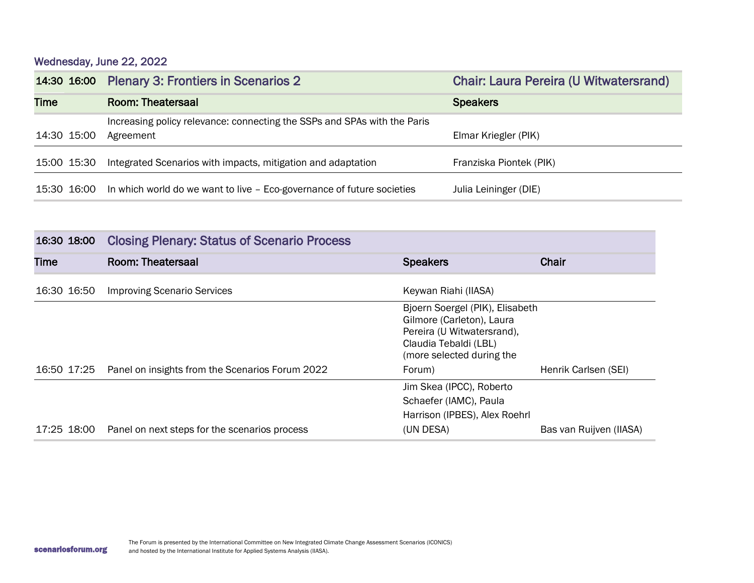Wednesday, June 22, 2022

|             | 14:30 16:00 Plenary 3: Frontiers in Scenarios 2                                    | <b>Chair: Laura Pereira (U Witwatersrand)</b> |
|-------------|------------------------------------------------------------------------------------|-----------------------------------------------|
| <b>Time</b> | <b>Room: Theatersaal</b>                                                           | <b>Speakers</b>                               |
|             | Increasing policy relevance: connecting the SSPs and SPAs with the Paris           |                                               |
| 14:30 15:00 | Agreement                                                                          | Elmar Kriegler (PIK)                          |
| 15:00 15:30 | Integrated Scenarios with impacts, mitigation and adaptation                       | Franziska Piontek (PIK)                       |
|             | 15:30 16:00 In which world do we want to live - Eco-governance of future societies | Julia Leininger (DIE)                         |

| 16:30 18:00 | <b>Closing Plenary: Status of Scenario Process</b>          |                                                                                                                                                  |                         |
|-------------|-------------------------------------------------------------|--------------------------------------------------------------------------------------------------------------------------------------------------|-------------------------|
| <b>Time</b> | Room: Theatersaal                                           | <b>Speakers</b>                                                                                                                                  | <b>Chair</b>            |
| 16:30 16:50 | <b>Improving Scenario Services</b>                          | Keywan Riahi (IIASA)                                                                                                                             |                         |
|             |                                                             | Bjoern Soergel (PIK), Elisabeth<br>Gilmore (Carleton), Laura<br>Pereira (U Witwatersrand),<br>Claudia Tebaldi (LBL)<br>(more selected during the |                         |
|             | 16:50 17:25 Panel on insights from the Scenarios Forum 2022 | Forum)                                                                                                                                           | Henrik Carlsen (SEI)    |
|             |                                                             | Jim Skea (IPCC), Roberto<br>Schaefer (IAMC), Paula<br>Harrison (IPBES), Alex Roehrl                                                              |                         |
|             | 17:25 18:00 Panel on next steps for the scenarios process   | (UN DESA)                                                                                                                                        | Bas van Ruijven (IIASA) |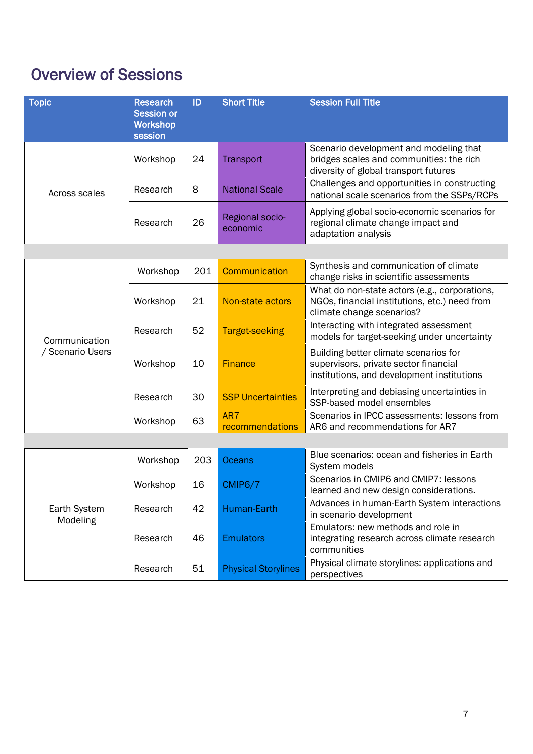## Overview of Sessions

| <b>Topic</b>             | <b>Research</b><br><b>Session or</b><br><b>Workshop</b><br>session | ID  | <b>Short Title</b>          | <b>Session Full Title</b>                                                                                                    |
|--------------------------|--------------------------------------------------------------------|-----|-----------------------------|------------------------------------------------------------------------------------------------------------------------------|
|                          | Workshop                                                           | 24  | <b>Transport</b>            | Scenario development and modeling that<br>bridges scales and communities: the rich<br>diversity of global transport futures  |
| Across scales            | Research                                                           | 8   | <b>National Scale</b>       | Challenges and opportunities in constructing<br>national scale scenarios from the SSPs/RCPs                                  |
|                          | Research                                                           | 26  | Regional socio-<br>economic | Applying global socio-economic scenarios for<br>regional climate change impact and<br>adaptation analysis                    |
|                          |                                                                    |     |                             |                                                                                                                              |
|                          | Workshop                                                           | 201 | <b>Communication</b>        | Synthesis and communication of climate<br>change risks in scientific assessments                                             |
|                          | Workshop                                                           | 21  | Non-state actors            | What do non-state actors (e.g., corporations,<br>NGOs, financial institutions, etc.) need from<br>climate change scenarios?  |
| Communication            | Research                                                           | 52  | <b>Target-seeking</b>       | Interacting with integrated assessment<br>models for target-seeking under uncertainty                                        |
| / Scenario Users         | Workshop                                                           | 10  | <b>Finance</b>              | Building better climate scenarios for<br>supervisors, private sector financial<br>institutions, and development institutions |
|                          | Research                                                           | 30  | <b>SSP Uncertainties</b>    | Interpreting and debiasing uncertainties in<br>SSP-based model ensembles                                                     |
|                          | Workshop                                                           | 63  | AR7<br>recommendations      | Scenarios in IPCC assessments: lessons from<br>AR6 and recommendations for AR7                                               |
|                          |                                                                    |     |                             |                                                                                                                              |
|                          | Workshop                                                           | 203 | <b>Oceans</b>               | Blue scenarios: ocean and fisheries in Earth<br>System models                                                                |
|                          | Workshop                                                           | 16  | CMIP6/7                     | Scenarios in CMIP6 and CMIP7: lessons<br>learned and new design considerations.                                              |
| Earth System<br>Modeling | Research                                                           | 42  | Human-Earth                 | Advances in human-Earth System interactions<br>in scenario development                                                       |
|                          | Research                                                           | 46  | <b>Emulators</b>            | Emulators: new methods and role in<br>integrating research across climate research<br>communities                            |
|                          | Research                                                           | 51  | <b>Physical Storylines</b>  | Physical climate storylines: applications and<br>perspectives                                                                |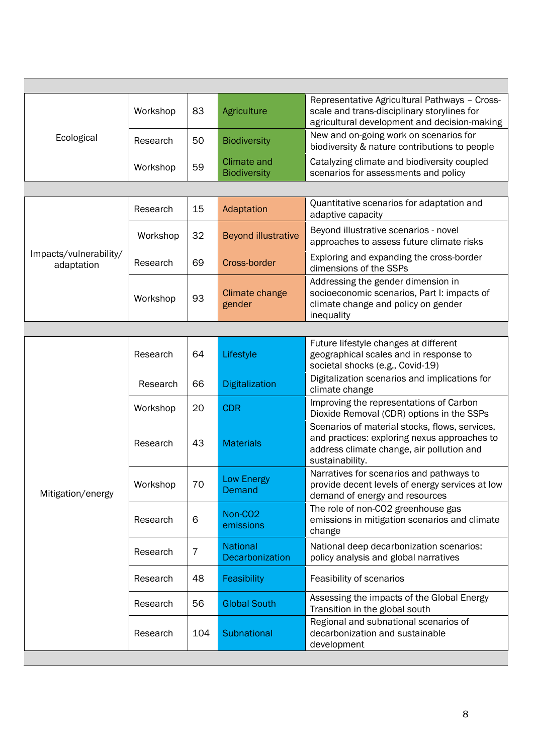|            | Workshop | 83 | Agriculture                        | Representative Agricultural Pathways - Cross-<br>scale and trans-disciplinary storylines for<br>agricultural development and decision-making |
|------------|----------|----|------------------------------------|----------------------------------------------------------------------------------------------------------------------------------------------|
| Ecological | Research | 50 | <b>Biodiversity</b>                | New and on-going work on scenarios for<br>biodiversity & nature contributions to people                                                      |
|            | Workshop | 59 | Climate and<br><b>Biodiversity</b> | Catalyzing climate and biodiversity coupled<br>scenarios for assessments and policy                                                          |

|                                      | Research | 15 | Adaptation                 | Quantitative scenarios for adaptation and<br>adaptive capacity                                                                         |
|--------------------------------------|----------|----|----------------------------|----------------------------------------------------------------------------------------------------------------------------------------|
|                                      | Workshop | 32 | <b>Beyond illustrative</b> | Beyond illustrative scenarios - novel<br>approaches to assess future climate risks                                                     |
| Impacts/vulnerability/<br>adaptation | Research | 69 | Cross-border               | Exploring and expanding the cross-border<br>dimensions of the SSPs                                                                     |
|                                      | Workshop | 93 | Climate change<br>gender   | Addressing the gender dimension in<br>socioeconomic scenarios, Part I: impacts of<br>climate change and policy on gender<br>inequality |

| geographical scales and in response to                                                                                                      |
|---------------------------------------------------------------------------------------------------------------------------------------------|
| Digitalization scenarios and implications for                                                                                               |
| Improving the representations of Carbon<br>Dioxide Removal (CDR) options in the SSPs                                                        |
| Scenarios of material stocks, flows, services,<br>and practices: exploring nexus approaches to<br>address climate change, air pollution and |
| Narratives for scenarios and pathways to<br>provide decent levels of energy services at low<br>demand of energy and resources               |
| The role of non-CO2 greenhouse gas<br>emissions in mitigation scenarios and climate                                                         |
| National deep decarbonization scenarios:<br>policy analysis and global narratives                                                           |
|                                                                                                                                             |
| Assessing the impacts of the Global Energy                                                                                                  |
| Regional and subnational scenarios of<br>decarbonization and sustainable                                                                    |
|                                                                                                                                             |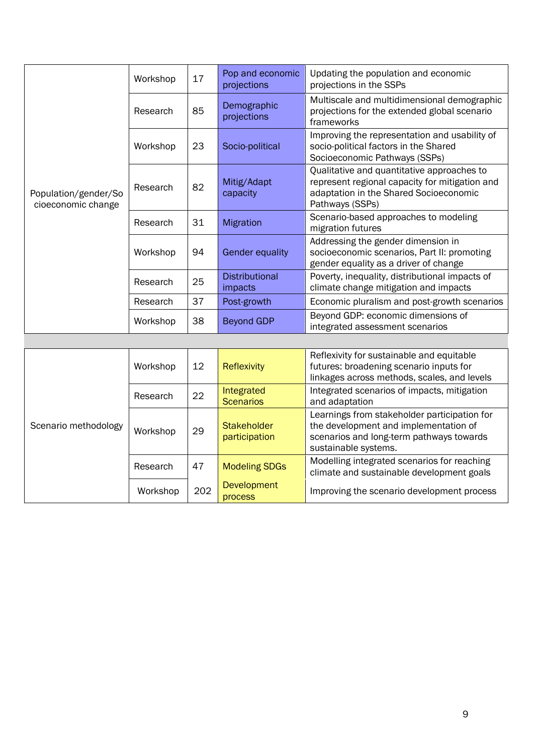| Population/gender/So<br>cioeconomic change | Workshop | 17 | Pop and economic<br>projections  | Updating the population and economic<br>projections in the SSPs                                                                                           |
|--------------------------------------------|----------|----|----------------------------------|-----------------------------------------------------------------------------------------------------------------------------------------------------------|
|                                            | Research | 85 | Demographic<br>projections       | Multiscale and multidimensional demographic<br>projections for the extended global scenario<br>frameworks                                                 |
|                                            | Workshop | 23 | Socio-political                  | Improving the representation and usability of<br>socio-political factors in the Shared<br>Socioeconomic Pathways (SSPs)                                   |
|                                            | Research | 82 | Mitig/Adapt<br>capacity          | Qualitative and quantitative approaches to<br>represent regional capacity for mitigation and<br>adaptation in the Shared Socioeconomic<br>Pathways (SSPs) |
|                                            | Research | 31 | <b>Migration</b>                 | Scenario-based approaches to modeling<br>migration futures                                                                                                |
|                                            | Workshop | 94 | <b>Gender equality</b>           | Addressing the gender dimension in<br>socioeconomic scenarios, Part II: promoting<br>gender equality as a driver of change                                |
|                                            | Research | 25 | <b>Distributional</b><br>impacts | Poverty, inequality, distributional impacts of<br>climate change mitigation and impacts                                                                   |
|                                            | Research | 37 | Post-growth                      | Economic pluralism and post-growth scenarios                                                                                                              |
|                                            | Workshop | 38 | <b>Beyond GDP</b>                | Beyond GDP: economic dimensions of<br>integrated assessment scenarios                                                                                     |

| Scenario methodology | Workshop | 12  | <b>Reflexivity</b>                  | Reflexivity for sustainable and equitable<br>futures: broadening scenario inputs for<br>linkages across methods, scales, and levels                       |
|----------------------|----------|-----|-------------------------------------|-----------------------------------------------------------------------------------------------------------------------------------------------------------|
|                      | Research | 22  | Integrated<br><b>Scenarios</b>      | Integrated scenarios of impacts, mitigation<br>and adaptation                                                                                             |
|                      | Workshop | 29  | <b>Stakeholder</b><br>participation | Learnings from stakeholder participation for<br>the development and implementation of<br>scenarios and long-term pathways towards<br>sustainable systems. |
|                      | Research | 47  | <b>Modeling SDGs</b>                | Modelling integrated scenarios for reaching<br>climate and sustainable development goals                                                                  |
|                      | Workshop | 202 | <b>Development</b><br>process       | Improving the scenario development process                                                                                                                |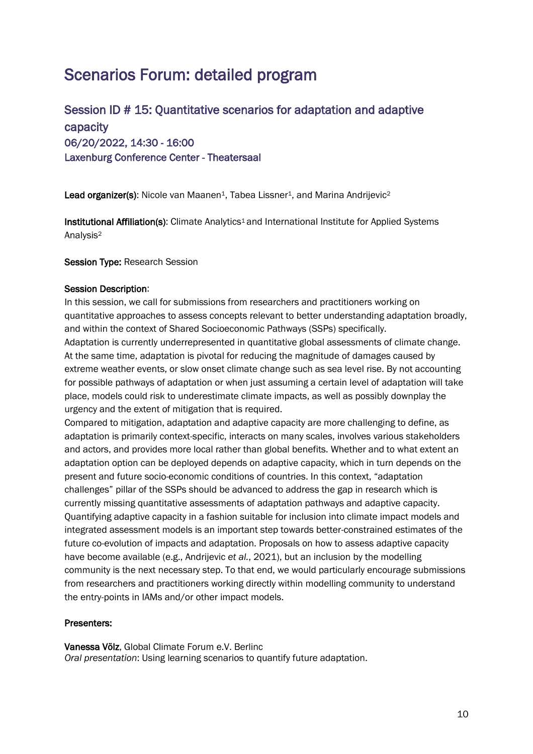## Scenarios Forum: detailed program

### Session ID # 15: Quantitative scenarios for adaptation and adaptive capacity 06/20/2022, 14:30 - 16:00 Laxenburg Conference Center - Theatersaal

Lead organizer(s): Nicole van Maanen<sup>1</sup>, Tabea Lissner<sup>1</sup>, and Marina Andrijevic<sup>2</sup>

Institutional Affiliation(s): Climate Analytics<sup>1</sup> and International Institute for Applied Systems Analysis<sup>2</sup>

#### Session Type: Research Session

#### Session Description:

In this session, we call for submissions from researchers and practitioners working on quantitative approaches to assess concepts relevant to better understanding adaptation broadly, and within the context of Shared Socioeconomic Pathways (SSPs) specifically.

Adaptation is currently underrepresented in quantitative global assessments of climate change. At the same time, adaptation is pivotal for reducing the magnitude of damages caused by extreme weather events, or slow onset climate change such as sea level rise. By not accounting for possible pathways of adaptation or when just assuming a certain level of adaptation will take place, models could risk to underestimate climate impacts, as well as possibly downplay the urgency and the extent of mitigation that is required.

Compared to mitigation, adaptation and adaptive capacity are more challenging to define, as adaptation is primarily context-specific, interacts on many scales, involves various stakeholders and actors, and provides more local rather than global benefits. Whether and to what extent an adaptation option can be deployed depends on adaptive capacity, which in turn depends on the present and future socio-economic conditions of countries. In this context, "adaptation challenges" pillar of the SSPs should be advanced to address the gap in research which is currently missing quantitative assessments of adaptation pathways and adaptive capacity. Quantifying adaptive capacity in a fashion suitable for inclusion into climate impact models and integrated assessment models is an important step towards better-constrained estimates of the future co-evolution of impacts and adaptation. Proposals on how to assess adaptive capacity have become available (e.g., Andrijevic *et al.*, 2021), but an inclusion by the modelling community is the next necessary step. To that end, we would particularly encourage submissions from researchers and practitioners working directly within modelling community to understand the entry-points in IAMs and/or other impact models.

### Presenters:

Vanessa Völz, Global Climate Forum e.V. Berlinc *Oral presentation*: Using learning scenarios to quantify future adaptation.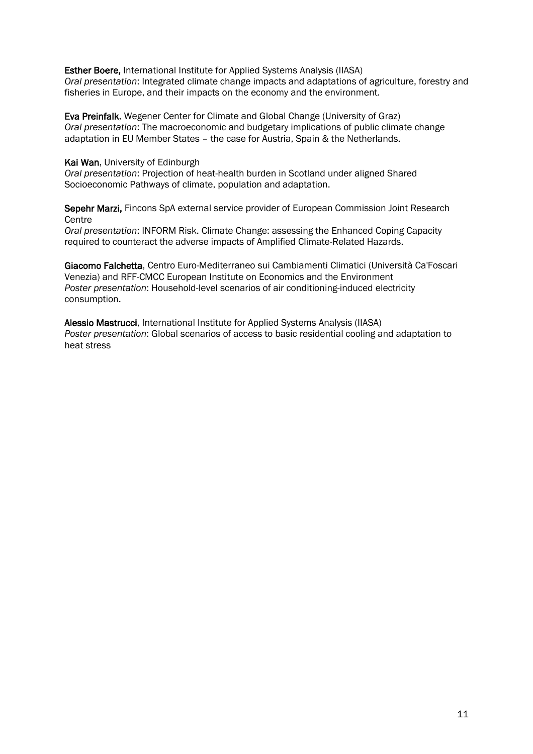Esther Boere, International Institute for Applied Systems Analysis (IIASA) *Oral presentation*: Integrated climate change impacts and adaptations of agriculture, forestry and fisheries in Europe, and their impacts on the economy and the environment.

Eva Preinfalk, Wegener Center for Climate and Global Change (University of Graz) *Oral presentation*: The macroeconomic and budgetary implications of public climate change adaptation in EU Member States – the case for Austria, Spain & the Netherlands.

#### Kai Wan, University of Edinburgh

*Oral presentation*: Projection of heat-health burden in Scotland under aligned Shared Socioeconomic Pathways of climate, population and adaptation.

Sepehr Marzi, Fincons SpA external service provider of European Commission Joint Research **Centre** 

*Oral presentation*: INFORM Risk. Climate Change: assessing the Enhanced Coping Capacity required to counteract the adverse impacts of Amplified Climate-Related Hazards.

[Giacomo Falchetta,](https://connect.iiasa.ac.at/users/3750478) Centro Euro-Mediterraneo sui Cambiamenti Climatici (Università Ca'Foscari Venezia) and RFF-CMCC European Institute on Economics and the Environment *Poster presentation*: Household-level scenarios of air conditioning-induced electricity consumption.

[Alessio Mastrucci,](https://connect.iiasa.ac.at/users/3750478) International Institute for Applied Systems Analysis (IIASA) *Poster presentation*: Global scenarios of access to basic residential cooling and adaptation to heat stress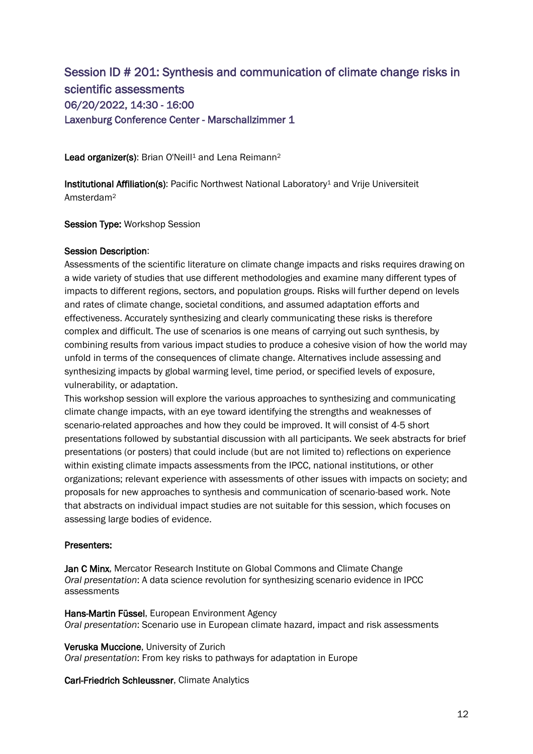### Session ID # 201: Synthesis and communication of climate change risks in scientific assessments 06/20/2022, 14:30 - 16:00 Laxenburg Conference Center - Marschallzimmer 1

Lead organizer(s): Brian O'Neill<sup>1</sup> and Lena Reimann<sup>2</sup>

Institutional Affiliation(s): Pacific Northwest National Laboratory<sup>1</sup> and Vrije Universiteit Amsterdam<sup>2</sup>

Session Type: Workshop Session

### Session Description:

Assessments of the scientific literature on climate change impacts and risks requires drawing on a wide variety of studies that use different methodologies and examine many different types of impacts to different regions, sectors, and population groups. Risks will further depend on levels and rates of climate change, societal conditions, and assumed adaptation efforts and effectiveness. Accurately synthesizing and clearly communicating these risks is therefore complex and difficult. The use of scenarios is one means of carrying out such synthesis, by combining results from various impact studies to produce a cohesive vision of how the world may unfold in terms of the consequences of climate change. Alternatives include assessing and synthesizing impacts by global warming level, time period, or specified levels of exposure, vulnerability, or adaptation.

This workshop session will explore the various approaches to synthesizing and communicating climate change impacts, with an eye toward identifying the strengths and weaknesses of scenario-related approaches and how they could be improved. It will consist of 4-5 short presentations followed by substantial discussion with all participants. We seek abstracts for brief presentations (or posters) that could include (but are not limited to) reflections on experience within existing climate impacts assessments from the IPCC, national institutions, or other organizations; relevant experience with assessments of other issues with impacts on society; and proposals for new approaches to synthesis and communication of scenario-based work. Note that abstracts on individual impact studies are not suitable for this session, which focuses on assessing large bodies of evidence.

### Presenters:

[Jan C Minx,](https://connect.iiasa.ac.at/users/6083295/portfolio) Mercator Research Institute on Global Commons and Climate Change *Oral presentation*: A data science revolution for synthesizing scenario evidence in IPCC assessments

[Hans-Martin Füssel,](https://connect.iiasa.ac.at/users/6083146/portfolio) European Environment Agency *Oral presentation*: Scenario use in European climate hazard, impact and risk assessments

[Veruska Muccione,](https://connect.iiasa.ac.at/users/6083375/portfolio) University of Zurich *Oral presentation*: From key risks to pathways for adaptation in Europe

[Carl-Friedrich Schleussner,](https://connect.iiasa.ac.at/users/6083187) Climate Analytics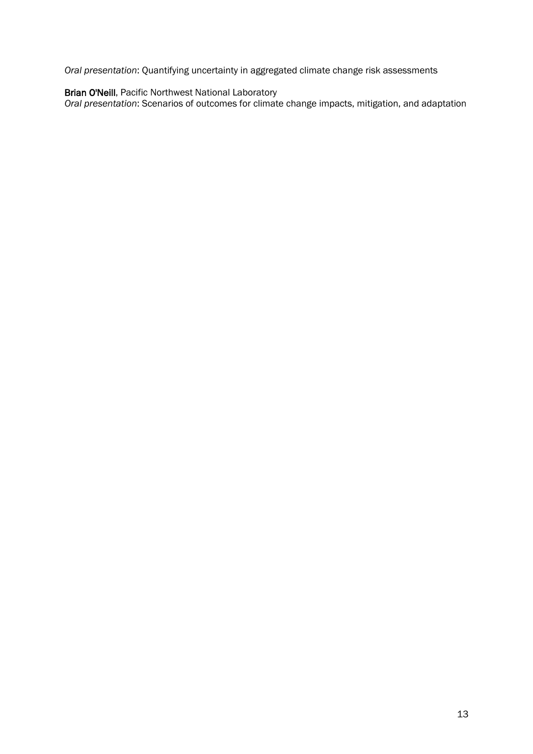*Oral presentation*: Quantifying uncertainty in aggregated climate change risk assessments

#### [Brian O'Neill,](https://connect.iiasa.ac.at/users/3750477/portfolio) Pacific Northwest National Laboratory

*Oral presentation*: Scenarios of outcomes for climate change impacts, mitigation, and adaptation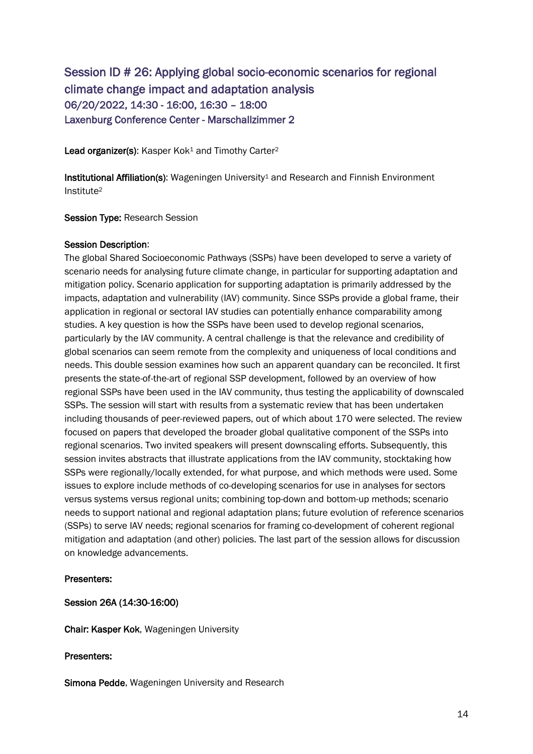### Session ID # 26: Applying global socio-economic scenarios for regional climate change impact and adaptation analysis 06/20/2022, 14:30 - 16:00, 16:30 – 18:00 Laxenburg Conference Center - Marschallzimmer 2

Lead organizer(s): Kasper Kok<sup>1</sup> and Timothy Carter<sup>2</sup>

Institutional Affiliation(s): Wageningen University<sup>1</sup> and Research and Finnish Environment Institute<sup>2</sup>

Session Type: Research Session

### Session Description:

The global Shared Socioeconomic Pathways (SSPs) have been developed to serve a variety of scenario needs for analysing future climate change, in particular for supporting adaptation and mitigation policy. Scenario application for supporting adaptation is primarily addressed by the impacts, adaptation and vulnerability (IAV) community. Since SSPs provide a global frame, their application in regional or sectoral IAV studies can potentially enhance comparability among studies. A key question is how the SSPs have been used to develop regional scenarios, particularly by the IAV community. A central challenge is that the relevance and credibility of global scenarios can seem remote from the complexity and uniqueness of local conditions and needs. This double session examines how such an apparent quandary can be reconciled. It first presents the state-of-the-art of regional SSP development, followed by an overview of how regional SSPs have been used in the IAV community, thus testing the applicability of downscaled SSPs. The session will start with results from a systematic review that has been undertaken including thousands of peer-reviewed papers, out of which about 170 were selected. The review focused on papers that developed the broader global qualitative component of the SSPs into regional scenarios. Two invited speakers will present downscaling efforts. Subsequently, this session invites abstracts that illustrate applications from the IAV community, stocktaking how SSPs were regionally/locally extended, for what purpose, and which methods were used. Some issues to explore include methods of co-developing scenarios for use in analyses for sectors versus systems versus regional units; combining top-down and bottom-up methods; scenario needs to support national and regional adaptation plans; future evolution of reference scenarios (SSPs) to serve IAV needs; regional scenarios for framing co-development of coherent regional mitigation and adaptation (and other) policies. The last part of the session allows for discussion on knowledge advancements.

### Presenters:

### Session 26A (14:30-16:00)

Chair: Kasper Kok, Wageningen University

### Presenters:

Simona Pedde, Wageningen University and Research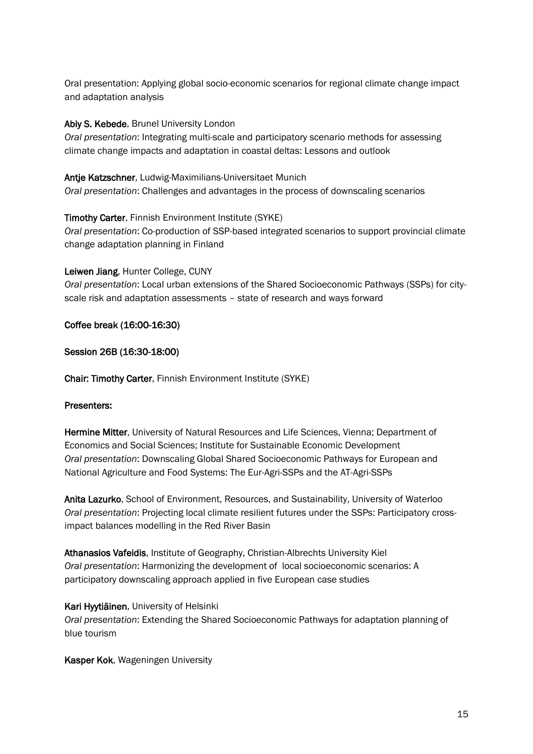Oral presentation: Applying global socio-economic scenarios for regional climate change impact and adaptation analysis

### Abiy S. Kebede, Brunel University London

*Oral presentation*: Integrating multi-scale and participatory scenario methods for assessing climate change impacts and adaptation in coastal deltas: Lessons and outlook

### Antje Katzschner, Ludwig-Maximilians-Universitaet Munich

*Oral presentation*: Challenges and advantages in the process of downscaling scenarios

### Timothy Carter, Finnish Environment Institute (SYKE)

*Oral presentation*: Co-production of SSP-based integrated scenarios to support provincial climate change adaptation planning in Finland

### Leiwen Jiang, Hunter College, CUNY

*Oral presentation*: Local urban extensions of the Shared Socioeconomic Pathways (SSPs) for cityscale risk and adaptation assessments – state of research and ways forward

### Coffee break (16:00-16:30)

### Session 26B (16:30-18:00)

Chair: Timothy Carter, Finnish Environment Institute (SYKE)

### Presenters:

Hermine Mitter, University of Natural Resources and Life Sciences, Vienna; Department of Economics and Social Sciences; Institute for Sustainable Economic Development *Oral presentation*: Downscaling Global Shared Socioeconomic Pathways for European and National Agriculture and Food Systems: The Eur-Agri-SSPs and the AT-Agri-SSPs

Anita Lazurko, School of Environment, Resources, and Sustainability, University of Waterloo *Oral presentation*: Projecting local climate resilient futures under the SSPs: Participatory crossimpact balances modelling in the Red River Basin

Athanasios Vafeidis, Institute of Geography, Christian-Albrechts University Kiel *Oral presentation*: Harmonizing the development of local socioeconomic scenarios: A participatory downscaling approach applied in five European case studies

### Kari Hyytiäinen, University of Helsinki

*Oral presentation*: Extending the Shared Socioeconomic Pathways for adaptation planning of blue tourism

Kasper Kok, Wageningen University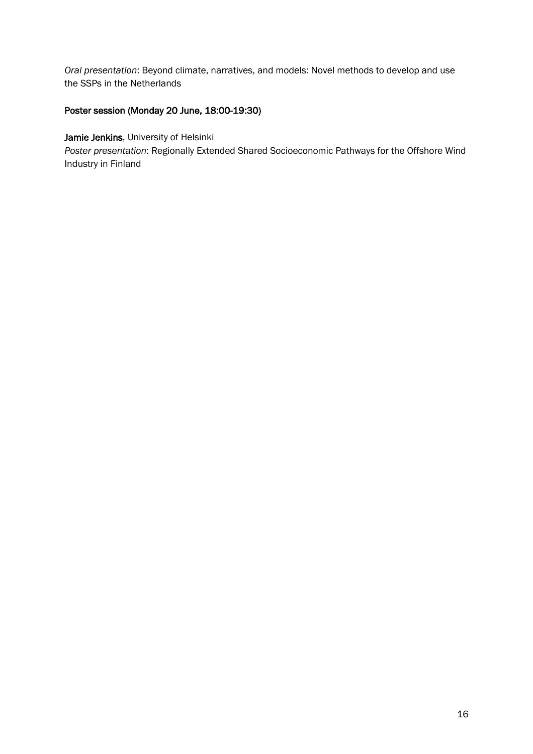*Oral presentation*: Beyond climate, narratives, and models: Novel methods to develop and use the SSPs in the Netherlands

### Poster session (Monday 20 June, 18:00-19:30)

### Jamie Jenkins, University of Helsinki

*Poster presentation*: Regionally Extended Shared Socioeconomic Pathways for the Offshore Wind Industry in Finland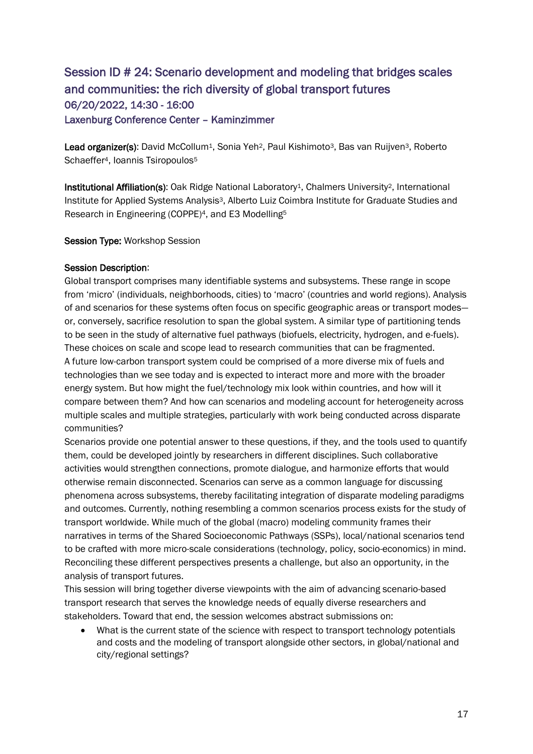### Session ID # 24: Scenario development and modeling that bridges scales and communities: the rich diversity of global transport futures 06/20/2022, 14:30 - 16:00 Laxenburg Conference Center – Kaminzimmer

Lead organizer(s): David McCollum<sup>1</sup>, Sonia Yeh<sup>2</sup>, Paul Kishimoto<sup>3</sup>, Bas van Ruijven<sup>3</sup>, Roberto Schaeffer<sup>4</sup>, Ioannis Tsiropoulos<sup>5</sup>

Institutional Affiliation(s): Oak Ridge National Laboratory<sup>1</sup>, Chalmers University<sup>2</sup>, International Institute for Applied Systems Analysis3, Alberto Luiz Coimbra Institute for Graduate Studies and Research in Engineering (COPPE)4, and E3 Modelling<sup>5</sup>

### Session Type: Workshop Session

### Session Description:

Global transport comprises many identifiable systems and subsystems. These range in scope from 'micro' (individuals, neighborhoods, cities) to 'macro' (countries and world regions). Analysis of and scenarios for these systems often focus on specific geographic areas or transport modes or, conversely, sacrifice resolution to span the global system. A similar type of partitioning tends to be seen in the study of alternative fuel pathways (biofuels, electricity, hydrogen, and e-fuels). These choices on scale and scope lead to research communities that can be fragmented. A future low-carbon transport system could be comprised of a more diverse mix of fuels and technologies than we see today and is expected to interact more and more with the broader energy system. But how might the fuel/technology mix look within countries, and how will it compare between them? And how can scenarios and modeling account for heterogeneity across multiple scales and multiple strategies, particularly with work being conducted across disparate communities?

Scenarios provide one potential answer to these questions, if they, and the tools used to quantify them, could be developed jointly by researchers in different disciplines. Such collaborative activities would strengthen connections, promote dialogue, and harmonize efforts that would otherwise remain disconnected. Scenarios can serve as a common language for discussing phenomena across subsystems, thereby facilitating integration of disparate modeling paradigms and outcomes. Currently, nothing resembling a common scenarios process exists for the study of transport worldwide. While much of the global (macro) modeling community frames their narratives in terms of the Shared Socioeconomic Pathways (SSPs), local/national scenarios tend to be crafted with more micro-scale considerations (technology, policy, socio-economics) in mind. Reconciling these different perspectives presents a challenge, but also an opportunity, in the analysis of transport futures.

This session will bring together diverse viewpoints with the aim of advancing scenario-based transport research that serves the knowledge needs of equally diverse researchers and stakeholders. Toward that end, the session welcomes abstract submissions on:

• What is the current state of the science with respect to transport technology potentials and costs and the modeling of transport alongside other sectors, in global/national and city/regional settings?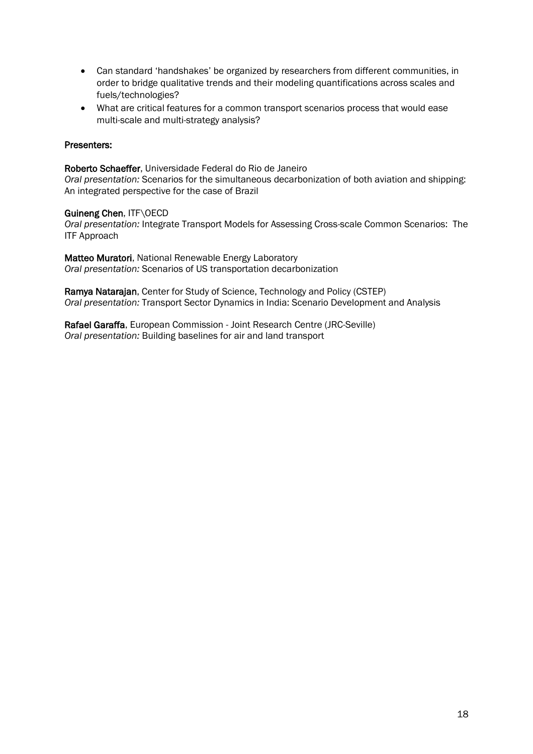- Can standard 'handshakes' be organized by researchers from different communities, in order to bridge qualitative trends and their modeling quantifications across scales and fuels/technologies?
- What are critical features for a common transport scenarios process that would ease multi-scale and multi-strategy analysis?

### Presenters:

[Roberto Schaeffer,](https://connect.iiasa.ac.at/users/6083266/portfolio) Universidade Federal do Rio de Janeiro *Oral presentation:* Scenarios for the simultaneous decarbonization of both aviation and shipping: An integrated perspective for the case of Brazil

#### Guineng Chen, ITF\OECD

*Oral presentation:* Integrate Transport Models for Assessing Cross-scale Common Scenarios: The ITF Approach

Matteo Muratori, National Renewable Energy Laboratory *Oral presentation:* Scenarios of US transportation decarbonization

Ramya Natarajan, Center for Study of Science, Technology and Policy (CSTEP) *Oral presentation:* Transport Sector Dynamics in India: Scenario Development and Analysis

Rafael Garaffa, European Commission - Joint Research Centre (JRC-Seville) *Oral presentation:* Building baselines for air and land transport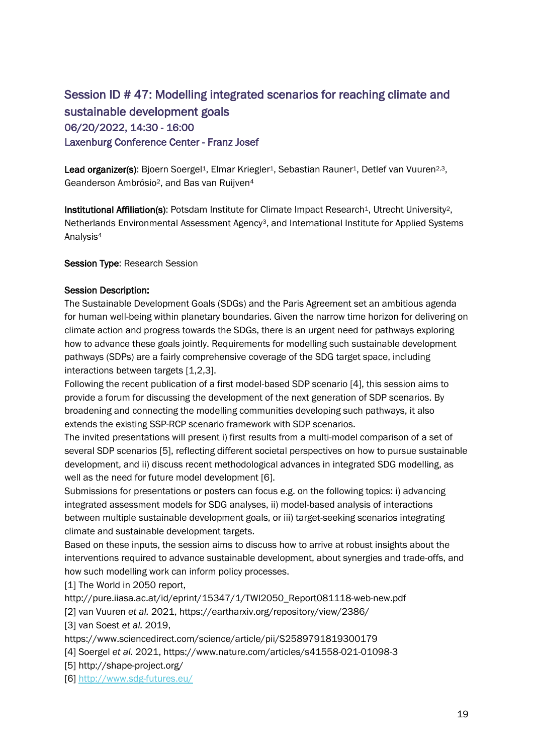### Session ID # 47: Modelling integrated scenarios for reaching climate and sustainable development goals 06/20/2022, 14:30 - 16:00 Laxenburg Conference Center - Franz Josef

Lead organizer(s): Bjoern Soergel<sup>1</sup>, Elmar Kriegler<sup>1</sup>, Sebastian Rauner<sup>1</sup>, Detlef van Vuuren<sup>2,3</sup>, Geanderson Ambrósio2, and Bas van Ruijven<sup>4</sup>

Institutional Affiliation(s): Potsdam Institute for Climate Impact Research<sup>1</sup>, Utrecht University<sup>2</sup>, Netherlands Environmental Assessment Agency3, and International Institute for Applied Systems Analysis<sup>4</sup>

Session Type: Research Session

### Session Description:

The Sustainable Development Goals (SDGs) and the Paris Agreement set an ambitious agenda for human well-being within planetary boundaries. Given the narrow time horizon for delivering on climate action and progress towards the SDGs, there is an urgent need for pathways exploring how to advance these goals jointly. Requirements for modelling such sustainable development pathways (SDPs) are a fairly comprehensive coverage of the SDG target space, including interactions between targets [1,2,3].

Following the recent publication of a first model-based SDP scenario [4], this session aims to provide a forum for discussing the development of the next generation of SDP scenarios. By broadening and connecting the modelling communities developing such pathways, it also extends the existing SSP-RCP scenario framework with SDP scenarios.

The invited presentations will present i) first results from a multi-model comparison of a set of several SDP scenarios [5], reflecting different societal perspectives on how to pursue sustainable development, and ii) discuss recent methodological advances in integrated SDG modelling, as well as the need for future model development [6].

Submissions for presentations or posters can focus e.g. on the following topics: i) advancing integrated assessment models for SDG analyses, ii) model-based analysis of interactions between multiple sustainable development goals, or iii) target-seeking scenarios integrating climate and sustainable development targets.

Based on these inputs, the session aims to discuss how to arrive at robust insights about the interventions required to advance sustainable development, about synergies and trade-offs, and how such modelling work can inform policy processes.

[1] The World in 2050 report,

http://pure.iiasa.ac.at/id/eprint/15347/1/TWI2050\_Report081118-web-new.pdf

[2] van Vuuren *et al.* 2021, https://eartharxiv.org/repository/view/2386/

[3] van Soest *et al.* 2019,

https://www.sciencedirect.com/science/article/pii/S2589791819300179

[4] Soergel *et al.* 2021, https://www.nature.com/articles/s41558-021-01098-3

[5] http://shape-project.org/

[6]<http://www.sdg-futures.eu/>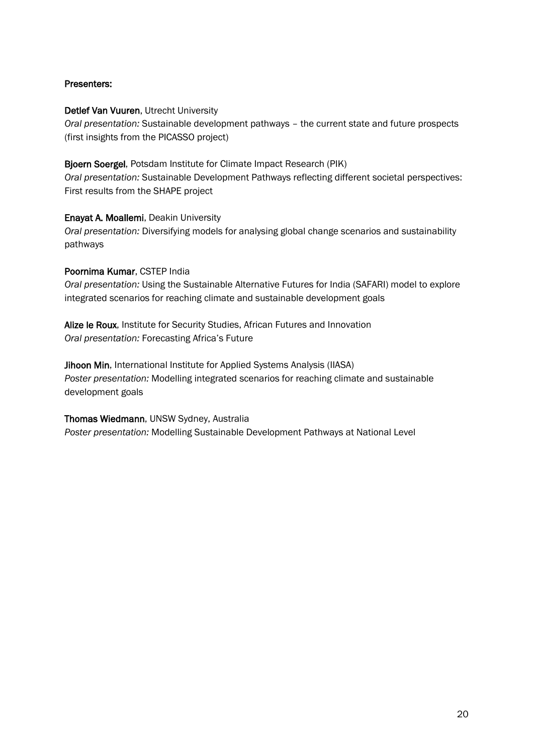### Presenters:

Detlef Van Vuuren, Utrecht University *Oral presentation:* Sustainable development pathways – the current state and future prospects (first insights from the PICASSO project)

Bjoern Soergel, Potsdam Institute for Climate Impact Research (PIK) *Oral presentation:* Sustainable Development Pathways reflecting different societal perspectives: First results from the SHAPE project

### Enayat A. Moallemi, Deakin University

*Oral presentation:* Diversifying models for analysing global change scenarios and sustainability pathways

### Poornima Kumar, CSTEP India

*Oral presentation:* Using the Sustainable Alternative Futures for India (SAFARI) model to explore integrated scenarios for reaching climate and sustainable development goals

Alize le Roux, Institute for Security Studies, African Futures and Innovation *Oral presentation:* Forecasting Africa's Future

Jihoon Min, International Institute for Applied Systems Analysis (IIASA) *Poster presentation:* Modelling integrated scenarios for reaching climate and sustainable development goals

#### Thomas Wiedmann, UNSW Sydney, Australia

*Poster presentation:* Modelling Sustainable Development Pathways at National Level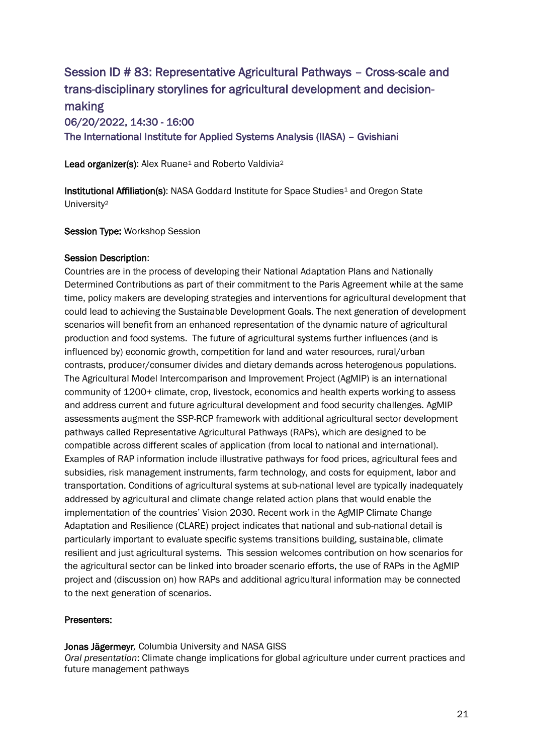### Session ID # 83: Representative Agricultural Pathways – Cross-scale and trans-disciplinary storylines for agricultural development and decisionmaking 06/20/2022, 14:30 - 16:00 The International Institute for Applied Systems Analysis (IIASA) – Gvishiani

Lead organizer(s): Alex Ruane<sup>1</sup> and Roberto Valdivia<sup>2</sup>

Institutional Affiliation(s): NASA Goddard Institute for Space Studies<sup>1</sup> and Oregon State University<sup>2</sup>

Session Type: Workshop Session

### Session Description:

Countries are in the process of developing their National Adaptation Plans and Nationally Determined Contributions as part of their commitment to the Paris Agreement while at the same time, policy makers are developing strategies and interventions for agricultural development that could lead to achieving the Sustainable Development Goals. The next generation of development scenarios will benefit from an enhanced representation of the dynamic nature of agricultural production and food systems. The future of agricultural systems further influences (and is influenced by) economic growth, competition for land and water resources, rural/urban contrasts, producer/consumer divides and dietary demands across heterogenous populations. The Agricultural Model Intercomparison and Improvement Project (AgMIP) is an international community of 1200+ climate, crop, livestock, economics and health experts working to assess and address current and future agricultural development and food security challenges. AgMIP assessments augment the SSP-RCP framework with additional agricultural sector development pathways called Representative Agricultural Pathways (RAPs), which are designed to be compatible across different scales of application (from local to national and international). Examples of RAP information include illustrative pathways for food prices, agricultural fees and subsidies, risk management instruments, farm technology, and costs for equipment, labor and transportation. Conditions of agricultural systems at sub-national level are typically inadequately addressed by agricultural and climate change related action plans that would enable the implementation of the countries' Vision 2030. Recent work in the AgMIP Climate Change Adaptation and Resilience (CLARE) project indicates that national and sub-national detail is particularly important to evaluate specific systems transitions building, sustainable, climate resilient and just agricultural systems. This session welcomes contribution on how scenarios for the agricultural sector can be linked into broader scenario efforts, the use of RAPs in the AgMIP project and (discussion on) how RAPs and additional agricultural information may be connected to the next generation of scenarios.

### Presenters:

Jonas Jägermeyr*,* Columbia University and NASA GISS

*Oral presentation*: Climate change implications for global agriculture under current practices and future management pathways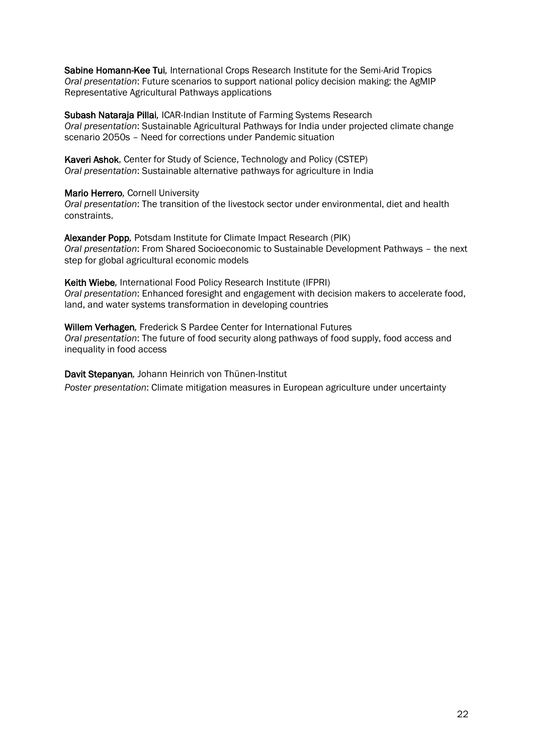Sabine Homann-Kee Tui*,* International Crops Research Institute for the Semi-Arid Tropics *Oral presentation*: Future scenarios to support national policy decision making: the AgMIP Representative Agricultural Pathways applications

Subash Nataraja Pillai*,* ICAR-Indian Institute of Farming Systems Research *Oral presentation*: Sustainable Agricultural Pathways for India under projected climate change scenario 2050s – Need for corrections under Pandemic situation

Kaveri Ashok, Center for Study of Science, Technology and Policy (CSTEP) *Oral presentation*: Sustainable alternative pathways for agriculture in India

Mario Herrero*,* Cornell University

*Oral presentation*: The transition of the livestock sector under environmental, diet and health constraints.

Alexander Popp*,* Potsdam Institute for Climate Impact Research (PIK) *Oral presentation*: From Shared Socioeconomic to Sustainable Development Pathways – the next step for global agricultural economic models

Keith Wiebe*,* International Food Policy Research Institute (IFPRI) *Oral presentation*: Enhanced foresight and engagement with decision makers to accelerate food, land, and water systems transformation in developing countries

Willem Verhagen*,* Frederick S Pardee Center for International Futures *Oral presentation*: The future of food security along pathways of food supply, food access and inequality in food access

Davit Stepanyan*,* Johann Heinrich von Thünen-Institut *Poster presentation*: Climate mitigation measures in European agriculture under uncertainty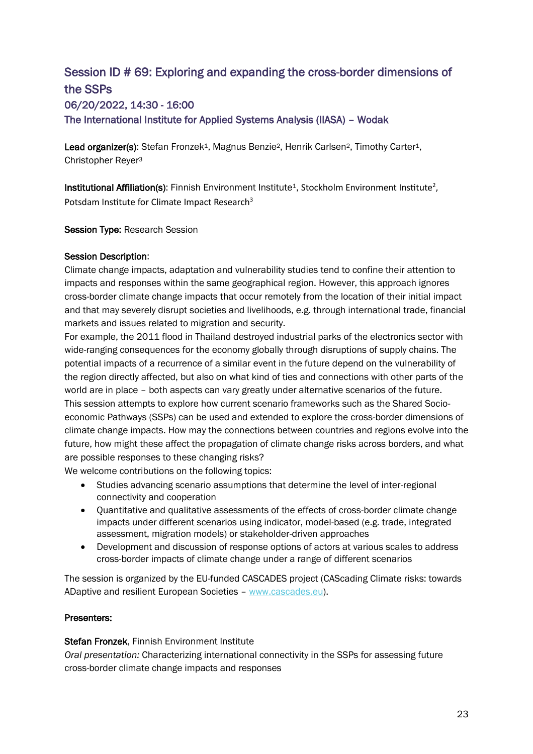## Session ID # 69: Exploring and expanding the cross-border dimensions of the SSPs

06/20/2022, 14:30 - 16:00 The International Institute for Applied Systems Analysis (IIASA) – Wodak

Lead organizer(s): Stefan Fronzek<sup>1</sup>, Magnus Benzie<sup>2</sup>, Henrik Carlsen<sup>2</sup>, Timothy Carter<sup>1</sup>, Christopher Reyer<sup>3</sup>

**Institutional Affiliation(s)**: Finnish Environment Institute<sup>1</sup>, Stockholm Environment Institute<sup>2</sup>, Potsdam Institute for Climate Impact Research<sup>3</sup>

Session Type: Research Session

### Session Description:

Climate change impacts, adaptation and vulnerability studies tend to confine their attention to impacts and responses within the same geographical region. However, this approach ignores cross-border climate change impacts that occur remotely from the location of their initial impact and that may severely disrupt societies and livelihoods, e.g. through international trade, financial markets and issues related to migration and security.

For example, the 2011 flood in Thailand destroyed industrial parks of the electronics sector with wide-ranging consequences for the economy globally through disruptions of supply chains. The potential impacts of a recurrence of a similar event in the future depend on the vulnerability of the region directly affected, but also on what kind of ties and connections with other parts of the world are in place – both aspects can vary greatly under alternative scenarios of the future. This session attempts to explore how current scenario frameworks such as the Shared Socioeconomic Pathways (SSPs) can be used and extended to explore the cross-border dimensions of climate change impacts. How may the connections between countries and regions evolve into the future, how might these affect the propagation of climate change risks across borders, and what are possible responses to these changing risks?

We welcome contributions on the following topics:

- Studies advancing scenario assumptions that determine the level of inter-regional connectivity and cooperation
- Quantitative and qualitative assessments of the effects of cross-border climate change impacts under different scenarios using indicator, model-based (e.g. trade, integrated assessment, migration models) or stakeholder-driven approaches
- Development and discussion of response options of actors at various scales to address cross-border impacts of climate change under a range of different scenarios

The session is organized by the EU-funded CASCADES project (CAScading Climate risks: towards ADaptive and resilient European Societies – [www.cascades.eu\)](http://www.cascades.eu/).

### Presenters:

#### Stefan Fronzek, Finnish Environment Institute

*Oral presentation:* Characterizing international connectivity in the SSPs for assessing future cross-border climate change impacts and responses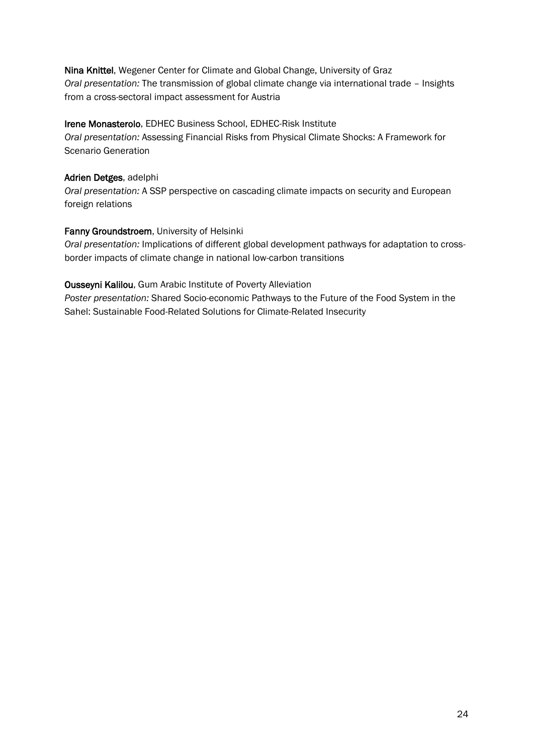Nina Knittel, Wegener Center for Climate and Global Change, University of Graz *Oral presentation:* The transmission of global climate change via international trade – Insights from a cross-sectoral impact assessment for Austria

### Irene Monasterolo, EDHEC Business School, EDHEC-Risk Institute

*Oral presentation:* Assessing Financial Risks from Physical Climate Shocks: A Framework for Scenario Generation

### Adrien Detges, adelphi

*Oral presentation:* A SSP perspective on cascading climate impacts on security and European foreign relations

### Fanny Groundstroem, University of Helsinki

*Oral presentation:* Implications of different global development pathways for adaptation to crossborder impacts of climate change in national low-carbon transitions

### Ousseyni Kalilou, Gum Arabic Institute of Poverty Alleviation

*Poster presentation:* Shared Socio-economic Pathways to the Future of the Food System in the Sahel: Sustainable Food-Related Solutions for Climate-Related Insecurity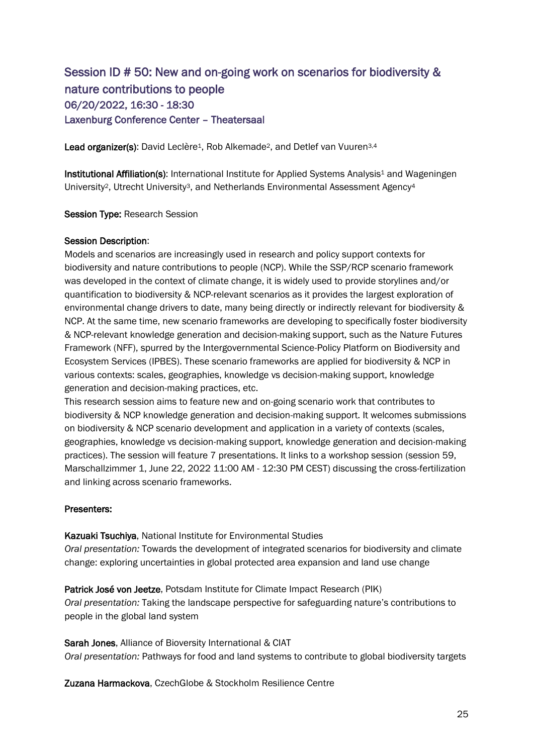### Session ID # 50: New and on-going work on scenarios for biodiversity & nature contributions to people 06/20/2022, 16:30 - 18:30 Laxenburg Conference Center – Theatersaal

Lead organizer(s): David Leclère<sup>1</sup>, Rob Alkemade<sup>2</sup>, and Detlef van Vuuren<sup>3,4</sup>

Institutional Affiliation(s): International Institute for Applied Systems Analysis<sup>1</sup> and Wageningen University2, Utrecht University3, and Netherlands Environmental Assessment Agency<sup>4</sup>

#### Session Type: Research Session

### Session Description:

Models and scenarios are increasingly used in research and policy support contexts for biodiversity and nature contributions to people (NCP). While the SSP/RCP scenario framework was developed in the context of climate change, it is widely used to provide storylines and/or quantification to biodiversity & NCP-relevant scenarios as it provides the largest exploration of environmental change drivers to date, many being directly or indirectly relevant for biodiversity & NCP. At the same time, new scenario frameworks are developing to specifically foster biodiversity & NCP-relevant knowledge generation and decision-making support, such as the Nature Futures Framework (NFF), spurred by the Intergovernmental Science-Policy Platform on Biodiversity and Ecosystem Services (IPBES). These scenario frameworks are applied for biodiversity & NCP in various contexts: scales, geographies, knowledge vs decision-making support, knowledge generation and decision-making practices, etc.

This research session aims to feature new and on-going scenario work that contributes to biodiversity & NCP knowledge generation and decision-making support. It welcomes submissions on biodiversity & NCP scenario development and application in a variety of contexts (scales, geographies, knowledge vs decision-making support, knowledge generation and decision-making practices). The session will feature 7 presentations. It links to a workshop session (session 59, Marschallzimmer 1, June 22, 2022 11:00 AM - 12:30 PM CEST) discussing the cross-fertilization and linking across scenario frameworks.

#### Presenters:

Kazuaki Tsuchiya, National Institute for Environmental Studies *Oral presentation:* Towards the development of integrated scenarios for biodiversity and climate change: exploring uncertainties in global protected area expansion and land use change

Patrick José von Jeetze, Potsdam Institute for Climate Impact Research (PIK) *Oral presentation:* Taking the landscape perspective for safeguarding nature's contributions to people in the global land system

Sarah Jones, Alliance of Bioversity International & CIAT *Oral presentation:* Pathways for food and land systems to contribute to global biodiversity targets

Zuzana Harmackova, CzechGlobe & Stockholm Resilience Centre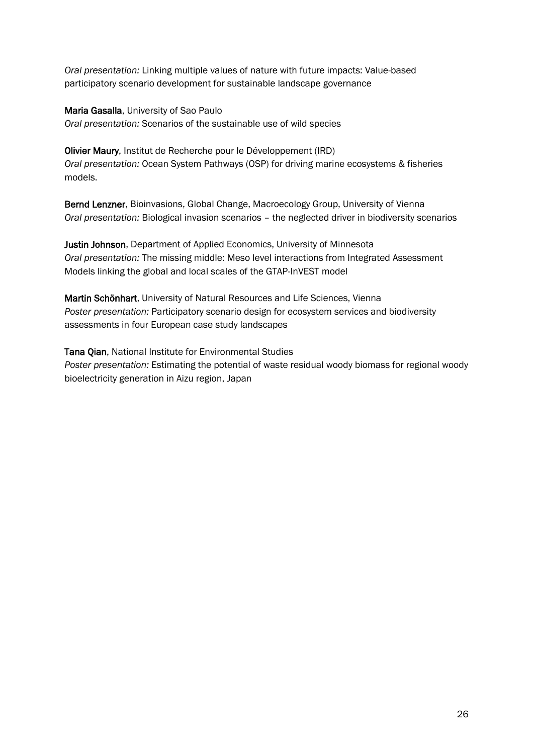*Oral presentation:* Linking multiple values of nature with future impacts: Value-based participatory scenario development for sustainable landscape governance

Maria Gasalla, University of Sao Paulo *Oral presentation:* Scenarios of the sustainable use of wild species

Olivier Maury, Institut de Recherche pour le Développement (IRD) *Oral presentation:* Ocean System Pathways (OSP) for driving marine ecosystems & fisheries models.

Bernd Lenzner, Bioinvasions, Global Change, Macroecology Group, University of Vienna *Oral presentation:* Biological invasion scenarios – the neglected driver in biodiversity scenarios

Justin Johnson, Department of Applied Economics, University of Minnesota *Oral presentation:* The missing middle: Meso level interactions from Integrated Assessment Models linking the global and local scales of the GTAP-InVEST model

Martin Schönhart, University of Natural Resources and Life Sciences, Vienna *Poster presentation:* Participatory scenario design for ecosystem services and biodiversity assessments in four European case study landscapes

Tana Qian, National Institute for Environmental Studies *Poster presentation:* Estimating the potential of waste residual woody biomass for regional woody bioelectricity generation in Aizu region, Japan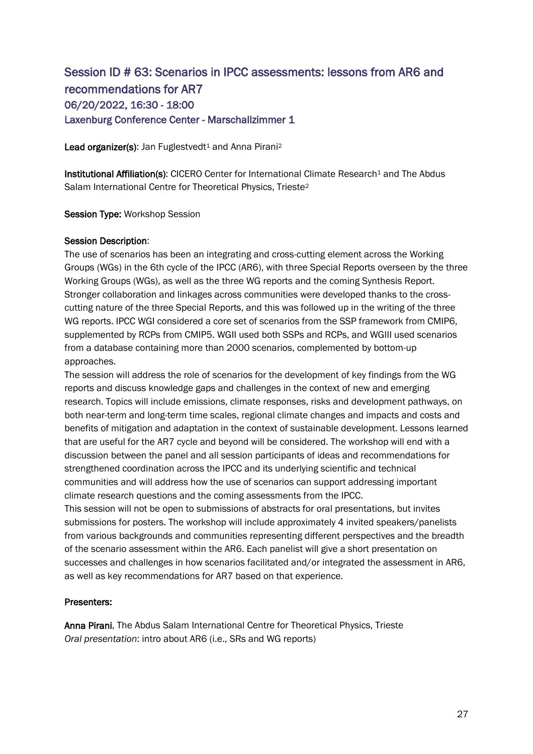### Session ID # 63: Scenarios in IPCC assessments: lessons from AR6 and recommendations for AR7 06/20/2022, 16:30 - 18:00 Laxenburg Conference Center - Marschallzimmer 1

Lead organizer(s): Jan Fuglestvedt<sup>1</sup> and Anna Pirani<sup>2</sup>

Institutional Affiliation(s): CICERO Center for International Climate Research<sup>1</sup> and The Abdus Salam International Centre for Theoretical Physics, Trieste<sup>2</sup>

Session Type: Workshop Session

### Session Description:

The use of scenarios has been an integrating and cross-cutting element across the Working Groups (WGs) in the 6th cycle of the IPCC (AR6), with three Special Reports overseen by the three Working Groups (WGs), as well as the three WG reports and the coming Synthesis Report. Stronger collaboration and linkages across communities were developed thanks to the crosscutting nature of the three Special Reports, and this was followed up in the writing of the three WG reports. IPCC WGI considered a core set of scenarios from the SSP framework from CMIP6, supplemented by RCPs from CMIP5. WGII used both SSPs and RCPs, and WGIII used scenarios from a database containing more than 2000 scenarios, complemented by bottom-up approaches.

The session will address the role of scenarios for the development of key findings from the WG reports and discuss knowledge gaps and challenges in the context of new and emerging research. Topics will include emissions, climate responses, risks and development pathways, on both near-term and long-term time scales, regional climate changes and impacts and costs and benefits of mitigation and adaptation in the context of sustainable development. Lessons learned that are useful for the AR7 cycle and beyond will be considered. The workshop will end with a discussion between the panel and all session participants of ideas and recommendations for strengthened coordination across the IPCC and its underlying scientific and technical communities and will address how the use of scenarios can support addressing important climate research questions and the coming assessments from the IPCC.

This session will not be open to submissions of abstracts for oral presentations, but invites submissions for posters. The workshop will include approximately 4 invited speakers/panelists from various backgrounds and communities representing different perspectives and the breadth of the scenario assessment within the AR6. Each panelist will give a short presentation on successes and challenges in how scenarios facilitated and/or integrated the assessment in AR6, as well as key recommendations for AR7 based on that experience.

### Presenters:

Anna Pirani, The Abdus Salam International Centre for Theoretical Physics, Trieste *Oral presentation*: intro about AR6 (i.e., SRs and WG reports)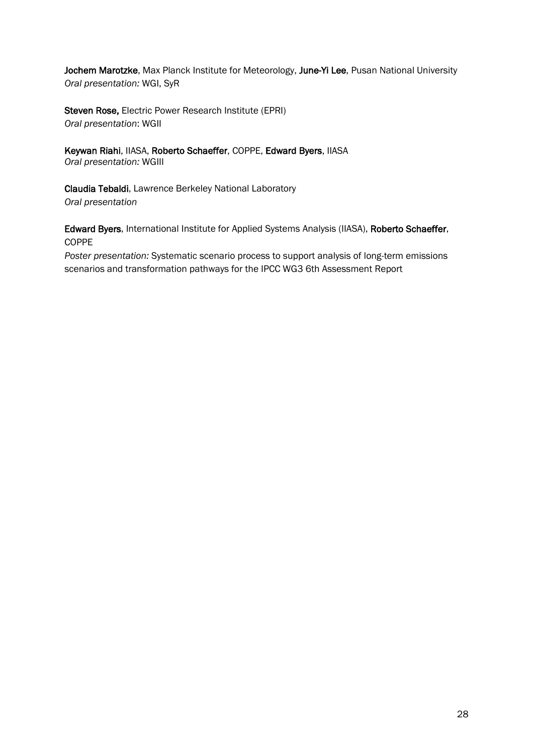Jochem Marotzke, Max Planck Institute for Meteorology, June-Yi Lee, Pusan National University *Oral presentation:* WGI, SyR

Steven Rose, Electric Power Research Institute (EPRI) *Oral presentation*: WGII

Keywan Riahi, IIASA, Roberto Schaeffer, COPPE, Edward Byers, IIASA *Oral presentation:* WGIII

Claudia Tebaldi, Lawrence Berkeley National Laboratory *Oral presentation*

Edward Byers, International Institute for Applied Systems Analysis (IIASA), Roberto Schaeffer, COPPE

*Poster presentation:* Systematic scenario process to support analysis of long-term emissions scenarios and transformation pathways for the IPCC WG3 6th Assessment Report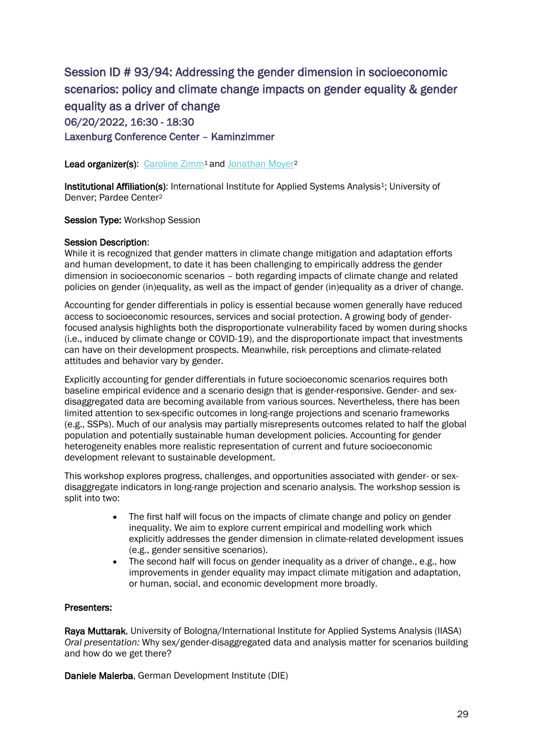Session ID # 93/94: Addressing the gender dimension in socioeconomic scenarios: policy and climate change impacts on gender equality & gender equality as a driver of change 06/20/2022, 16:30 - 18:30 Laxenburg Conference Center – Kaminzimmer

Lead organizer(s): [Caroline Zimm](https://connect.iiasa.ac.at/users/3748717/portfolio)<sup>1</sup> and [Jonathan Moyer](https://connect.iiasa.ac.at/users/6083269)<sup>2</sup>

Institutional Affiliation(s): International Institute for Applied Systems Analysis<sup>1</sup>; University of Denver; Pardee Center<sup>2</sup>

Session Type: Workshop Session

### Session Description:

While it is recognized that gender matters in climate change mitigation and adaptation efforts and human development, to date it has been challenging to empirically address the gender dimension in socioeconomic scenarios – both regarding impacts of climate change and related policies on gender (in)equality, as well as the impact of gender (in)equality as a driver of change.

Accounting for gender differentials in policy is essential because women generally have reduced access to socioeconomic resources, services and social protection. A growing body of genderfocused analysis highlights both the disproportionate vulnerability faced by women during shocks (i.e., induced by climate change or COVID-19), and the disproportionate impact that investments can have on their development prospects. Meanwhile, risk perceptions and climate-related attitudes and behavior vary by gender.

Explicitly accounting for gender differentials in future socioeconomic scenarios requires both baseline empirical evidence and a scenario design that is gender-responsive. Gender- and sexdisaggregated data are becoming available from various sources. Nevertheless, there has been limited attention to sex-specific outcomes in long-range projections and scenario frameworks (e.g., SSPs). Much of our analysis may partially misrepresents outcomes related to half the global population and potentially sustainable human development policies. Accounting for gender heterogeneity enables more realistic representation of current and future socioeconomic development relevant to sustainable development.

This workshop explores progress, challenges, and opportunities associated with gender- or sexdisaggregate indicators in long-range projection and scenario analysis. The workshop session is split into two:

- The first half will focus on the impacts of climate change and policy on gender inequality. We aim to explore current empirical and modelling work which explicitly addresses the gender dimension in climate-related development issues (e.g., gender sensitive scenarios).
- The second half will focus on gender inequality as a driver of change., e.g., how improvements in gender equality may impact climate mitigation and adaptation, or human, social, and economic development more broadly.

### Presenters:

Raya Muttarak, University of Bologna/International Institute for Applied Systems Analysis (IIASA) *Oral presentation:* Why sex/gender-disaggregated data and analysis matter for scenarios building and how do we get there?

Daniele Malerba, German Development Institute (DIE)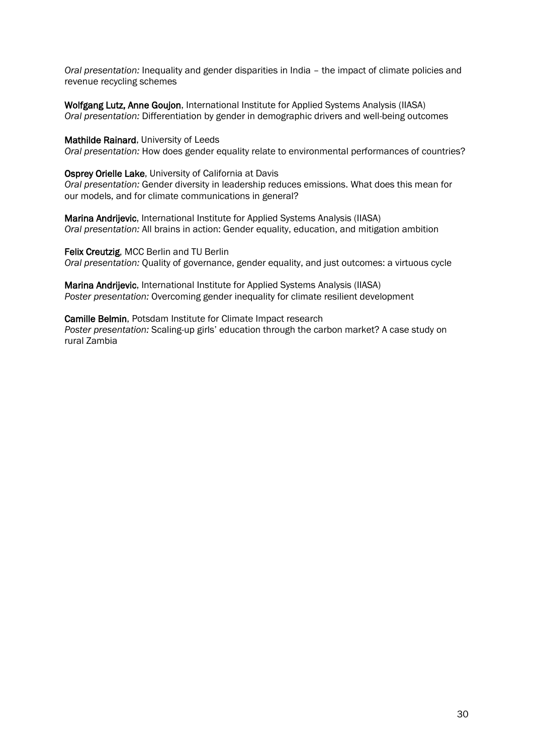*Oral presentation:* Inequality and gender disparities in India – the impact of climate policies and revenue recycling schemes

Wolfgang Lutz, Anne Goujon, International Institute for Applied Systems Analysis (IIASA) *Oral presentation:* Differentiation by gender in demographic drivers and well-being outcomes

Mathilde Rainard, University of Leeds

*Oral presentation:* How does gender equality relate to environmental performances of countries?

Osprey Orielle Lake, University of California at Davis

*Oral presentation:* Gender diversity in leadership reduces emissions. What does this mean for our models, and for climate communications in general?

Marina Andrijevic, International Institute for Applied Systems Analysis (IIASA) *Oral presentation:* All brains in action: Gender equality, education, and mitigation ambition

Felix Creutzig, MCC Berlin and TU Berlin *Oral presentation:* Quality of governance, gender equality, and just outcomes: a virtuous cycle

Marina Andrijevic, International Institute for Applied Systems Analysis (IIASA) *Poster presentation:* Overcoming gender inequality for climate resilient development

Camille Belmin, Potsdam Institute for Climate Impact research *Poster presentation:* Scaling-up girls' education through the carbon market? A case study on rural Zambia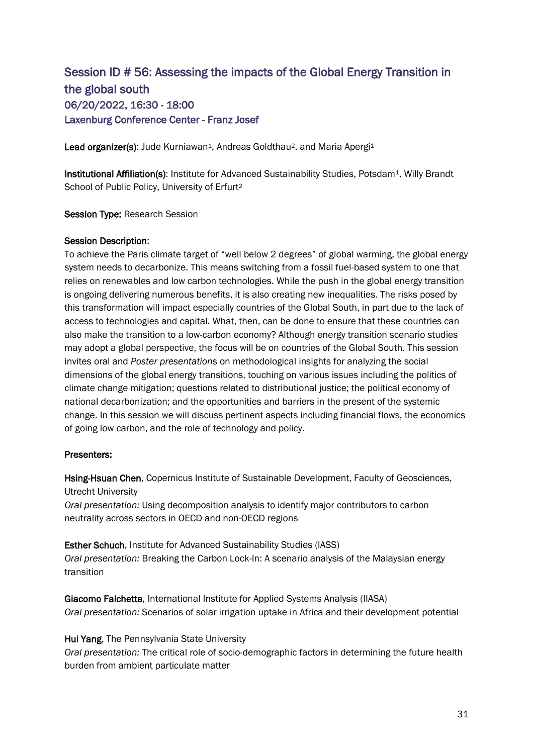### Session ID # 56: Assessing the impacts of the Global Energy Transition in the global south 06/20/2022, 16:30 - 18:00 Laxenburg Conference Center - Franz Josef

Lead organizer(s): Jude Kurniawan<sup>1</sup>, Andreas Goldthau<sup>2</sup>, and Maria Apergi<sup>1</sup>

Institutional Affiliation(s): Institute for Advanced Sustainability Studies, Potsdam<sup>1</sup>, Willy Brandt School of Public Policy, University of Erfurt<sup>2</sup>

Session Type: Research Session

### Session Description:

To achieve the Paris climate target of "well below 2 degrees" of global warming, the global energy system needs to decarbonize. This means switching from a fossil fuel-based system to one that relies on renewables and low carbon technologies. While the push in the global energy transition is ongoing delivering numerous benefits, it is also creating new inequalities. The risks posed by this transformation will impact especially countries of the Global South, in part due to the lack of access to technologies and capital. What, then, can be done to ensure that these countries can also make the transition to a low-carbon economy? Although energy transition scenario studies may adopt a global perspective, the focus will be on countries of the Global South. This session invites oral and *Poster presentation*s on methodological insights for analyzing the social dimensions of the global energy transitions, touching on various issues including the politics of climate change mitigation; questions related to distributional justice; the political economy of national decarbonization; and the opportunities and barriers in the present of the systemic change. In this session we will discuss pertinent aspects including financial flows, the economics of going low carbon, and the role of technology and policy.

#### Presenters:

Hsing-Hsuan Chen, Copernicus Institute of Sustainable Development, Faculty of Geosciences, Utrecht University

*Oral presentation:* Using decomposition analysis to identify major contributors to carbon neutrality across sectors in OECD and non-OECD regions

Esther Schuch, Institute for Advanced Sustainability Studies (IASS) *Oral presentation:* Breaking the Carbon Lock-In: A scenario analysis of the Malaysian energy transition

Giacomo Falchetta, International Institute for Applied Systems Analysis (IIASA) *Oral presentation:* Scenarios of solar irrigation uptake in Africa and their development potential

### Hui Yang, The Pennsylvania State University

*Oral presentation:* The critical role of socio-demographic factors in determining the future health burden from ambient particulate matter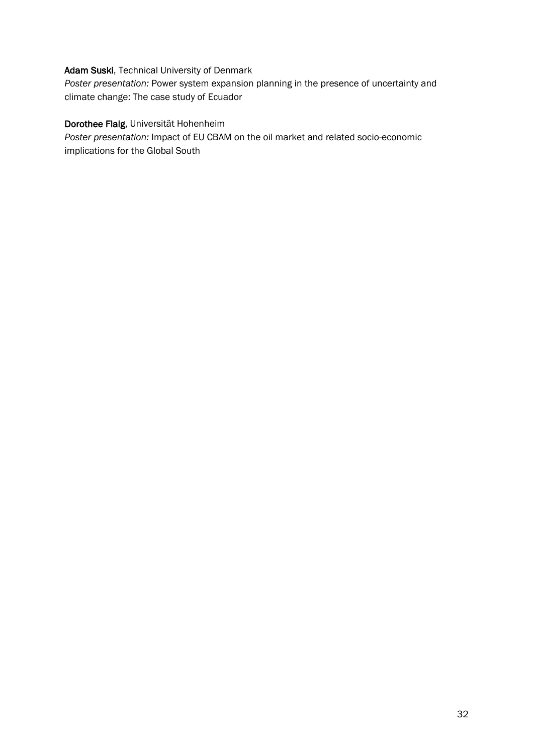### Adam Suski, Technical University of Denmark

*Poster presentation:* Power system expansion planning in the presence of uncertainty and climate change: The case study of Ecuador

### Dorothee Flaig, Universität Hohenheim

*Poster presentation:* Impact of EU CBAM on the oil market and related socio-economic implications for the Global South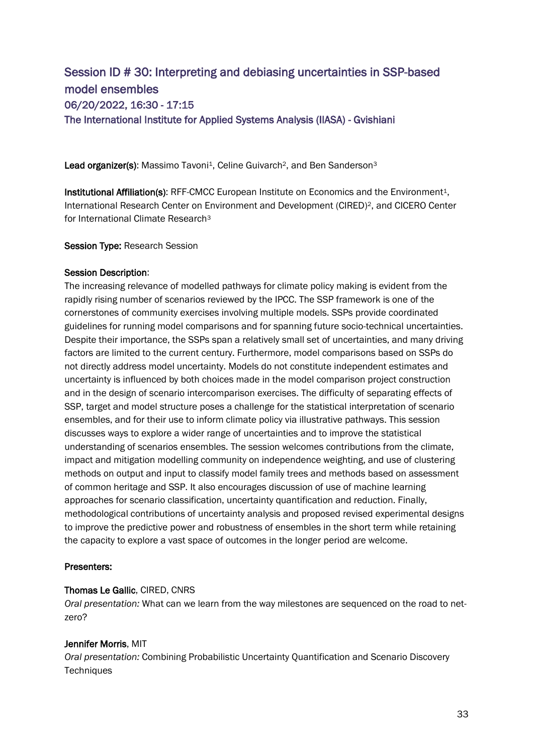### Session ID # 30: Interpreting and debiasing uncertainties in SSP-based model ensembles 06/20/2022, 16:30 - 17:15 The International Institute for Applied Systems Analysis (IIASA) - Gvishiani

Lead organizer(s): Massimo Tavoni<sup>1</sup>, Celine Guivarch<sup>2</sup>, and Ben Sanderson<sup>3</sup>

Institutional Affiliation(s): RFF-CMCC European Institute on Economics and the Environment<sup>1</sup>, International Research Center on Environment and Development (CIRED)<sup>2</sup>, and CICERO Center for International Climate Research<sup>3</sup>

Session Type: Research Session

### Session Description:

The increasing relevance of modelled pathways for climate policy making is evident from the rapidly rising number of scenarios reviewed by the IPCC. The SSP framework is one of the cornerstones of community exercises involving multiple models. SSPs provide coordinated guidelines for running model comparisons and for spanning future socio-technical uncertainties. Despite their importance, the SSPs span a relatively small set of uncertainties, and many driving factors are limited to the current century. Furthermore, model comparisons based on SSPs do not directly address model uncertainty. Models do not constitute independent estimates and uncertainty is influenced by both choices made in the model comparison project construction and in the design of scenario intercomparison exercises. The difficulty of separating effects of SSP, target and model structure poses a challenge for the statistical interpretation of scenario ensembles, and for their use to inform climate policy via illustrative pathways. This session discusses ways to explore a wider range of uncertainties and to improve the statistical understanding of scenarios ensembles. The session welcomes contributions from the climate, impact and mitigation modelling community on independence weighting, and use of clustering methods on output and input to classify model family trees and methods based on assessment of common heritage and SSP. It also encourages discussion of use of machine learning approaches for scenario classification, uncertainty quantification and reduction. Finally, methodological contributions of uncertainty analysis and proposed revised experimental designs to improve the predictive power and robustness of ensembles in the short term while retaining the capacity to explore a vast space of outcomes in the longer period are welcome.

### Presenters:

### Thomas Le Gallic, CIRED, CNRS

*Oral presentation:* What can we learn from the way milestones are sequenced on the road to netzero?

### Jennifer Morris, MIT

*Oral presentation:* Combining Probabilistic Uncertainty Quantification and Scenario Discovery **Techniques**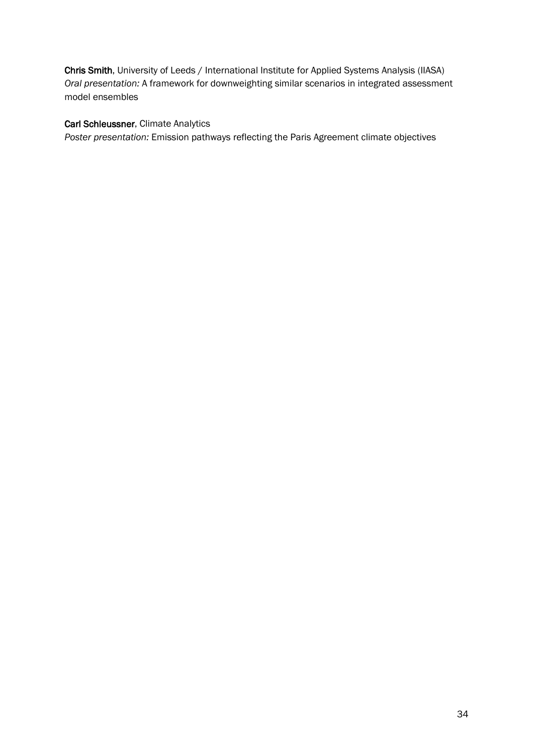Chris Smith, University of Leeds / International Institute for Applied Systems Analysis (IIASA) *Oral presentation:* A framework for downweighting similar scenarios in integrated assessment model ensembles

### Carl Schleussner, Climate Analytics

*Poster presentation:* Emission pathways reflecting the Paris Agreement climate objectives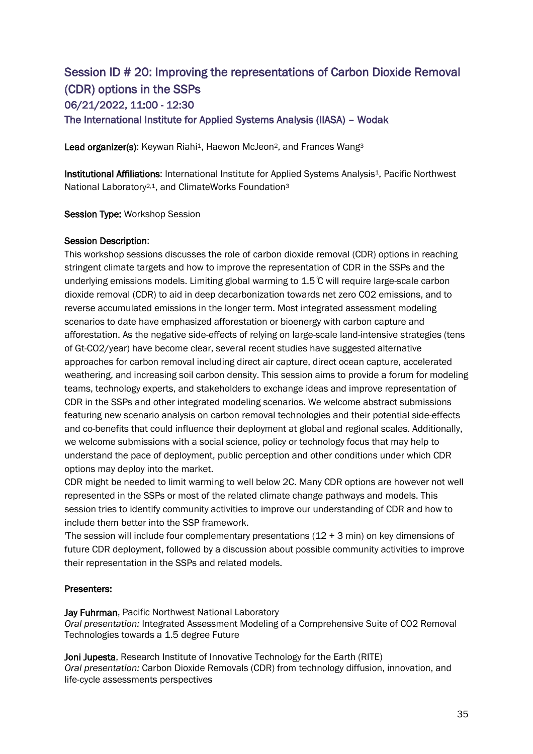### Session ID # 20: Improving the representations of Carbon Dioxide Removal (CDR) options in the SSPs 06/21/2022, 11:00 - 12:30 The International Institute for Applied Systems Analysis (IIASA) – Wodak

Lead organizer(s): Keywan Riahi<sup>1</sup>, Haewon McJeon<sup>2</sup>, and Frances Wang<sup>3</sup>

Institutional Affiliations: International Institute for Applied Systems Analysis<sup>1</sup>, Pacific Northwest National Laboratory2,1, and ClimateWorks Foundation<sup>3</sup>

Session Type: Workshop Session

### Session Description:

This workshop sessions discusses the role of carbon dioxide removal (CDR) options in reaching stringent climate targets and how to improve the representation of CDR in the SSPs and the underlying emissions models. Limiting global warming to 1.5 ̊C will require large-scale carbon dioxide removal (CDR) to aid in deep decarbonization towards net zero CO2 emissions, and to reverse accumulated emissions in the longer term. Most integrated assessment modeling scenarios to date have emphasized afforestation or bioenergy with carbon capture and afforestation. As the negative side-effects of relying on large-scale land-intensive strategies (tens of Gt-CO2/year) have become clear, several recent studies have suggested alternative approaches for carbon removal including direct air capture, direct ocean capture, accelerated weathering, and increasing soil carbon density. This session aims to provide a forum for modeling teams, technology experts, and stakeholders to exchange ideas and improve representation of CDR in the SSPs and other integrated modeling scenarios. We welcome abstract submissions featuring new scenario analysis on carbon removal technologies and their potential side-effects and co-benefits that could influence their deployment at global and regional scales. Additionally, we welcome submissions with a social science, policy or technology focus that may help to understand the pace of deployment, public perception and other conditions under which CDR options may deploy into the market.

CDR might be needed to limit warming to well below 2C. Many CDR options are however not well represented in the SSPs or most of the related climate change pathways and models. This session tries to identify community activities to improve our understanding of CDR and how to include them better into the SSP framework.

The session will include four complementary presentations  $(12 + 3 \text{ min})$  on key dimensions of future CDR deployment, followed by a discussion about possible community activities to improve their representation in the SSPs and related models.

### Presenters:

Jay Fuhrman, Pacific Northwest National Laboratory *Oral presentation:* Integrated Assessment Modeling of a Comprehensive Suite of CO2 Removal Technologies towards a 1.5 degree Future

Joni Jupesta, Research Institute of Innovative Technology for the Earth (RITE) *Oral presentation:* Carbon Dioxide Removals (CDR) from technology diffusion, innovation, and life-cycle assessments perspectives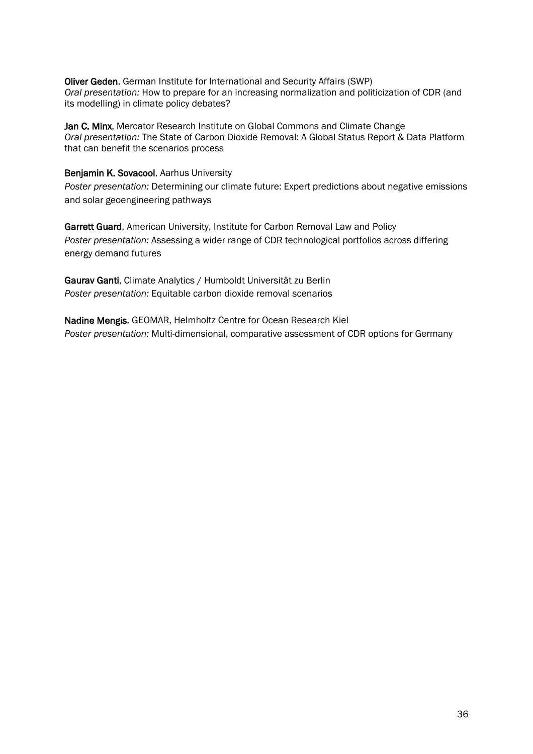Oliver Geden, German Institute for International and Security Affairs (SWP) *Oral presentation:* How to prepare for an increasing normalization and politicization of CDR (and its modelling) in climate policy debates?

Jan C. Minx, Mercator Research Institute on Global Commons and Climate Change *Oral presentation:* The State of Carbon Dioxide Removal: A Global Status Report & Data Platform that can benefit the scenarios process

#### Benjamin K. Sovacool, Aarhus University

*Poster presentation:* Determining our climate future: Expert predictions about negative emissions and solar geoengineering pathways

Garrett Guard, American University, Institute for Carbon Removal Law and Policy *Poster presentation:* Assessing a wider range of CDR technological portfolios across differing energy demand futures

Gaurav Ganti, Climate Analytics / Humboldt Universität zu Berlin *Poster presentation:* Equitable carbon dioxide removal scenarios

Nadine Mengis, GEOMAR, Helmholtz Centre for Ocean Research Kiel *Poster presentation:* Multi-dimensional, comparative assessment of CDR options for Germany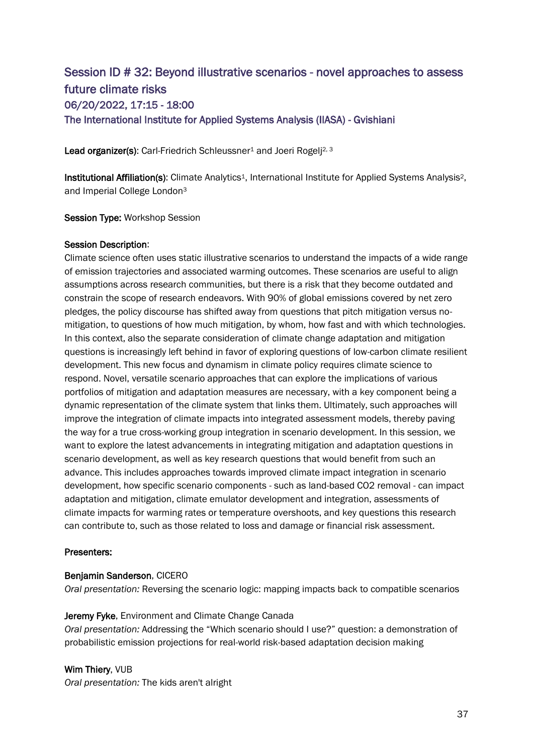# Session ID # 32: Beyond illustrative scenarios - novel approaches to assess future climate risks 06/20/2022, 17:15 - 18:00 The International Institute for Applied Systems Analysis (IIASA) - Gvishiani

Lead organizer(s): Carl-Friedrich Schleussner<sup>1</sup> and Joeri Rogelj<sup>2, 3</sup>

Institutional Affiliation(s): Climate Analytics<sup>1</sup>, International Institute for Applied Systems Analysis<sup>2</sup>, and Imperial College London<sup>3</sup>

Session Type: Workshop Session

#### Session Description:

Climate science often uses static illustrative scenarios to understand the impacts of a wide range of emission trajectories and associated warming outcomes. These scenarios are useful to align assumptions across research communities, but there is a risk that they become outdated and constrain the scope of research endeavors. With 90% of global emissions covered by net zero pledges, the policy discourse has shifted away from questions that pitch mitigation versus nomitigation, to questions of how much mitigation, by whom, how fast and with which technologies. In this context, also the separate consideration of climate change adaptation and mitigation questions is increasingly left behind in favor of exploring questions of low-carbon climate resilient development. This new focus and dynamism in climate policy requires climate science to respond. Novel, versatile scenario approaches that can explore the implications of various portfolios of mitigation and adaptation measures are necessary, with a key component being a dynamic representation of the climate system that links them. Ultimately, such approaches will improve the integration of climate impacts into integrated assessment models, thereby paving the way for a true cross-working group integration in scenario development. In this session, we want to explore the latest advancements in integrating mitigation and adaptation questions in scenario development, as well as key research questions that would benefit from such an advance. This includes approaches towards improved climate impact integration in scenario development, how specific scenario components - such as land-based CO2 removal - can impact adaptation and mitigation, climate emulator development and integration, assessments of climate impacts for warming rates or temperature overshoots, and key questions this research can contribute to, such as those related to loss and damage or financial risk assessment.

## Presenters:

#### Benjamin Sanderson, CICERO

*Oral presentation:* Reversing the scenario logic: mapping impacts back to compatible scenarios

#### Jeremy Fyke, Environment and Climate Change Canada

*Oral presentation:* Addressing the "Which scenario should I use?" question: a demonstration of probabilistic emission projections for real-world risk-based adaptation decision making

## Wim Thiery, VUB

*Oral presentation:* The kids aren't alright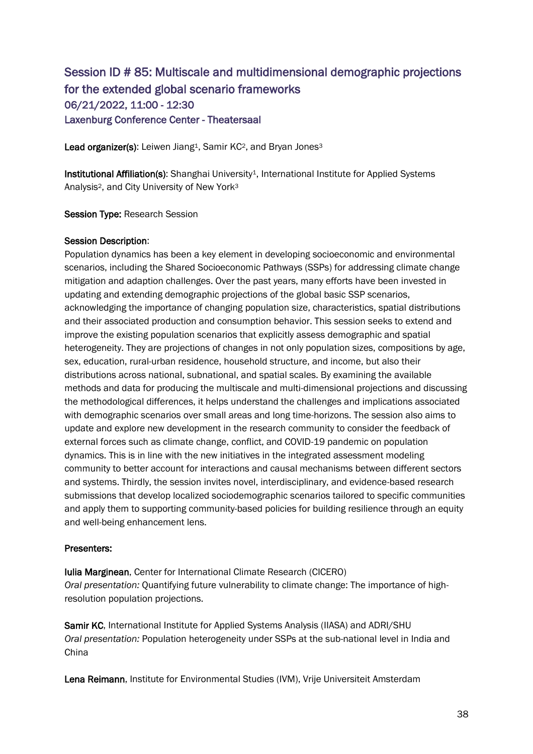# Session ID # 85: Multiscale and multidimensional demographic projections for the extended global scenario frameworks 06/21/2022, 11:00 - 12:30 Laxenburg Conference Center - Theatersaal

Lead organizer(s): Leiwen Jiang<sup>1</sup>, Samir KC<sup>2</sup>, and Bryan Jones<sup>3</sup>

Institutional Affiliation(s): Shanghai University<sup>1</sup>, International Institute for Applied Systems Analysis2, and City University of New York<sup>3</sup>

#### Session Type: Research Session

#### Session Description:

Population dynamics has been a key element in developing socioeconomic and environmental scenarios, including the Shared Socioeconomic Pathways (SSPs) for addressing climate change mitigation and adaption challenges. Over the past years, many efforts have been invested in updating and extending demographic projections of the global basic SSP scenarios, acknowledging the importance of changing population size, characteristics, spatial distributions and their associated production and consumption behavior. This session seeks to extend and improve the existing population scenarios that explicitly assess demographic and spatial heterogeneity. They are projections of changes in not only population sizes, compositions by age, sex, education, rural-urban residence, household structure, and income, but also their distributions across national, subnational, and spatial scales. By examining the available methods and data for producing the multiscale and multi-dimensional projections and discussing the methodological differences, it helps understand the challenges and implications associated with demographic scenarios over small areas and long time-horizons. The session also aims to update and explore new development in the research community to consider the feedback of external forces such as climate change, conflict, and COVID-19 pandemic on population dynamics. This is in line with the new initiatives in the integrated assessment modeling community to better account for interactions and causal mechanisms between different sectors and systems. Thirdly, the session invites novel, interdisciplinary, and evidence-based research submissions that develop localized sociodemographic scenarios tailored to specific communities and apply them to supporting community-based policies for building resilience through an equity and well-being enhancement lens.

#### Presenters:

Iulia Marginean, Center for International Climate Research (CICERO) *Oral presentation:* Quantifying future vulnerability to climate change: The importance of highresolution population projections.

Samir KC, International Institute for Applied Systems Analysis (IIASA) and ADRI/SHU *Oral presentation:* Population heterogeneity under SSPs at the sub-national level in India and China

Lena Reimann, Institute for Environmental Studies (IVM), Vrije Universiteit Amsterdam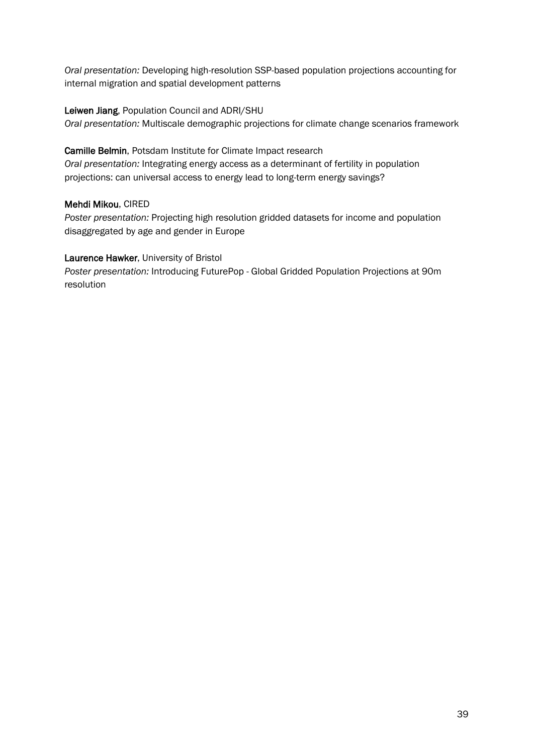*Oral presentation:* Developing high-resolution SSP-based population projections accounting for internal migration and spatial development patterns

## Leiwen Jiang, Population Council and ADRI/SHU

*Oral presentation:* Multiscale demographic projections for climate change scenarios framework

Camille Belmin, Potsdam Institute for Climate Impact research

*Oral presentation:* Integrating energy access as a determinant of fertility in population projections: can universal access to energy lead to long-term energy savings?

## Mehdi Mikou, CIRED

*Poster presentation:* Projecting high resolution gridded datasets for income and population disaggregated by age and gender in Europe

## Laurence Hawker, University of Bristol

*Poster presentation:* Introducing FuturePop - Global Gridded Population Projections at 90m resolution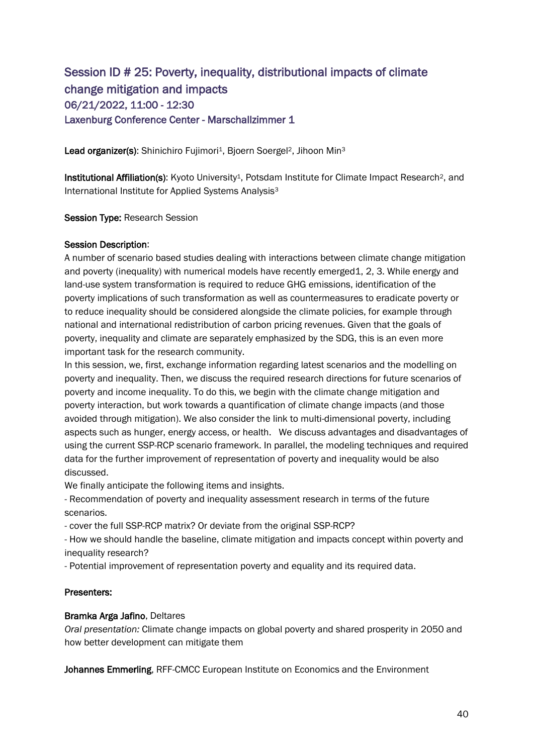# Session ID # 25: Poverty, inequality, distributional impacts of climate change mitigation and impacts 06/21/2022, 11:00 - 12:30 Laxenburg Conference Center - Marschallzimmer 1

Lead organizer(s): Shinichiro Fujimori<sup>1</sup>, Bjoern Soergel<sup>2</sup>, Jihoon Min<sup>3</sup>

Institutional Affiliation(s): Kyoto University<sup>1</sup>, Potsdam Institute for Climate Impact Research<sup>2</sup>, and International Institute for Applied Systems Analysis<sup>3</sup>

Session Type: Research Session

#### Session Description:

A number of scenario based studies dealing with interactions between climate change mitigation and poverty (inequality) with numerical models have recently emerged1, 2, 3. While energy and land-use system transformation is required to reduce GHG emissions, identification of the poverty implications of such transformation as well as countermeasures to eradicate poverty or to reduce inequality should be considered alongside the climate policies, for example through national and international redistribution of carbon pricing revenues. Given that the goals of poverty, inequality and climate are separately emphasized by the SDG, this is an even more important task for the research community.

In this session, we, first, exchange information regarding latest scenarios and the modelling on poverty and inequality. Then, we discuss the required research directions for future scenarios of poverty and income inequality. To do this, we begin with the climate change mitigation and poverty interaction, but work towards a quantification of climate change impacts (and those avoided through mitigation). We also consider the link to multi-dimensional poverty, including aspects such as hunger, energy access, or health. We discuss advantages and disadvantages of using the current SSP-RCP scenario framework. In parallel, the modeling techniques and required data for the further improvement of representation of poverty and inequality would be also discussed.

We finally anticipate the following items and insights.

- Recommendation of poverty and inequality assessment research in terms of the future scenarios.

- cover the full SSP-RCP matrix? Or deviate from the original SSP-RCP?

- How we should handle the baseline, climate mitigation and impacts concept within poverty and inequality research?

- Potential improvement of representation poverty and equality and its required data.

## Presenters:

#### Bramka Arga Jafino, Deltares

*Oral presentation:* Climate change impacts on global poverty and shared prosperity in 2050 and how better development can mitigate them

Johannes Emmerling, RFF-CMCC European Institute on Economics and the Environment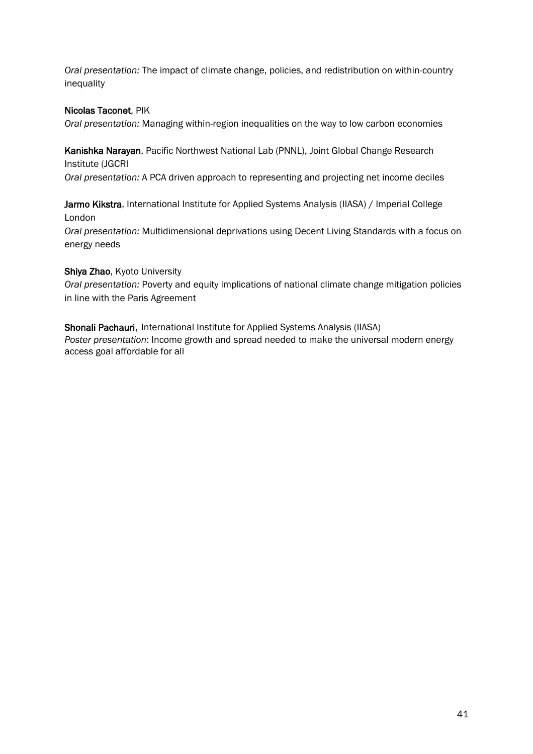*Oral presentation:* The impact of climate change, policies, and redistribution on within-country inequality

## Nicolas Taconet, PIK

*Oral presentation:* Managing within-region inequalities on the way to low carbon economies

Kanishka Narayan, Pacific Northwest National Lab (PNNL), Joint Global Change Research Institute (JGCRI

*Oral presentation:* A PCA driven approach to representing and projecting net income deciles

Jarmo Kikstra, International Institute for Applied Systems Analysis (IIASA) / Imperial College London

*Oral presentation:* Multidimensional deprivations using Decent Living Standards with a focus on energy needs

## Shiya Zhao, Kyoto University

*Oral presentation:* Poverty and equity implications of national climate change mitigation policies in line with the Paris Agreement

Shonali Pachauri, International Institute for Applied Systems Analysis (IIASA) *Poster presentation*: Income growth and spread needed to make the universal modern energy access goal affordable for all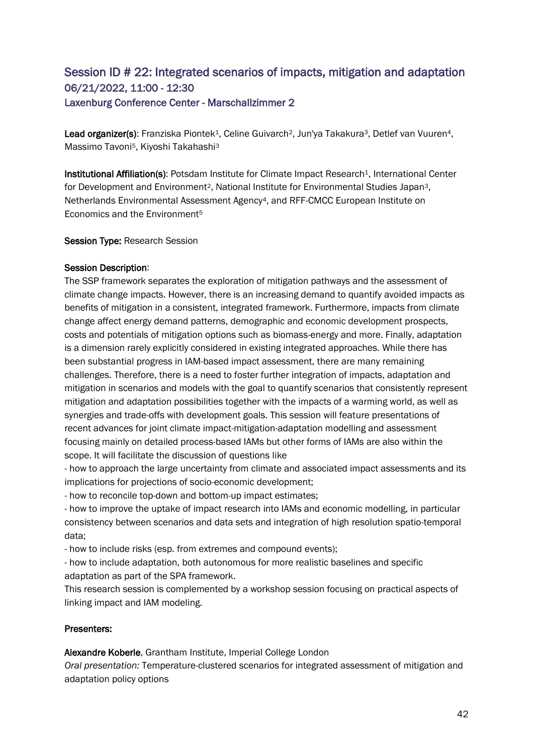## Session ID # 22: Integrated scenarios of impacts, mitigation and adaptation 06/21/2022, 11:00 - 12:30 Laxenburg Conference Center - Marschallzimmer 2

Lead organizer(s): Franziska Piontek<sup>1</sup>, Celine Guivarch<sup>2</sup>, Jun'ya Takakura<sup>3</sup>, Detlef van Vuuren<sup>4</sup>, Massimo Tavoni<sup>5</sup>, Kiyoshi Takahashi<sup>3</sup>

Institutional Affiliation(s): Potsdam Institute for Climate Impact Research<sup>1</sup>, International Center for Development and Environment<sup>2</sup>, National Institute for Environmental Studies Japan<sup>3</sup>, Netherlands Environmental Assessment Agency4, and RFF-CMCC European Institute on Economics and the Environment<sup>5</sup>

#### Session Type: Research Session

#### Session Description:

The SSP framework separates the exploration of mitigation pathways and the assessment of climate change impacts. However, there is an increasing demand to quantify avoided impacts as benefits of mitigation in a consistent, integrated framework. Furthermore, impacts from climate change affect energy demand patterns, demographic and economic development prospects, costs and potentials of mitigation options such as biomass-energy and more. Finally, adaptation is a dimension rarely explicitly considered in existing integrated approaches. While there has been substantial progress in IAM-based impact assessment, there are many remaining challenges. Therefore, there is a need to foster further integration of impacts, adaptation and mitigation in scenarios and models with the goal to quantify scenarios that consistently represent mitigation and adaptation possibilities together with the impacts of a warming world, as well as synergies and trade-offs with development goals. This session will feature presentations of recent advances for joint climate impact-mitigation-adaptation modelling and assessment focusing mainly on detailed process-based IAMs but other forms of IAMs are also within the scope. It will facilitate the discussion of questions like

- how to approach the large uncertainty from climate and associated impact assessments and its implications for projections of socio-economic development;

- how to reconcile top-down and bottom-up impact estimates;

- how to improve the uptake of impact research into IAMs and economic modelling, in particular consistency between scenarios and data sets and integration of high resolution spatio-temporal data;

- how to include risks (esp. from extremes and compound events);

- how to include adaptation, both autonomous for more realistic baselines and specific adaptation as part of the SPA framework.

This research session is complemented by a workshop session focusing on practical aspects of linking impact and IAM modeling.

## Presenters:

Alexandre Koberle, Grantham Institute, Imperial College London

*Oral presentation:* Temperature-clustered scenarios for integrated assessment of mitigation and adaptation policy options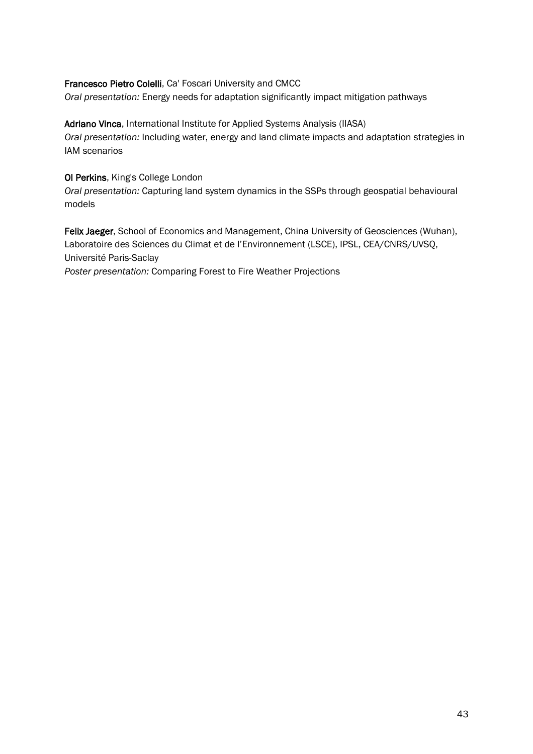## Francesco Pietro Colelli, Ca' Foscari University and CMCC

*Oral presentation:* Energy needs for adaptation significantly impact mitigation pathways

## Adriano Vinca, International Institute for Applied Systems Analysis (IIASA)

*Oral presentation:* Including water, energy and land climate impacts and adaptation strategies in IAM scenarios

## Ol Perkins, King's College London

*Oral presentation:* Capturing land system dynamics in the SSPs through geospatial behavioural models

Felix Jaeger, School of Economics and Management, China University of Geosciences (Wuhan), Laboratoire des Sciences du Climat et de l'Environnement (LSCE), IPSL, CEA/CNRS/UVSQ, Université Paris-Saclay

*Poster presentation:* Comparing Forest to Fire Weather Projections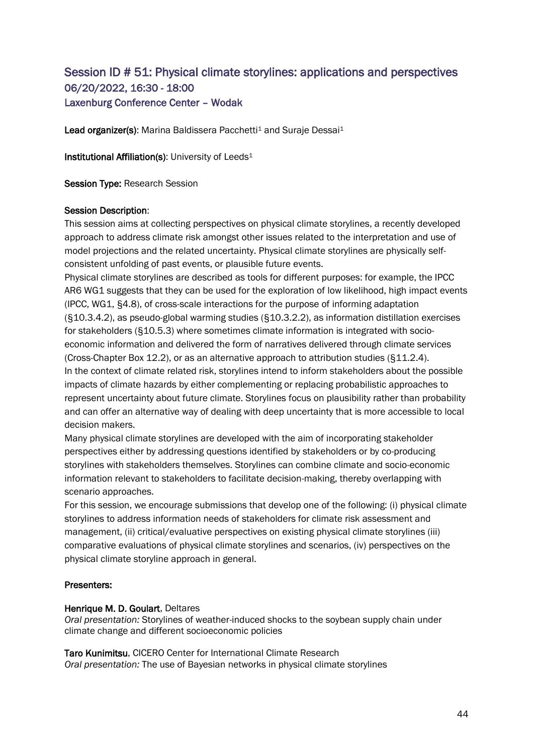## Session ID # 51: Physical climate storylines: applications and perspectives 06/20/2022, 16:30 - 18:00 Laxenburg Conference Center – Wodak

Lead organizer(s): Marina Baldissera Pacchetti<sup>1</sup> and Suraje Dessai<sup>1</sup>

Institutional Affiliation(s): University of Leeds<sup>1</sup>

Session Type: Research Session

#### Session Description:

This session aims at collecting perspectives on physical climate storylines, a recently developed approach to address climate risk amongst other issues related to the interpretation and use of model projections and the related uncertainty. Physical climate storylines are physically selfconsistent unfolding of past events, or plausible future events.

Physical climate storylines are described as tools for different purposes: for example, the IPCC AR6 WG1 suggests that they can be used for the exploration of low likelihood, high impact events (IPCC, WG1, §4.8), of cross-scale interactions for the purpose of informing adaptation (§10.3.4.2), as pseudo-global warming studies (§10.3.2.2), as information distillation exercises for stakeholders (§10.5.3) where sometimes climate information is integrated with socioeconomic information and delivered the form of narratives delivered through climate services (Cross-Chapter Box 12.2), or as an alternative approach to attribution studies (§11.2.4). In the context of climate related risk, storylines intend to inform stakeholders about the possible impacts of climate hazards by either complementing or replacing probabilistic approaches to represent uncertainty about future climate. Storylines focus on plausibility rather than probability and can offer an alternative way of dealing with deep uncertainty that is more accessible to local decision makers.

Many physical climate storylines are developed with the aim of incorporating stakeholder perspectives either by addressing questions identified by stakeholders or by co-producing storylines with stakeholders themselves. Storylines can combine climate and socio-economic information relevant to stakeholders to facilitate decision-making, thereby overlapping with scenario approaches.

For this session, we encourage submissions that develop one of the following: (i) physical climate storylines to address information needs of stakeholders for climate risk assessment and management, (ii) critical/evaluative perspectives on existing physical climate storylines (iii) comparative evaluations of physical climate storylines and scenarios, (iv) perspectives on the physical climate storyline approach in general.

## Presenters:

#### Henrique M. D. Goulart, Deltares

*Oral presentation:* Storylines of weather-induced shocks to the soybean supply chain under climate change and different socioeconomic policies

Taro Kunimitsu, CICERO Center for International Climate Research *Oral presentation:* The use of Bayesian networks in physical climate storylines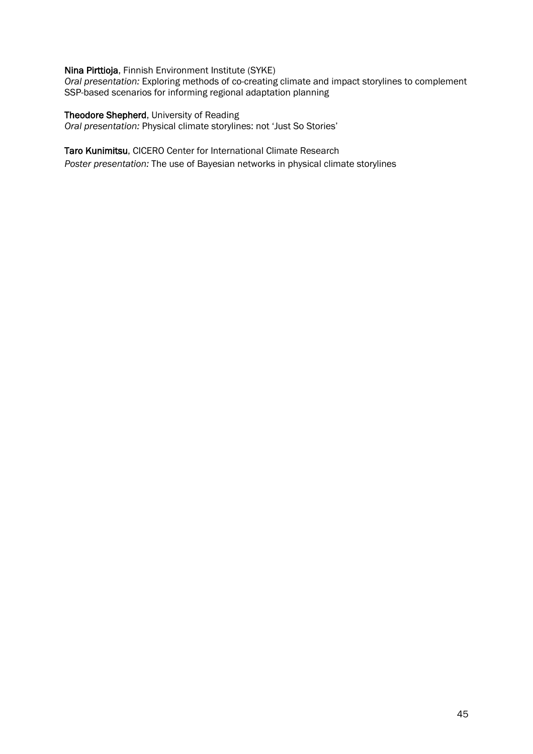#### Nina Pirttioja, Finnish Environment Institute (SYKE)

*Oral presentation:* Exploring methods of co-creating climate and impact storylines to complement SSP-based scenarios for informing regional adaptation planning

Theodore Shepherd, University of Reading *Oral presentation:* Physical climate storylines: not 'Just So Stories'

#### Taro Kunimitsu, CICERO Center for International Climate Research

*Poster presentation:* The use of Bayesian networks in physical climate storylines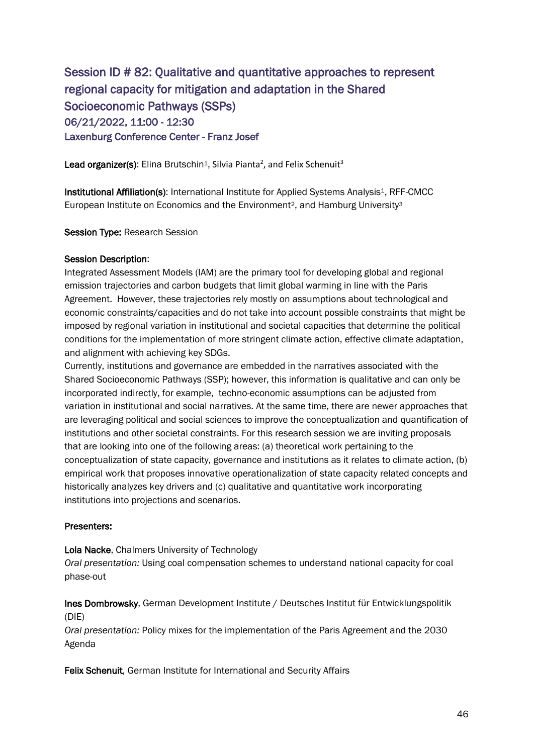# Session ID # 82: Qualitative and quantitative approaches to represent regional capacity for mitigation and adaptation in the Shared Socioeconomic Pathways (SSPs) 06/21/2022, 11:00 - 12:30 Laxenburg Conference Center - Franz Josef

 ${\sf Lead}$  organizer(s): Elina Brutschin $^1$ , Silvia Pianta $^2$ , and Felix Schenuit $^3$ 

Institutional Affiliation(s): International Institute for Applied Systems Analysis<sup>1</sup>, RFF-CMCC European Institute on Economics and the Environment<sup>2</sup>, and Hamburg University<sup>3</sup>

Session Type: Research Session

#### Session Description:

Integrated Assessment Models (IAM) are the primary tool for developing global and regional emission trajectories and carbon budgets that limit global warming in line with the Paris Agreement. However, these trajectories rely mostly on assumptions about technological and economic constraints/capacities and do not take into account possible constraints that might be imposed by regional variation in institutional and societal capacities that determine the political conditions for the implementation of more stringent climate action, effective climate adaptation, and alignment with achieving key SDGs.

Currently, institutions and governance are embedded in the narratives associated with the Shared Socioeconomic Pathways (SSP); however, this information is qualitative and can only be incorporated indirectly, for example, techno-economic assumptions can be adjusted from variation in institutional and social narratives. At the same time, there are newer approaches that are leveraging political and social sciences to improve the conceptualization and quantification of institutions and other societal constraints. For this research session we are inviting proposals that are looking into one of the following areas: (a) theoretical work pertaining to the conceptualization of state capacity, governance and institutions as it relates to climate action, (b) empirical work that proposes innovative operationalization of state capacity related concepts and historically analyzes key drivers and (c) qualitative and quantitative work incorporating institutions into projections and scenarios.

## Presenters:

#### Lola Nacke, Chalmers University of Technology

*Oral presentation:* Using coal compensation schemes to understand national capacity for coal phase-out

Ines Dombrowsky, German Development Institute / Deutsches Institut für Entwicklungspolitik (DIE)

*Oral presentation:* Policy mixes for the implementation of the Paris Agreement and the 2030 Agenda

Felix Schenuit, German Institute for International and Security Affairs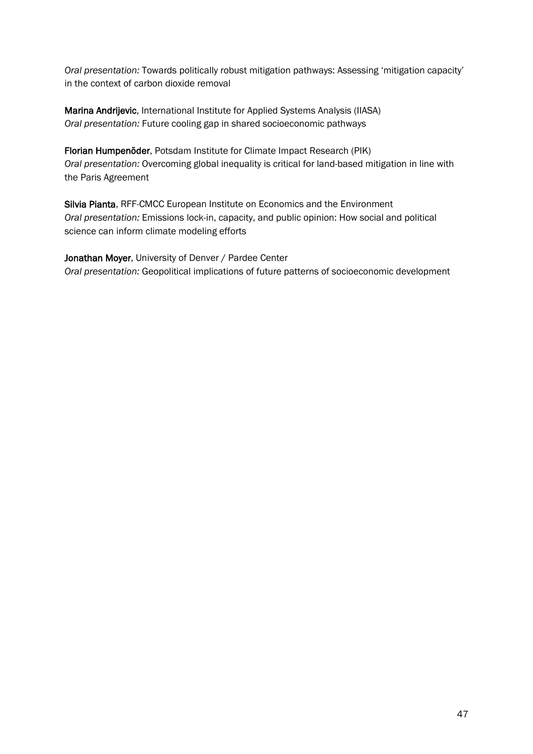*Oral presentation:* Towards politically robust mitigation pathways: Assessing 'mitigation capacity' in the context of carbon dioxide removal

Marina Andrijevic, International Institute for Applied Systems Analysis (IIASA) *Oral presentation:* Future cooling gap in shared socioeconomic pathways

Florian Humpenöder, Potsdam Institute for Climate Impact Research (PIK) *Oral presentation:* Overcoming global inequality is critical for land-based mitigation in line with the Paris Agreement

Silvia Pianta, RFF-CMCC European Institute on Economics and the Environment *Oral presentation:* Emissions lock-in, capacity, and public opinion: How social and political science can inform climate modeling efforts

Jonathan Moyer, University of Denver / Pardee Center *Oral presentation:* Geopolitical implications of future patterns of socioeconomic development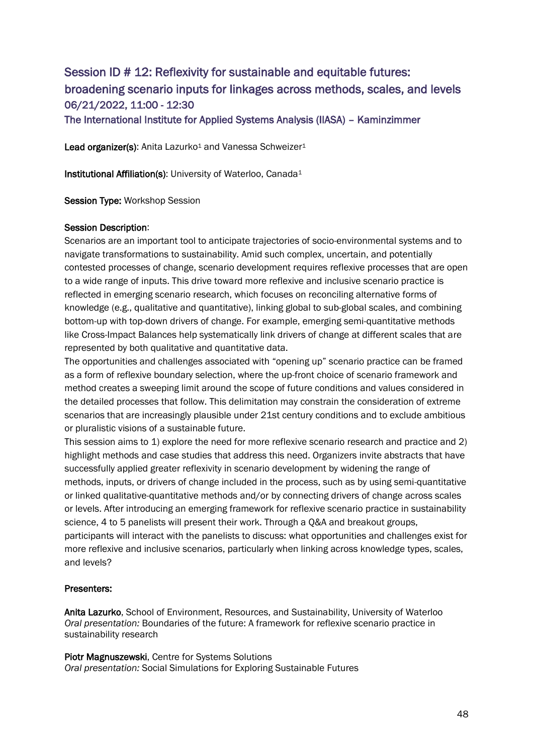# Session ID # 12: Reflexivity for sustainable and equitable futures: broadening scenario inputs for linkages across methods, scales, and levels 06/21/2022, 11:00 - 12:30

The International Institute for Applied Systems Analysis (IIASA) – Kaminzimmer

Lead organizer(s): Anita Lazurko<sup>1</sup> and Vanessa Schweizer<sup>1</sup>

Institutional Affiliation(s): University of Waterloo, Canada<sup>1</sup>

Session Type: Workshop Session

#### Session Description:

Scenarios are an important tool to anticipate trajectories of socio-environmental systems and to navigate transformations to sustainability. Amid such complex, uncertain, and potentially contested processes of change, scenario development requires reflexive processes that are open to a wide range of inputs. This drive toward more reflexive and inclusive scenario practice is reflected in emerging scenario research, which focuses on reconciling alternative forms of knowledge (e.g., qualitative and quantitative), linking global to sub-global scales, and combining bottom-up with top-down drivers of change. For example, emerging semi-quantitative methods like Cross-Impact Balances help systematically link drivers of change at different scales that are represented by both qualitative and quantitative data.

The opportunities and challenges associated with "opening up" scenario practice can be framed as a form of reflexive boundary selection, where the up-front choice of scenario framework and method creates a sweeping limit around the scope of future conditions and values considered in the detailed processes that follow. This delimitation may constrain the consideration of extreme scenarios that are increasingly plausible under 21st century conditions and to exclude ambitious or pluralistic visions of a sustainable future.

This session aims to 1) explore the need for more reflexive scenario research and practice and 2) highlight methods and case studies that address this need. Organizers invite abstracts that have successfully applied greater reflexivity in scenario development by widening the range of methods, inputs, or drivers of change included in the process, such as by using semi-quantitative or linked qualitative-quantitative methods and/or by connecting drivers of change across scales or levels. After introducing an emerging framework for reflexive scenario practice in sustainability science, 4 to 5 panelists will present their work. Through a Q&A and breakout groups, participants will interact with the panelists to discuss: what opportunities and challenges exist for more reflexive and inclusive scenarios, particularly when linking across knowledge types, scales, and levels?

## Presenters:

Anita Lazurko, School of Environment, Resources, and Sustainability, University of Waterloo *Oral presentation:* Boundaries of the future: A framework for reflexive scenario practice in sustainability research

Piotr Magnuszewski, Centre for Systems Solutions *Oral presentation:* Social Simulations for Exploring Sustainable Futures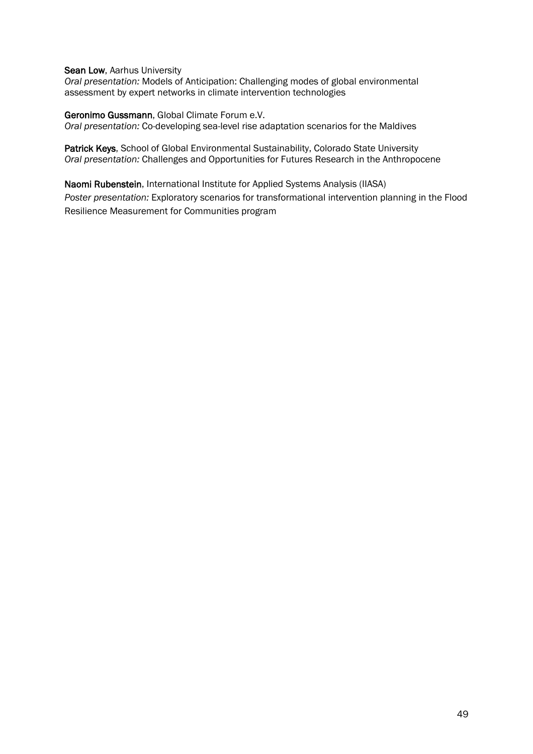Sean Low, Aarhus University

*Oral presentation:* Models of Anticipation: Challenging modes of global environmental assessment by expert networks in climate intervention technologies

Geronimo Gussmann, Global Climate Forum e.V.

*Oral presentation:* Co-developing sea-level rise adaptation scenarios for the Maldives

Patrick Keys, School of Global Environmental Sustainability, Colorado State University *Oral presentation:* Challenges and Opportunities for Futures Research in the Anthropocene

Naomi Rubenstein, International Institute for Applied Systems Analysis (IIASA) *Poster presentation:* Exploratory scenarios for transformational intervention planning in the Flood Resilience Measurement for Communities program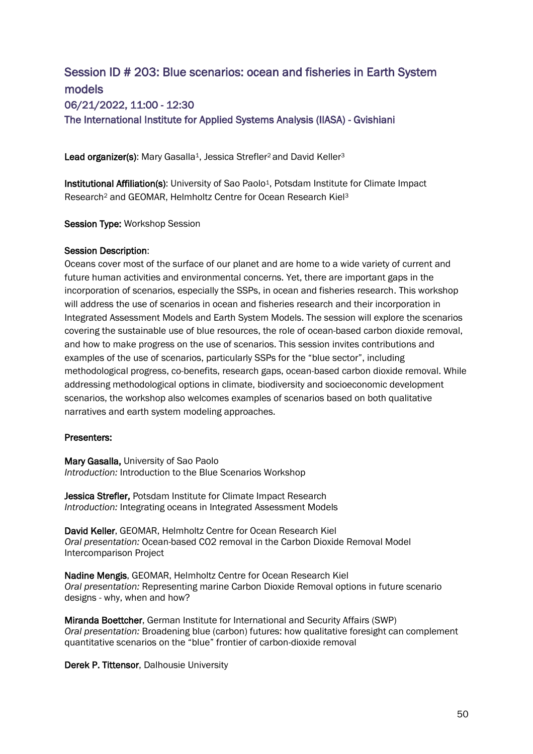# Session ID # 203: Blue scenarios: ocean and fisheries in Earth System models 06/21/2022, 11:00 - 12:30 The International Institute for Applied Systems Analysis (IIASA) - Gvishiani

Lead organizer(s): Mary Gasalla<sup>1</sup>, Jessica Strefler<sup>2</sup> and David Keller<sup>3</sup>

Institutional Affiliation(s): University of Sao Paolo<sup>1</sup>, Potsdam Institute for Climate Impact Research<sup>2</sup> and GEOMAR, Helmholtz Centre for Ocean Research Kiel<sup>3</sup>

Session Type: Workshop Session

#### Session Description:

Oceans cover most of the surface of our planet and are home to a wide variety of current and future human activities and environmental concerns. Yet, there are important gaps in the incorporation of scenarios, especially the SSPs, in ocean and fisheries research. This workshop will address the use of scenarios in ocean and fisheries research and their incorporation in Integrated Assessment Models and Earth System Models. The session will explore the scenarios covering the sustainable use of blue resources, the role of ocean-based carbon dioxide removal, and how to make progress on the use of scenarios. This session invites contributions and examples of the use of scenarios, particularly SSPs for the "blue sector", including methodological progress, co-benefits, research gaps, ocean-based carbon dioxide removal. While addressing methodological options in climate, biodiversity and socioeconomic development scenarios, the workshop also welcomes examples of scenarios based on both qualitative narratives and earth system modeling approaches.

#### Presenters:

Mary Gasalla, University of Sao Paolo *Introduction:* Introduction to the Blue Scenarios Workshop

Jessica Strefler, Potsdam Institute for Climate Impact Research *Introduction:* Integrating oceans in Integrated Assessment Models

David Keller, GEOMAR, Helmholtz Centre for Ocean Research Kiel *Oral presentation:* Ocean-based CO2 removal in the Carbon Dioxide Removal Model Intercomparison Project

Nadine Mengis, GEOMAR, Helmholtz Centre for Ocean Research Kiel *Oral presentation:* Representing marine Carbon Dioxide Removal options in future scenario designs - why, when and how?

Miranda Boettcher, German Institute for International and Security Affairs (SWP) *Oral presentation:* Broadening blue (carbon) futures: how qualitative foresight can complement quantitative scenarios on the "blue" frontier of carbon-dioxide removal

Derek P. Tittensor, Dalhousie University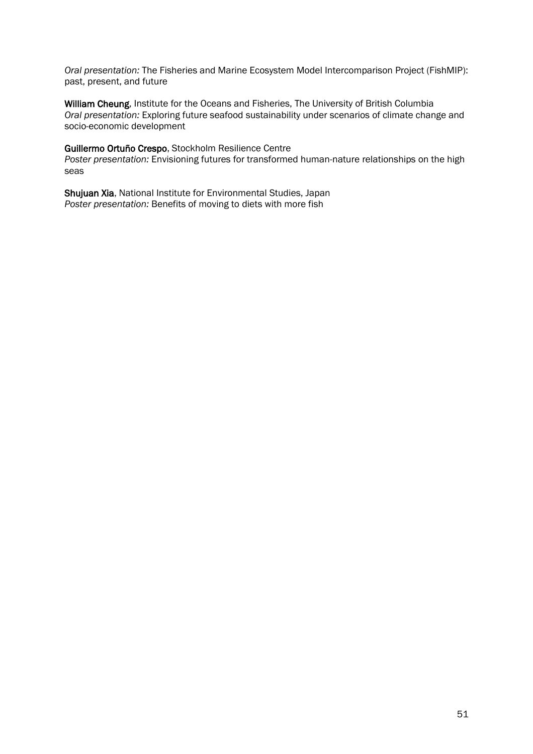*Oral presentation:* The Fisheries and Marine Ecosystem Model Intercomparison Project (FishMIP): past, present, and future

William Cheung, Institute for the Oceans and Fisheries, The University of British Columbia *Oral presentation:* Exploring future seafood sustainability under scenarios of climate change and socio-economic development

#### Guillermo Ortuño Crespo, Stockholm Resilience Centre

*Poster presentation:* Envisioning futures for transformed human-nature relationships on the high seas

Shujuan Xia, National Institute for Environmental Studies, Japan *Poster presentation:* Benefits of moving to diets with more fish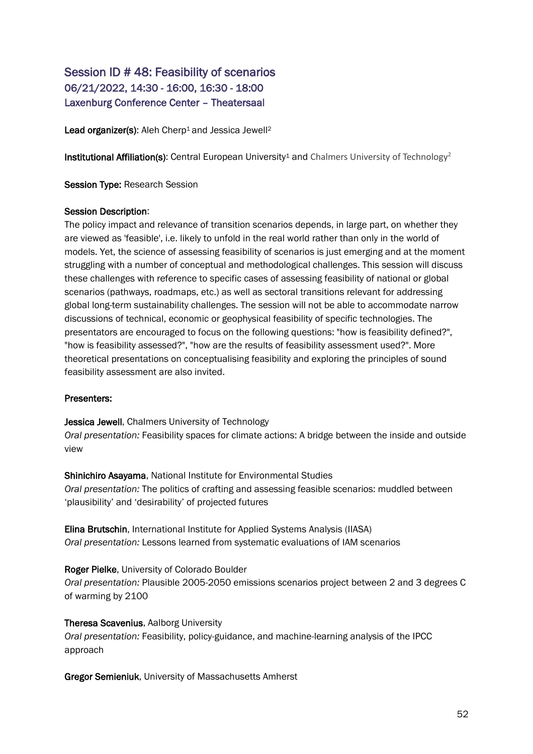## Session ID # 48: Feasibility of scenarios 06/21/2022, 14:30 - 16:00, 16:30 - 18:00 Laxenburg Conference Center – Theatersaal

Lead organizer(s): Aleh Cherp<sup>1</sup> and Jessica Jewell<sup>2</sup>

**Institutional Affiliation(s):** Central European University<sup>1</sup> and Chalmers University of Technology<sup>2</sup>

Session Type: Research Session

#### Session Description:

The policy impact and relevance of transition scenarios depends, in large part, on whether they are viewed as 'feasible', i.e. likely to unfold in the real world rather than only in the world of models. Yet, the science of assessing feasibility of scenarios is just emerging and at the moment struggling with a number of conceptual and methodological challenges. This session will discuss these challenges with reference to specific cases of assessing feasibility of national or global scenarios (pathways, roadmaps, etc.) as well as sectoral transitions relevant for addressing global long-term sustainability challenges. The session will not be able to accommodate narrow discussions of technical, economic or geophysical feasibility of specific technologies. The presentators are encouraged to focus on the following questions: "how is feasibility defined?", "how is feasibility assessed?", "how are the results of feasibility assessment used?". More theoretical presentations on conceptualising feasibility and exploring the principles of sound feasibility assessment are also invited.

## Presenters:

Jessica Jewell, Chalmers University of Technology

*Oral presentation:* Feasibility spaces for climate actions: A bridge between the inside and outside view

Shinichiro Asayama, National Institute for Environmental Studies *Oral presentation:* The politics of crafting and assessing feasible scenarios: muddled between 'plausibility' and 'desirability' of projected futures

Elina Brutschin, International Institute for Applied Systems Analysis (IIASA) *Oral presentation:* Lessons learned from systematic evaluations of IAM scenarios

## Roger Pielke, University of Colorado Boulder

*Oral presentation:* Plausible 2005-2050 emissions scenarios project between 2 and 3 degrees C of warming by 2100

## Theresa Scavenius, Aalborg University

*Oral presentation:* Feasibility, policy-guidance, and machine-learning analysis of the IPCC approach

Gregor Semieniuk, University of Massachusetts Amherst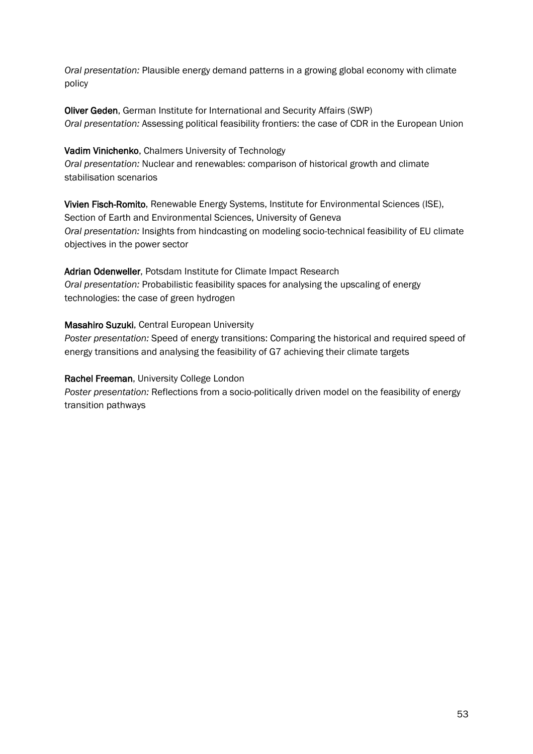*Oral presentation:* Plausible energy demand patterns in a growing global economy with climate policy

Oliver Geden, German Institute for International and Security Affairs (SWP) *Oral presentation:* Assessing political feasibility frontiers: the case of CDR in the European Union

Vadim Vinichenko, Chalmers University of Technology *Oral presentation:* Nuclear and renewables: comparison of historical growth and climate stabilisation scenarios

Vivien Fisch-Romito, Renewable Energy Systems, Institute for Environmental Sciences (ISE), Section of Earth and Environmental Sciences, University of Geneva *Oral presentation:* Insights from hindcasting on modeling socio-technical feasibility of EU climate objectives in the power sector

Adrian Odenweller, Potsdam Institute for Climate Impact Research *Oral presentation:* Probabilistic feasibility spaces for analysing the upscaling of energy technologies: the case of green hydrogen

Masahiro Suzuki, Central European University

*Poster presentation:* Speed of energy transitions: Comparing the historical and required speed of energy transitions and analysing the feasibility of G7 achieving their climate targets

## Rachel Freeman, University College London

*Poster presentation:* Reflections from a socio-politically driven model on the feasibility of energy transition pathways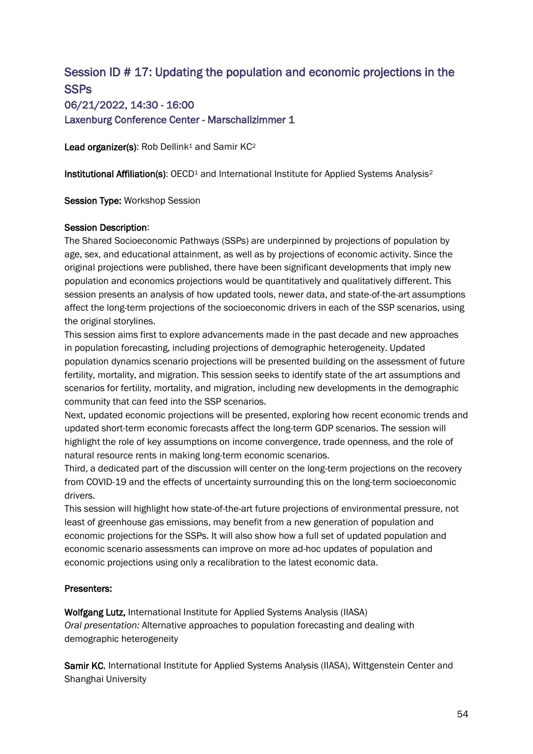# Session ID # 17: Updating the population and economic projections in the **SSPs** 06/21/2022, 14:30 - 16:00 Laxenburg Conference Center - Marschallzimmer 1

Lead organizer(s): Rob Dellink<sup>1</sup> and Samir KC<sup>2</sup>

Institutional Affiliation(s): OECD<sup>1</sup> and International Institute for Applied Systems Analysis<sup>2</sup>

Session Type: Workshop Session

## Session Description:

The Shared Socioeconomic Pathways (SSPs) are underpinned by projections of population by age, sex, and educational attainment, as well as by projections of economic activity. Since the original projections were published, there have been significant developments that imply new population and economics projections would be quantitatively and qualitatively different. This session presents an analysis of how updated tools, newer data, and state-of-the-art assumptions affect the long-term projections of the socioeconomic drivers in each of the SSP scenarios, using the original storylines.

This session aims first to explore advancements made in the past decade and new approaches in population forecasting, including projections of demographic heterogeneity. Updated population dynamics scenario projections will be presented building on the assessment of future fertility, mortality, and migration. This session seeks to identify state of the art assumptions and scenarios for fertility, mortality, and migration, including new developments in the demographic community that can feed into the SSP scenarios.

Next, updated economic projections will be presented, exploring how recent economic trends and updated short-term economic forecasts affect the long-term GDP scenarios. The session will highlight the role of key assumptions on income convergence, trade openness, and the role of natural resource rents in making long-term economic scenarios.

Third, a dedicated part of the discussion will center on the long-term projections on the recovery from COVID-19 and the effects of uncertainty surrounding this on the long-term socioeconomic drivers.

This session will highlight how state-of-the-art future projections of environmental pressure, not least of greenhouse gas emissions, may benefit from a new generation of population and economic projections for the SSPs. It will also show how a full set of updated population and economic scenario assessments can improve on more ad-hoc updates of population and economic projections using only a recalibration to the latest economic data.

## Presenters:

Wolfgang Lutz, International Institute for Applied Systems Analysis (IIASA) *Oral presentation:* Alternative approaches to population forecasting and dealing with demographic heterogeneity

Samir KC, International Institute for Applied Systems Analysis (IIASA), Wittgenstein Center and Shanghai University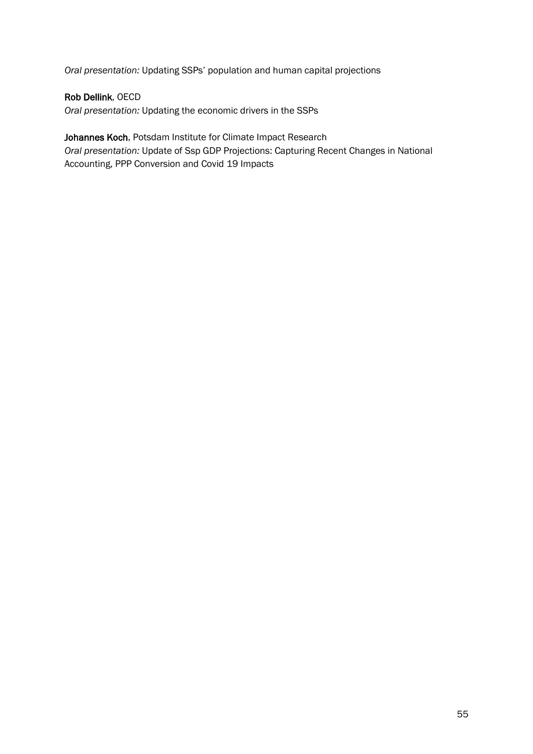*Oral presentation:* Updating SSPs' population and human capital projections

## Rob Dellink, OECD

*Oral presentation:* Updating the economic drivers in the SSPs

# Johannes Koch, Potsdam Institute for Climate Impact Research

*Oral presentation:* Update of Ssp GDP Projections: Capturing Recent Changes in National Accounting, PPP Conversion and Covid 19 Impacts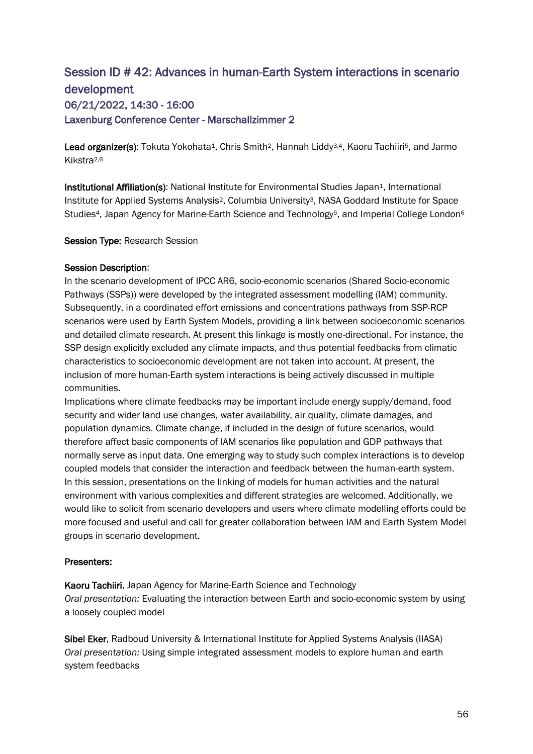# Session ID # 42: Advances in human-Earth System interactions in scenario development 06/21/2022, 14:30 - 16:00 Laxenburg Conference Center - Marschallzimmer 2

Lead organizer(s): Tokuta Yokohata<sup>1</sup>, Chris Smith<sup>2</sup>, Hannah Liddy<sup>3,4</sup>, Kaoru Tachiiri<sup>5</sup>, and Jarmo Kikstra2,6

Institutional Affiliation(s): National Institute for Environmental Studies Japan<sup>1</sup>, International Institute for Applied Systems Analysis2, Columbia University3, NASA Goddard Institute for Space Studies<sup>4</sup>, Japan Agency for Marine-Earth Science and Technology<sup>5</sup>, and Imperial College London<sup>6</sup>

#### Session Type: Research Session

#### Session Description:

In the scenario development of IPCC AR6, socio-economic scenarios (Shared Socio-economic Pathways (SSPs)) were developed by the integrated assessment modelling (IAM) community. Subsequently, in a coordinated effort emissions and concentrations pathways from SSP-RCP scenarios were used by Earth System Models, providing a link between socioeconomic scenarios and detailed climate research. At present this linkage is mostly one-directional. For instance, the SSP design explicitly excluded any climate impacts, and thus potential feedbacks from climatic characteristics to socioeconomic development are not taken into account. At present, the inclusion of more human-Earth system interactions is being actively discussed in multiple communities.

Implications where climate feedbacks may be important include energy supply/demand, food security and wider land use changes, water availability, air quality, climate damages, and population dynamics. Climate change, if included in the design of future scenarios, would therefore affect basic components of IAM scenarios like population and GDP pathways that normally serve as input data. One emerging way to study such complex interactions is to develop coupled models that consider the interaction and feedback between the human-earth system. In this session, presentations on the linking of models for human activities and the natural environment with various complexities and different strategies are welcomed. Additionally, we would like to solicit from scenario developers and users where climate modelling efforts could be more focused and useful and call for greater collaboration between IAM and Earth System Model groups in scenario development.

#### Presenters:

Kaoru Tachiiri, Japan Agency for Marine-Earth Science and Technology *Oral presentation:* Evaluating the interaction between Earth and socio-economic system by using a loosely coupled model

Sibel Eker, Radboud University & International Institute for Applied Systems Analysis (IIASA) *Oral presentation:* Using simple integrated assessment models to explore human and earth system feedbacks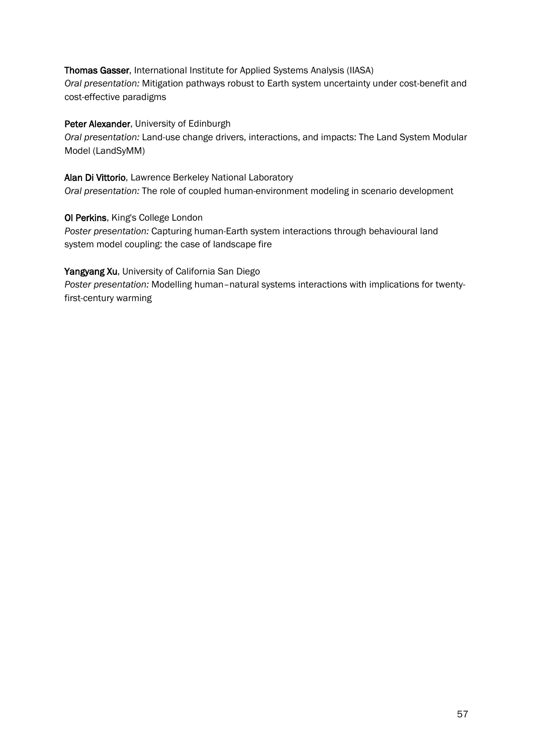Thomas Gasser, International Institute for Applied Systems Analysis (IIASA) *Oral presentation:* Mitigation pathways robust to Earth system uncertainty under cost-benefit and cost-effective paradigms

## Peter Alexander, University of Edinburgh

*Oral presentation:* Land-use change drivers, interactions, and impacts: The Land System Modular Model (LandSyMM)

## Alan Di Vittorio, Lawrence Berkeley National Laboratory

*Oral presentation:* The role of coupled human-environment modeling in scenario development

## Ol Perkins, King's College London

*Poster presentation:* Capturing human-Earth system interactions through behavioural land system model coupling: the case of landscape fire

## Yangyang Xu, University of California San Diego

*Poster presentation:* Modelling human–natural systems interactions with implications for twentyfirst-century warming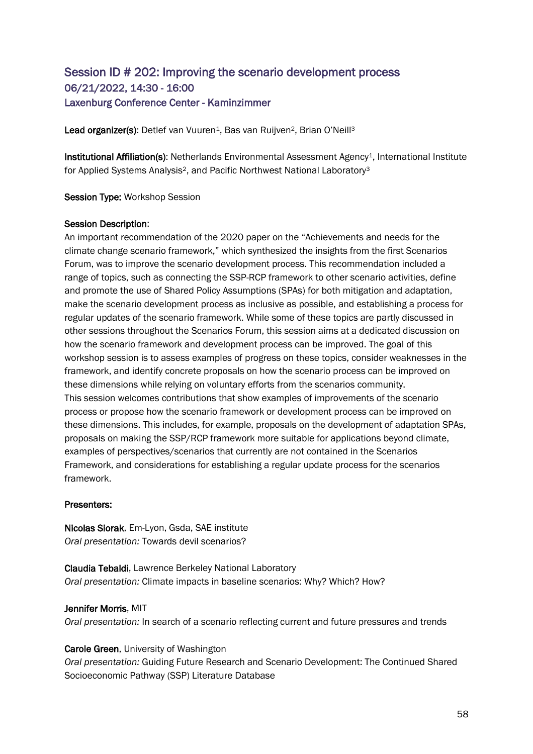## Session ID # 202: Improving the scenario development process 06/21/2022, 14:30 - 16:00 Laxenburg Conference Center - Kaminzimmer

Lead organizer(s): Detlef van Vuuren<sup>1</sup>, Bas van Ruijven<sup>2</sup>, Brian O'Neill<sup>3</sup>

Institutional Affiliation(s): Netherlands Environmental Assessment Agency<sup>1</sup>, International Institute for Applied Systems Analysis2, and Pacific Northwest National Laboratory<sup>3</sup>

Session Type: Workshop Session

#### Session Description:

An important recommendation of the 2020 paper on the "Achievements and needs for the climate change scenario framework," which synthesized the insights from the first Scenarios Forum, was to improve the scenario development process. This recommendation included a range of topics, such as connecting the SSP-RCP framework to other scenario activities, define and promote the use of Shared Policy Assumptions (SPAs) for both mitigation and adaptation, make the scenario development process as inclusive as possible, and establishing a process for regular updates of the scenario framework. While some of these topics are partly discussed in other sessions throughout the Scenarios Forum, this session aims at a dedicated discussion on how the scenario framework and development process can be improved. The goal of this workshop session is to assess examples of progress on these topics, consider weaknesses in the framework, and identify concrete proposals on how the scenario process can be improved on these dimensions while relying on voluntary efforts from the scenarios community. This session welcomes contributions that show examples of improvements of the scenario process or propose how the scenario framework or development process can be improved on these dimensions. This includes, for example, proposals on the development of adaptation SPAs, proposals on making the SSP/RCP framework more suitable for applications beyond climate, examples of perspectives/scenarios that currently are not contained in the Scenarios Framework, and considerations for establishing a regular update process for the scenarios framework.

## Presenters:

Nicolas Siorak, Em-Lyon, Gsda, SAE institute *Oral presentation:* Towards devil scenarios?

Claudia Tebaldi, Lawrence Berkeley National Laboratory *Oral presentation:* Climate impacts in baseline scenarios: Why? Which? How?

## Jennifer Morris, MIT

*Oral presentation:* In search of a scenario reflecting current and future pressures and trends

Carole Green, University of Washington

*Oral presentation:* Guiding Future Research and Scenario Development: The Continued Shared Socioeconomic Pathway (SSP) Literature Database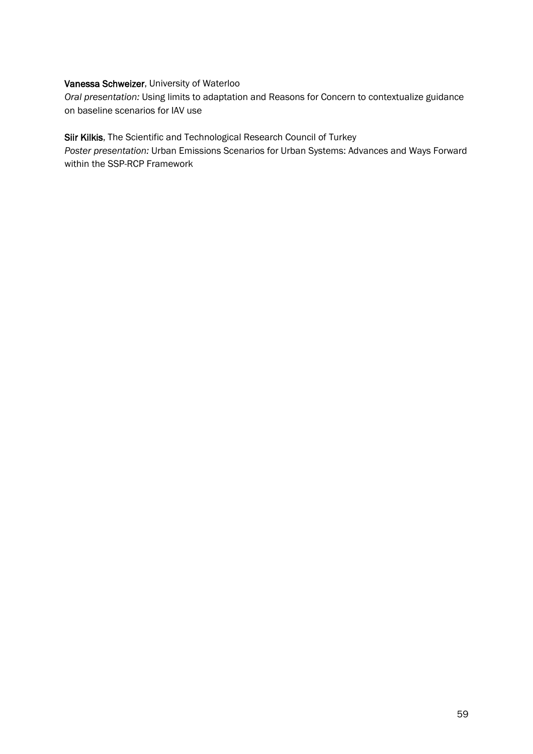## Vanessa Schweizer, University of Waterloo

*Oral presentation:* Using limits to adaptation and Reasons for Concern to contextualize guidance on baseline scenarios for IAV use

Siir Kilkis, The Scientific and Technological Research Council of Turkey

*Poster presentation:* Urban Emissions Scenarios for Urban Systems: Advances and Ways Forward within the SSP-RCP Framework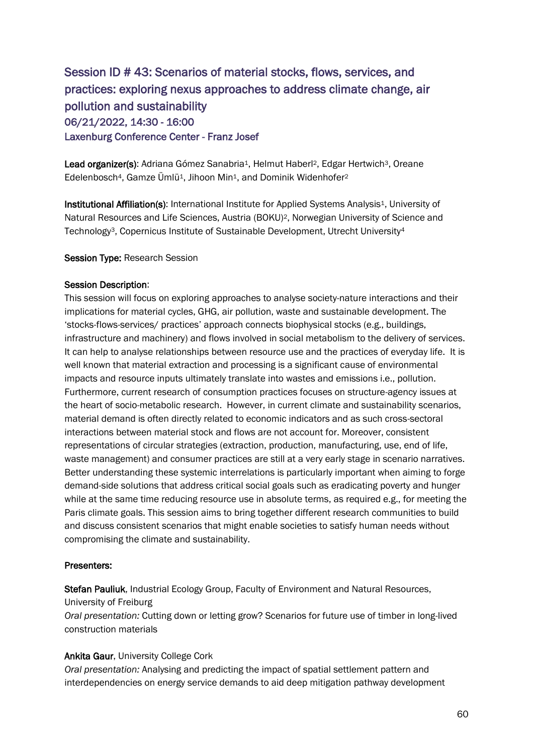# Session ID # 43: Scenarios of material stocks, flows, services, and practices: exploring nexus approaches to address climate change, air pollution and sustainability 06/21/2022, 14:30 - 16:00 Laxenburg Conference Center - Franz Josef

Lead organizer(s): Adriana Gómez Sanabria<sup>1</sup>, Helmut Haberl<sup>2</sup>, Edgar Hertwich<sup>3</sup>, Oreane Edelenbosch<sup>4</sup>, Gamze Ümlü<sup>1</sup>, Jihoon Min<sup>1</sup>, and Dominik Widenhofer<sup>2</sup>

Institutional Affiliation(s): International Institute for Applied Systems Analysis<sup>1</sup>, University of Natural Resources and Life Sciences, Austria (BOKU)2, Norwegian University of Science and Technology3, Copernicus Institute of Sustainable Development, Utrecht University<sup>4</sup>

#### Session Type: Research Session

#### Session Description:

This session will focus on exploring approaches to analyse society-nature interactions and their implications for material cycles, GHG, air pollution, waste and sustainable development. The 'stocks-flows-services/ practices' approach connects biophysical stocks (e.g., buildings, infrastructure and machinery) and flows involved in social metabolism to the delivery of services. It can help to analyse relationships between resource use and the practices of everyday life. It is well known that material extraction and processing is a significant cause of environmental impacts and resource inputs ultimately translate into wastes and emissions i.e., pollution. Furthermore, current research of consumption practices focuses on structure-agency issues at the heart of socio-metabolic research. However, in current climate and sustainability scenarios, material demand is often directly related to economic indicators and as such cross-sectoral interactions between material stock and flows are not account for. Moreover, consistent representations of circular strategies (extraction, production, manufacturing, use, end of life, waste management) and consumer practices are still at a very early stage in scenario narratives. Better understanding these systemic interrelations is particularly important when aiming to forge demand-side solutions that address critical social goals such as eradicating poverty and hunger while at the same time reducing resource use in absolute terms, as required e.g., for meeting the Paris climate goals. This session aims to bring together different research communities to build and discuss consistent scenarios that might enable societies to satisfy human needs without compromising the climate and sustainability.

#### Presenters:

Stefan Pauliuk, Industrial Ecology Group, Faculty of Environment and Natural Resources, University of Freiburg

*Oral presentation:* Cutting down or letting grow? Scenarios for future use of timber in long-lived construction materials

## Ankita Gaur, University College Cork

*Oral presentation:* Analysing and predicting the impact of spatial settlement pattern and interdependencies on energy service demands to aid deep mitigation pathway development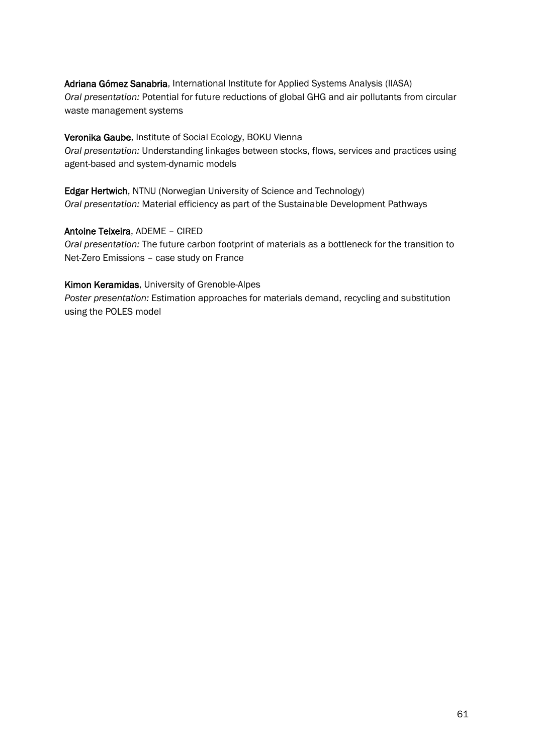Adriana Gómez Sanabria, International Institute for Applied Systems Analysis (IIASA) *Oral presentation:* Potential for future reductions of global GHG and air pollutants from circular waste management systems

#### Veronika Gaube, Institute of Social Ecology, BOKU Vienna

*Oral presentation:* Understanding linkages between stocks, flows, services and practices using agent-based and system-dynamic models

Edgar Hertwich, NTNU (Norwegian University of Science and Technology) *Oral presentation:* Material efficiency as part of the Sustainable Development Pathways

Antoine Teixeira, ADEME – CIRED

*Oral presentation:* The future carbon footprint of materials as a bottleneck for the transition to Net-Zero Emissions – case study on France

#### Kimon Keramidas, University of Grenoble-Alpes

*Poster presentation:* Estimation approaches for materials demand, recycling and substitution using the POLES model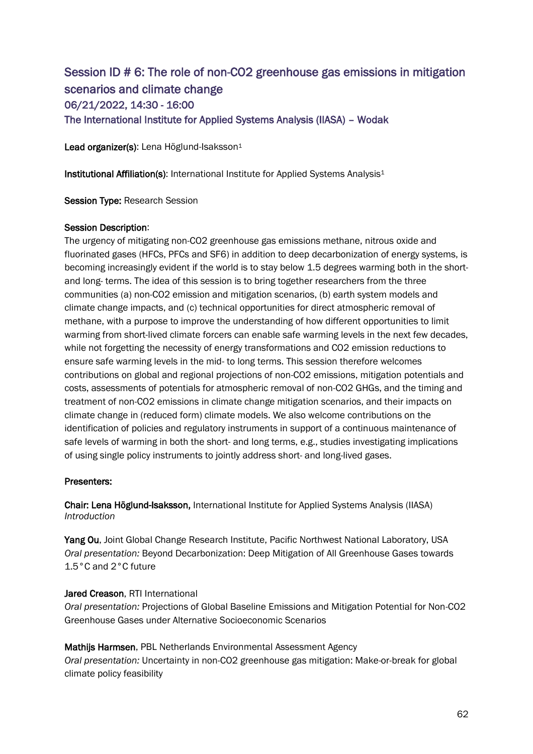# Session ID # 6: The role of non-CO2 greenhouse gas emissions in mitigation scenarios and climate change 06/21/2022, 14:30 - 16:00 The International Institute for Applied Systems Analysis (IIASA) – Wodak

Lead organizer(s): Lena Höglund-Isaksson<sup>1</sup>

Institutional Affiliation(s): International Institute for Applied Systems Analysis<sup>1</sup>

Session Type: Research Session

#### Session Description:

The urgency of mitigating non-CO2 greenhouse gas emissions methane, nitrous oxide and fluorinated gases (HFCs, PFCs and SF6) in addition to deep decarbonization of energy systems, is becoming increasingly evident if the world is to stay below 1.5 degrees warming both in the shortand long- terms. The idea of this session is to bring together researchers from the three communities (a) non-CO2 emission and mitigation scenarios, (b) earth system models and climate change impacts, and (c) technical opportunities for direct atmospheric removal of methane, with a purpose to improve the understanding of how different opportunities to limit warming from short-lived climate forcers can enable safe warming levels in the next few decades, while not forgetting the necessity of energy transformations and CO2 emission reductions to ensure safe warming levels in the mid- to long terms. This session therefore welcomes contributions on global and regional projections of non-CO2 emissions, mitigation potentials and costs, assessments of potentials for atmospheric removal of non-CO2 GHGs, and the timing and treatment of non-CO2 emissions in climate change mitigation scenarios, and their impacts on climate change in (reduced form) climate models. We also welcome contributions on the identification of policies and regulatory instruments in support of a continuous maintenance of safe levels of warming in both the short- and long terms, e.g., studies investigating implications of using single policy instruments to jointly address short- and long-lived gases.

## Presenters:

Chair: Lena Höglund-Isaksson, International Institute for Applied Systems Analysis (IIASA) *Introduction*

Yang Ou, Joint Global Change Research Institute, Pacific Northwest National Laboratory, USA *Oral presentation:* Beyond Decarbonization: Deep Mitigation of All Greenhouse Gases towards 1.5°C and 2°C future

## Jared Creason, RTI International

*Oral presentation:* Projections of Global Baseline Emissions and Mitigation Potential for Non-CO2 Greenhouse Gases under Alternative Socioeconomic Scenarios

Mathijs Harmsen, PBL Netherlands Environmental Assessment Agency *Oral presentation:* Uncertainty in non-CO2 greenhouse gas mitigation: Make-or-break for global climate policy feasibility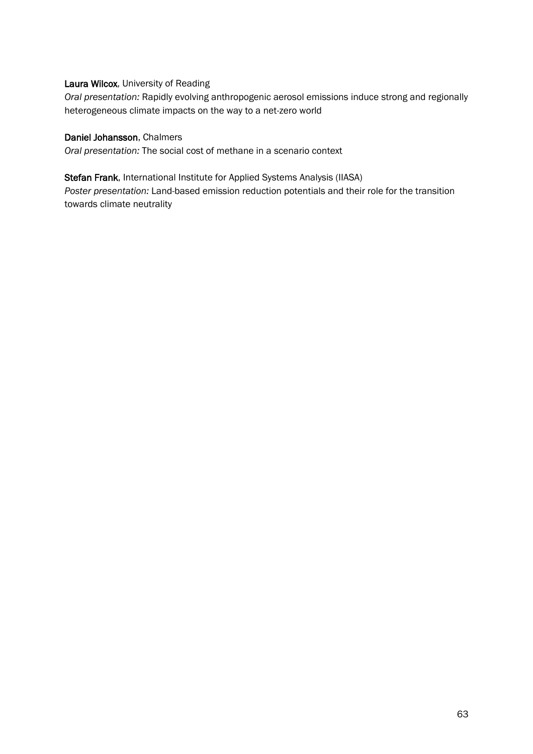## Laura Wilcox, University of Reading

*Oral presentation:* Rapidly evolving anthropogenic aerosol emissions induce strong and regionally heterogeneous climate impacts on the way to a net-zero world

## Daniel Johansson, Chalmers

*Oral presentation:* The social cost of methane in a scenario context

#### Stefan Frank, International Institute for Applied Systems Analysis (IIASA)

*Poster presentation:* Land-based emission reduction potentials and their role for the transition towards climate neutrality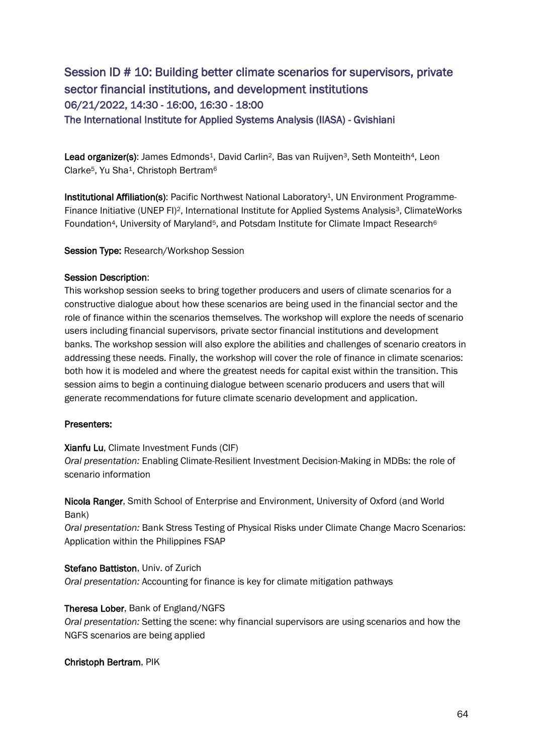# Session ID # 10: Building better climate scenarios for supervisors, private sector financial institutions, and development institutions 06/21/2022, 14:30 - 16:00, 16:30 - 18:00 The International Institute for Applied Systems Analysis (IIASA) - Gvishiani

Lead organizer(s): James Edmonds<sup>1</sup>, David Carlin<sup>2</sup>, Bas van Ruijven<sup>3</sup>, Seth Monteith<sup>4</sup>, Leon Clarke<sup>5</sup>, Yu Sha<sup>1</sup>, Christoph Bertram<sup>6</sup>

Institutional Affiliation(s): Pacific Northwest National Laboratory<sup>1</sup>, UN Environment Programme-Finance Initiative (UNEP FI)<sup>2</sup>, International Institute for Applied Systems Analysis<sup>3</sup>, ClimateWorks Foundation<sup>4</sup>, University of Maryland<sup>5</sup>, and Potsdam Institute for Climate Impact Research<sup>6</sup>

Session Type: Research/Workshop Session

## Session Description:

This workshop session seeks to bring together producers and users of climate scenarios for a constructive dialogue about how these scenarios are being used in the financial sector and the role of finance within the scenarios themselves. The workshop will explore the needs of scenario users including financial supervisors, private sector financial institutions and development banks. The workshop session will also explore the abilities and challenges of scenario creators in addressing these needs. Finally, the workshop will cover the role of finance in climate scenarios: both how it is modeled and where the greatest needs for capital exist within the transition. This session aims to begin a continuing dialogue between scenario producers and users that will generate recommendations for future climate scenario development and application.

## Presenters:

## Xianfu Lu, Climate Investment Funds (CIF)

*Oral presentation:* Enabling Climate-Resilient Investment Decision-Making in MDBs: the role of scenario information

Nicola Ranger, Smith School of Enterprise and Environment, University of Oxford (and World Bank)

*Oral presentation:* Bank Stress Testing of Physical Risks under Climate Change Macro Scenarios: Application within the Philippines FSAP

## Stefano Battiston, Univ. of Zurich

*Oral presentation:* Accounting for finance is key for climate mitigation pathways

## Theresa Lober, Bank of England/NGFS

*Oral presentation:* Setting the scene: why financial supervisors are using scenarios and how the NGFS scenarios are being applied

## Christoph Bertram, PIK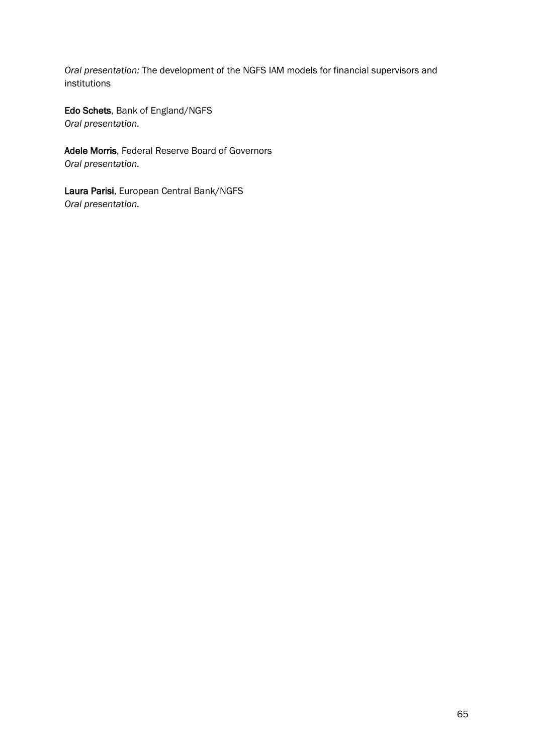*Oral presentation:* The development of the NGFS IAM models for financial supervisors and institutions

Edo Schets, Bank of England/NGFS *Oral presentation.*

Adele Morris, Federal Reserve Board of Governors *Oral presentation.*

Laura Parisi, European Central Bank/NGFS *Oral presentation.*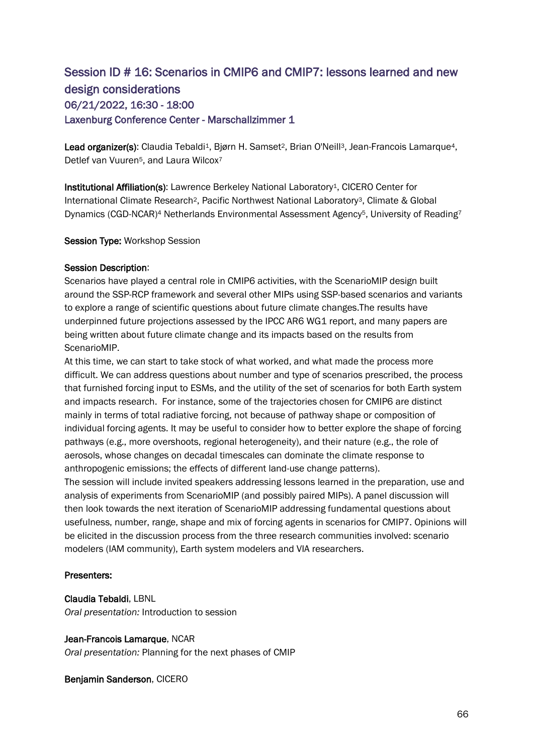# Session ID # 16: Scenarios in CMIP6 and CMIP7: lessons learned and new design considerations 06/21/2022, 16:30 - 18:00 Laxenburg Conference Center - Marschallzimmer 1

Lead organizer(s): Claudia Tebaldi<sup>1</sup>, Bjørn H. Samset<sup>2</sup>, Brian O'Neill<sup>3</sup>, Jean-Francois Lamarque<sup>4</sup>, Detlef van Vuuren<sup>5</sup>, and Laura Wilcox<sup>7</sup>

Institutional Affiliation(s): Lawrence Berkeley National Laboratory1, CICERO Center for International Climate Research2, Pacific Northwest National Laboratory3, Climate & Global Dynamics (CGD-NCAR)<sup>4</sup> Netherlands Environmental Assessment Agency5, University of Reading<sup>7</sup>

#### Session Type: Workshop Session

#### Session Description:

Scenarios have played a central role in CMIP6 activities, with the ScenarioMIP design built around the SSP-RCP framework and several other MIPs using SSP-based scenarios and variants to explore a range of scientific questions about future climate changes.The results have underpinned future projections assessed by the IPCC AR6 WG1 report, and many papers are being written about future climate change and its impacts based on the results from ScenarioMIP.

At this time, we can start to take stock of what worked, and what made the process more difficult. We can address questions about number and type of scenarios prescribed, the process that furnished forcing input to ESMs, and the utility of the set of scenarios for both Earth system and impacts research. For instance, some of the trajectories chosen for CMIP6 are distinct mainly in terms of total radiative forcing, not because of pathway shape or composition of individual forcing agents. It may be useful to consider how to better explore the shape of forcing pathways (e.g., more overshoots, regional heterogeneity), and their nature (e.g., the role of aerosols, whose changes on decadal timescales can dominate the climate response to anthropogenic emissions; the effects of different land-use change patterns). The session will include invited speakers addressing lessons learned in the preparation, use and analysis of experiments from ScenarioMIP (and possibly paired MIPs). A panel discussion will then look towards the next iteration of ScenarioMIP addressing fundamental questions about usefulness, number, range, shape and mix of forcing agents in scenarios for CMIP7. Opinions will be elicited in the discussion process from the three research communities involved: scenario modelers (IAM community), Earth system modelers and VIA researchers.

## Presenters:

Claudia Tebaldi, LBNL

*Oral presentation:* Introduction to session

#### Jean-Francois Lamarque, NCAR

*Oral presentation:* Planning for the next phases of CMIP

Benjamin Sanderson, CICERO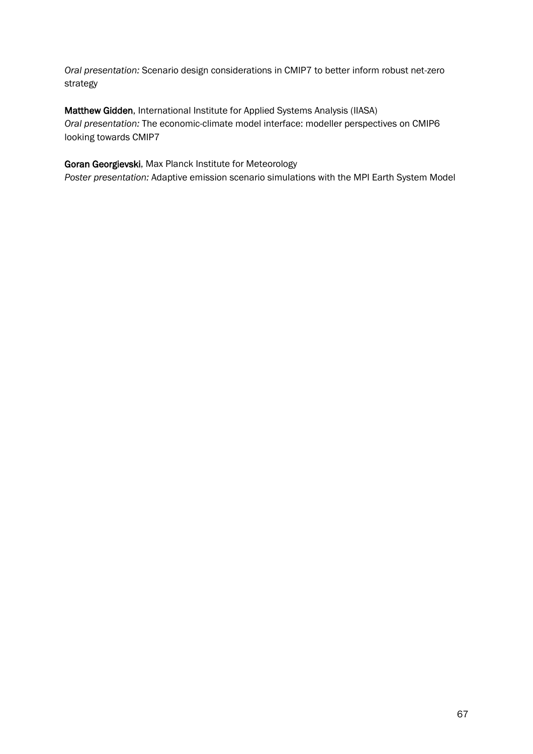*Oral presentation:* Scenario design considerations in CMIP7 to better inform robust net-zero strategy

Matthew Gidden, International Institute for Applied Systems Analysis (IIASA) *Oral presentation:* The economic-climate model interface: modeller perspectives on CMIP6 looking towards CMIP7

Goran Georgievski, Max Planck Institute for Meteorology

*Poster presentation:* Adaptive emission scenario simulations with the MPI Earth System Model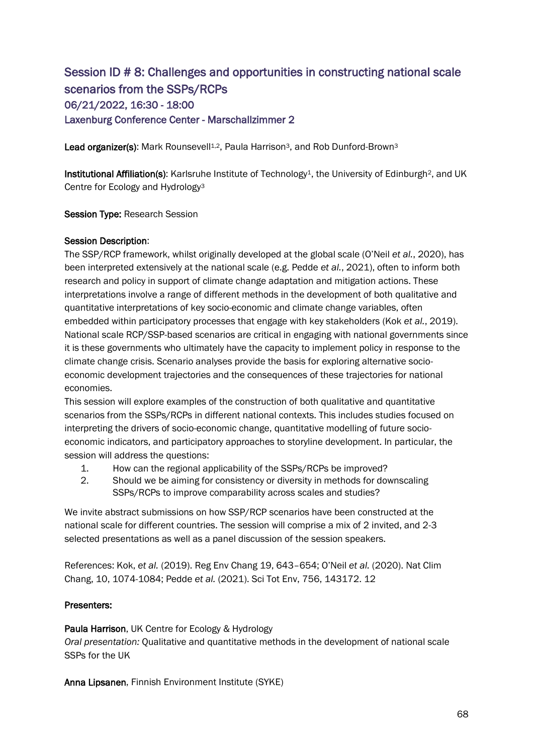# Session ID # 8: Challenges and opportunities in constructing national scale scenarios from the SSPs/RCPs 06/21/2022, 16:30 - 18:00 Laxenburg Conference Center - Marschallzimmer 2

Lead organizer(s): Mark Rounsevell<sup>1,2</sup>, Paula Harrison<sup>3</sup>, and Rob Dunford-Brown<sup>3</sup>

Institutional Affiliation(s): Karlsruhe Institute of Technology<sup>1</sup>, the University of Edinburgh<sup>2</sup>, and UK Centre for Ecology and Hydrology<sup>3</sup>

Session Type: Research Session

## Session Description:

The SSP/RCP framework, whilst originally developed at the global scale (O'Neil *et al.*, 2020), has been interpreted extensively at the national scale (e.g. Pedde *et al.*, 2021), often to inform both research and policy in support of climate change adaptation and mitigation actions. These interpretations involve a range of different methods in the development of both qualitative and quantitative interpretations of key socio-economic and climate change variables, often embedded within participatory processes that engage with key stakeholders (Kok *et al.*, 2019). National scale RCP/SSP-based scenarios are critical in engaging with national governments since it is these governments who ultimately have the capacity to implement policy in response to the climate change crisis. Scenario analyses provide the basis for exploring alternative socioeconomic development trajectories and the consequences of these trajectories for national economies.

This session will explore examples of the construction of both qualitative and quantitative scenarios from the SSPs/RCPs in different national contexts. This includes studies focused on interpreting the drivers of socio-economic change, quantitative modelling of future socioeconomic indicators, and participatory approaches to storyline development. In particular, the session will address the questions:

- 1. How can the regional applicability of the SSPs/RCPs be improved?
- 2. Should we be aiming for consistency or diversity in methods for downscaling SSPs/RCPs to improve comparability across scales and studies?

We invite abstract submissions on how SSP/RCP scenarios have been constructed at the national scale for different countries. The session will comprise a mix of 2 invited, and 2-3 selected presentations as well as a panel discussion of the session speakers.

References: Kok, *et al.* (2019). Reg Env Chang 19, 643–654; O'Neil *et al.* (2020). Nat Clim Chang, 10, 1074-1084; Pedde *et al.* (2021). Sci Tot Env, 756, 143172. 12

## Presenters:

Paula Harrison, UK Centre for Ecology & Hydrology

*Oral presentation:* Qualitative and quantitative methods in the development of national scale SSPs for the UK

Anna Lipsanen, Finnish Environment Institute (SYKE)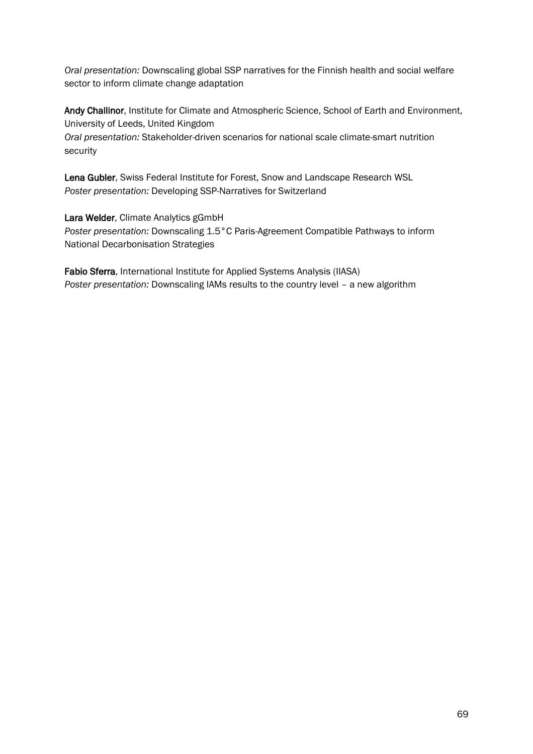*Oral presentation:* Downscaling global SSP narratives for the Finnish health and social welfare sector to inform climate change adaptation

Andy Challinor, Institute for Climate and Atmospheric Science, School of Earth and Environment, University of Leeds, United Kingdom *Oral presentation:* Stakeholder-driven scenarios for national scale climate-smart nutrition security

Lena Gubler, Swiss Federal Institute for Forest, Snow and Landscape Research WSL *Poster presentation:* Developing SSP-Narratives for Switzerland

Lara Welder, Climate Analytics gGmbH *Poster presentation:* Downscaling 1.5°C Paris-Agreement Compatible Pathways to inform National Decarbonisation Strategies

Fabio Sferra, International Institute for Applied Systems Analysis (IIASA) *Poster presentation:* Downscaling IAMs results to the country level – a new algorithm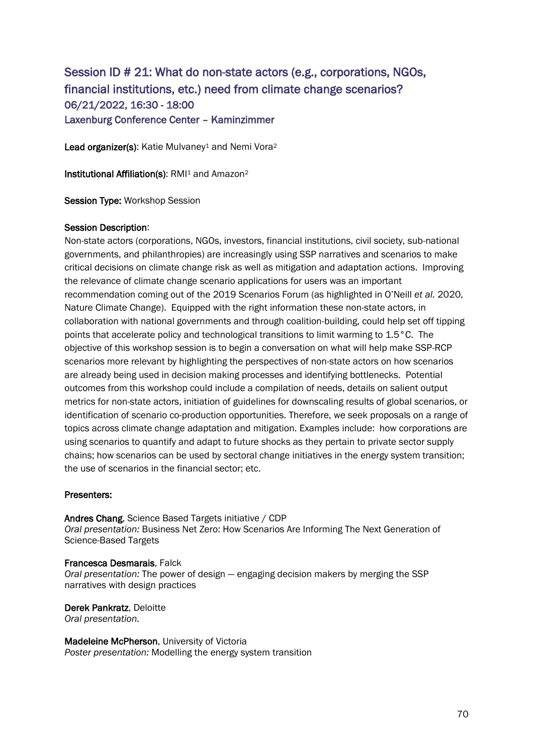# Session ID # 21: What do non-state actors (e.g., corporations, NGOs, financial institutions, etc.) need from climate change scenarios? 06/21/2022, 16:30 - 18:00 Laxenburg Conference Center – Kaminzimmer

Lead organizer(s): Katie Mulvaney<sup>1</sup> and Nemi Vora<sup>2</sup>

Institutional Affiliation(s): RMI<sup>1</sup> and Amazon<sup>2</sup>

Session Type: Workshop Session

#### Session Description:

Non-state actors (corporations, NGOs, investors, financial institutions, civil society, sub-national governments, and philanthropies) are increasingly using SSP narratives and scenarios to make critical decisions on climate change risk as well as mitigation and adaptation actions. Improving the relevance of climate change scenario applications for users was an important recommendation coming out of the 2019 Scenarios Forum (as highlighted in O'Neill *et al.* 2020, Nature Climate Change). Equipped with the right information these non-state actors, in collaboration with national governments and through coalition-building, could help set off tipping points that accelerate policy and technological transitions to limit warming to 1.5°C. The objective of this workshop session is to begin a conversation on what will help make SSP-RCP scenarios more relevant by highlighting the perspectives of non-state actors on how scenarios are already being used in decision making processes and identifying bottlenecks. Potential outcomes from this workshop could include a compilation of needs, details on salient output metrics for non-state actors, initiation of guidelines for downscaling results of global scenarios, or identification of scenario co-production opportunities. Therefore, we seek proposals on a range of topics across climate change adaptation and mitigation. Examples include: how corporations are using scenarios to quantify and adapt to future shocks as they pertain to private sector supply chains; how scenarios can be used by sectoral change initiatives in the energy system transition; the use of scenarios in the financial sector; etc.

#### Presenters:

Andres Chang, Science Based Targets initiative / CDP *Oral presentation:* Business Net Zero: How Scenarios Are Informing The Next Generation of Science-Based Targets

Francesca Desmarais, Falck *Oral presentation:* The power of design — engaging decision makers by merging the SSP narratives with design practices

Derek Pankratz, Deloitte *Oral presentation.*

Madeleine McPherson, University of Victoria *Poster presentation:* Modelling the energy system transition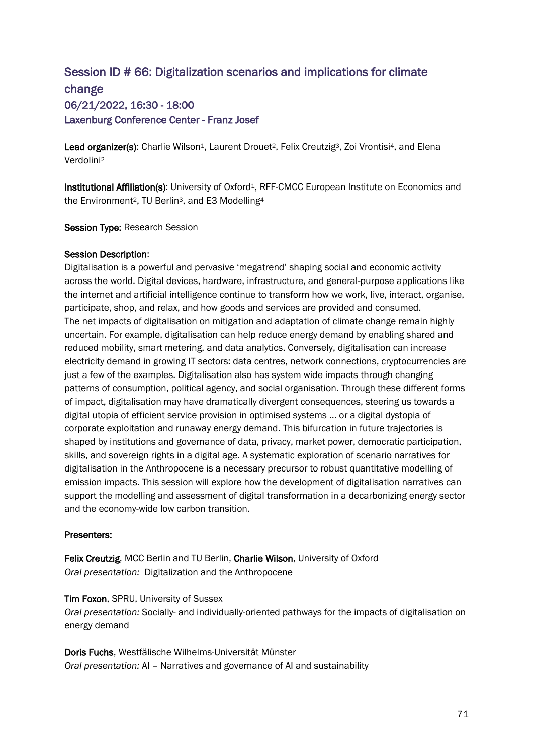# Session ID # 66: Digitalization scenarios and implications for climate change 06/21/2022, 16:30 - 18:00 Laxenburg Conference Center - Franz Josef

Lead organizer(s): Charlie Wilson<sup>1</sup>, Laurent Drouet<sup>2</sup>, Felix Creutzig<sup>3</sup>, Zoi Vrontisi<sup>4</sup>, and Elena Verdolini<sup>2</sup>

Institutional Affiliation(s): University of Oxford<sup>1</sup>, RFF-CMCC European Institute on Economics and the Environment<sup>2</sup>, TU Berlin<sup>3</sup>, and E3 Modelling<sup>4</sup>

Session Type: Research Session

#### Session Description:

Digitalisation is a powerful and pervasive 'megatrend' shaping social and economic activity across the world. Digital devices, hardware, infrastructure, and general-purpose applications like the internet and artificial intelligence continue to transform how we work, live, interact, organise, participate, shop, and relax, and how goods and services are provided and consumed. The net impacts of digitalisation on mitigation and adaptation of climate change remain highly uncertain. For example, digitalisation can help reduce energy demand by enabling shared and reduced mobility, smart metering, and data analytics. Conversely, digitalisation can increase electricity demand in growing IT sectors: data centres, network connections, cryptocurrencies are just a few of the examples. Digitalisation also has system wide impacts through changing patterns of consumption, political agency, and social organisation. Through these different forms of impact, digitalisation may have dramatically divergent consequences, steering us towards a digital utopia of efficient service provision in optimised systems ... or a digital dystopia of corporate exploitation and runaway energy demand. This bifurcation in future trajectories is shaped by institutions and governance of data, privacy, market power, democratic participation, skills, and sovereign rights in a digital age. A systematic exploration of scenario narratives for digitalisation in the Anthropocene is a necessary precursor to robust quantitative modelling of emission impacts. This session will explore how the development of digitalisation narratives can support the modelling and assessment of digital transformation in a decarbonizing energy sector and the economy-wide low carbon transition.

## Presenters:

Felix Creutzig, MCC Berlin and TU Berlin, Charlie Wilson, University of Oxford *Oral presentation:* Digitalization and the Anthropocene

#### Tim Foxon, SPRU, University of Sussex

*Oral presentation:* Socially- and individually-oriented pathways for the impacts of digitalisation on energy demand

Doris Fuchs, Westfälische Wilhelms-Universität Münster *Oral presentation:* AI – Narratives and governance of AI and sustainability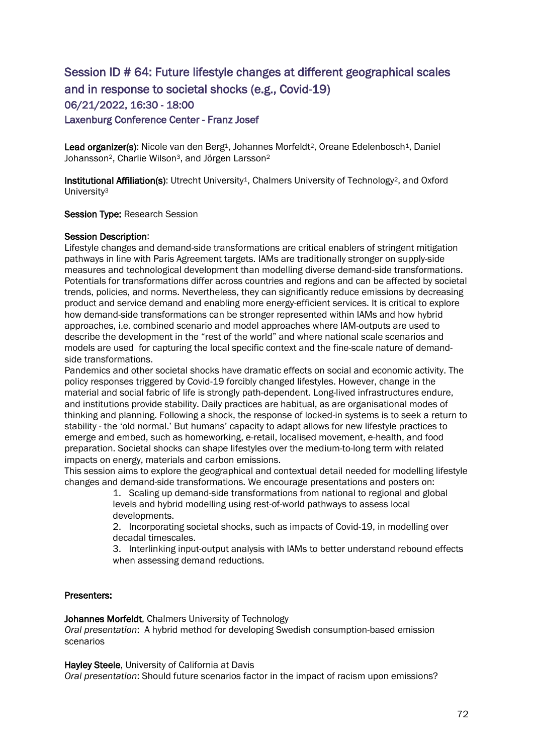# Session ID # 64: Future lifestyle changes at different geographical scales and in response to societal shocks (e.g., Covid-19) 06/21/2022, 16:30 - 18:00 Laxenburg Conference Center - Franz Josef

Lead organizer(s): Nicole van den Berg<sup>1</sup>, Johannes Morfeldt<sup>2</sup>, Oreane Edelenbosch<sup>1</sup>, Daniel Johansson<sup>2</sup>, Charlie Wilson<sup>3</sup>, and Jörgen Larsson<sup>2</sup>

Institutional Affiliation(s): Utrecht University<sup>1</sup>, Chalmers University of Technology<sup>2</sup>, and Oxford University<sup>3</sup>

#### Session Type: Research Session

#### Session Description:

Lifestyle changes and demand-side transformations are critical enablers of stringent mitigation pathways in line with Paris Agreement targets. IAMs are traditionally stronger on supply-side measures and technological development than modelling diverse demand-side transformations. Potentials for transformations differ across countries and regions and can be affected by societal trends, policies, and norms. Nevertheless, they can significantly reduce emissions by decreasing product and service demand and enabling more energy-efficient services. It is critical to explore how demand-side transformations can be stronger represented within IAMs and how hybrid approaches, i.e. combined scenario and model approaches where IAM-outputs are used to describe the development in the "rest of the world" and where national scale scenarios and models are used for capturing the local specific context and the fine-scale nature of demandside transformations.

Pandemics and other societal shocks have dramatic effects on social and economic activity. The policy responses triggered by Covid-19 forcibly changed lifestyles. However, change in the material and social fabric of life is strongly path-dependent. Long-lived infrastructures endure, and institutions provide stability. Daily practices are habitual, as are organisational modes of thinking and planning. Following a shock, the response of locked-in systems is to seek a return to stability - the 'old normal.' But humans' capacity to adapt allows for new lifestyle practices to emerge and embed, such as homeworking, e-retail, localised movement, e-health, and food preparation. Societal shocks can shape lifestyles over the medium-to-long term with related impacts on energy, materials and carbon emissions.

This session aims to explore the geographical and contextual detail needed for modelling lifestyle changes and demand-side transformations. We encourage presentations and posters on:

> 1. Scaling up demand-side transformations from national to regional and global levels and hybrid modelling using rest-of-world pathways to assess local developments.

> 2. Incorporating societal shocks, such as impacts of Covid-19, in modelling over decadal timescales.

3. Interlinking input-output analysis with IAMs to better understand rebound effects when assessing demand reductions.

#### Presenters:

Johannes Morfeldt, Chalmers University of Technology

*Oral presentation*: A hybrid method for developing Swedish consumption-based emission scenarios

Hayley Steele, University of California at Davis

*Oral presentation*: Should future scenarios factor in the impact of racism upon emissions?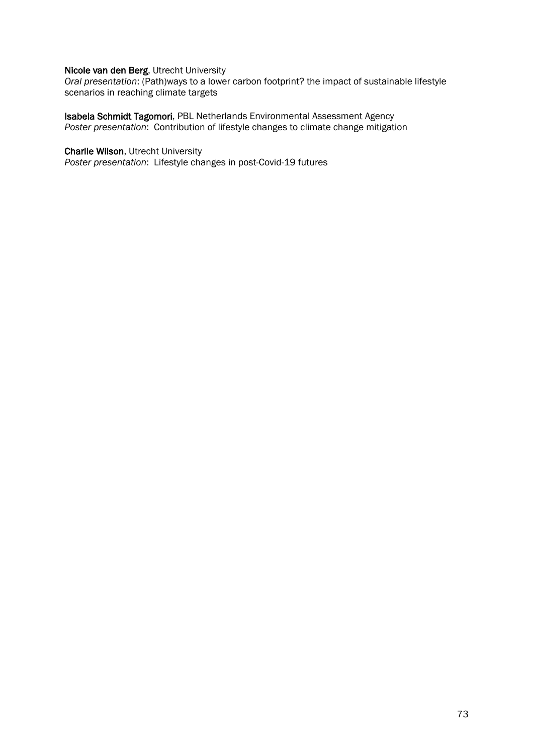### Nicole van den Berg, Utrecht University

*Oral presentation*: (Path)ways to a lower carbon footprint? the impact of sustainable lifestyle scenarios in reaching climate targets

Isabela Schmidt Tagomori, PBL Netherlands Environmental Assessment Agency *Poster presentation*: Contribution of lifestyle changes to climate change mitigation

### Charlie Wilson, Utrecht University

*Poster presentation*: Lifestyle changes in post-Covid-19 futures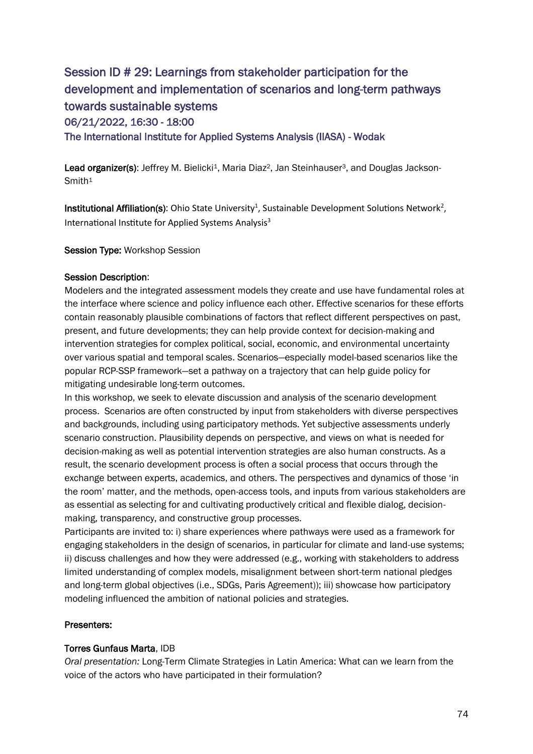# Session ID # 29: Learnings from stakeholder participation for the development and implementation of scenarios and long-term pathways towards sustainable systems 06/21/2022, 16:30 - 18:00 The International Institute for Applied Systems Analysis (IIASA) - Wodak

Lead organizer(s): Jeffrey M. Bielicki<sup>1</sup>, Maria Diaz<sup>2</sup>, Jan Steinhauser<sup>3</sup>, and Douglas Jackson-Smith<sup>1</sup>

 $\mathsf{Institutional\;Affilation}(\mathbf{s})$ : Ohio State University $^1$ , Sustainable Development Solutions Network $^2$ , International Institute for Applied Systems Analysis<sup>3</sup>

Session Type: Workshop Session

# Session Description:

Modelers and the integrated assessment models they create and use have fundamental roles at the interface where science and policy influence each other. Effective scenarios for these efforts contain reasonably plausible combinations of factors that reflect different perspectives on past, present, and future developments; they can help provide context for decision-making and intervention strategies for complex political, social, economic, and environmental uncertainty over various spatial and temporal scales. Scenarios—especially model-based scenarios like the popular RCP-SSP framework—set a pathway on a trajectory that can help guide policy for mitigating undesirable long-term outcomes.

In this workshop, we seek to elevate discussion and analysis of the scenario development process. Scenarios are often constructed by input from stakeholders with diverse perspectives and backgrounds, including using participatory methods. Yet subjective assessments underly scenario construction. Plausibility depends on perspective, and views on what is needed for decision-making as well as potential intervention strategies are also human constructs. As a result, the scenario development process is often a social process that occurs through the exchange between experts, academics, and others. The perspectives and dynamics of those 'in the room' matter, and the methods, open-access tools, and inputs from various stakeholders are as essential as selecting for and cultivating productively critical and flexible dialog, decisionmaking, transparency, and constructive group processes.

Participants are invited to: i) share experiences where pathways were used as a framework for engaging stakeholders in the design of scenarios, in particular for climate and land-use systems; ii) discuss challenges and how they were addressed (e.g., working with stakeholders to address limited understanding of complex models, misalignment between short-term national pledges and long-term global objectives (i.e., SDGs, Paris Agreement)); iii) showcase how participatory modeling influenced the ambition of national policies and strategies.

# Presenters:

# Torres Gunfaus Marta, IDB

*Oral presentation:* Long-Term Climate Strategies in Latin America: What can we learn from the voice of the actors who have participated in their formulation?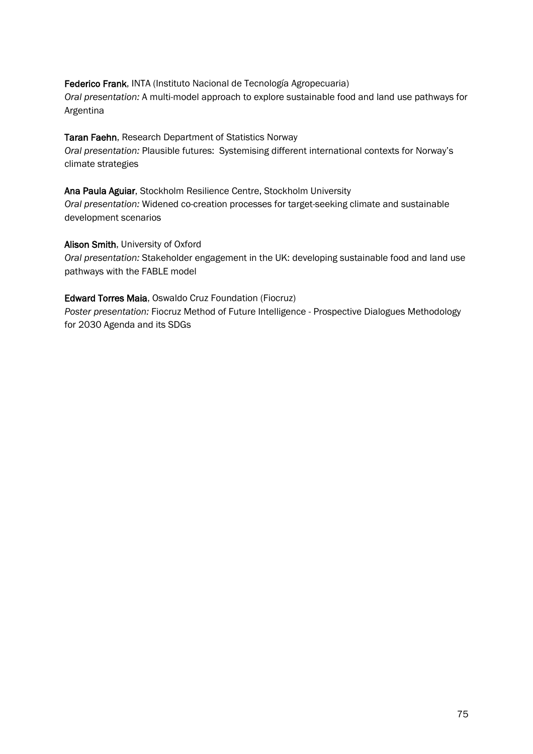Federico Frank, INTA (Instituto Nacional de Tecnología Agropecuaria) *Oral presentation:* A multi-model approach to explore sustainable food and land use pathways for Argentina

# Taran Faehn, Research Department of Statistics Norway

*Oral presentation:* Plausible futures: Systemising different international contexts for Norway's climate strategies

### Ana Paula Aguiar, Stockholm Resilience Centre, Stockholm University

*Oral presentation:* Widened co-creation processes for target-seeking climate and sustainable development scenarios

Alison Smith, University of Oxford

*Oral presentation:* Stakeholder engagement in the UK: developing sustainable food and land use pathways with the FABLE model

# Edward Torres Maia, Oswaldo Cruz Foundation (Fiocruz)

*Poster presentation:* Fiocruz Method of Future Intelligence - Prospective Dialogues Methodology for 2030 Agenda and its SDGs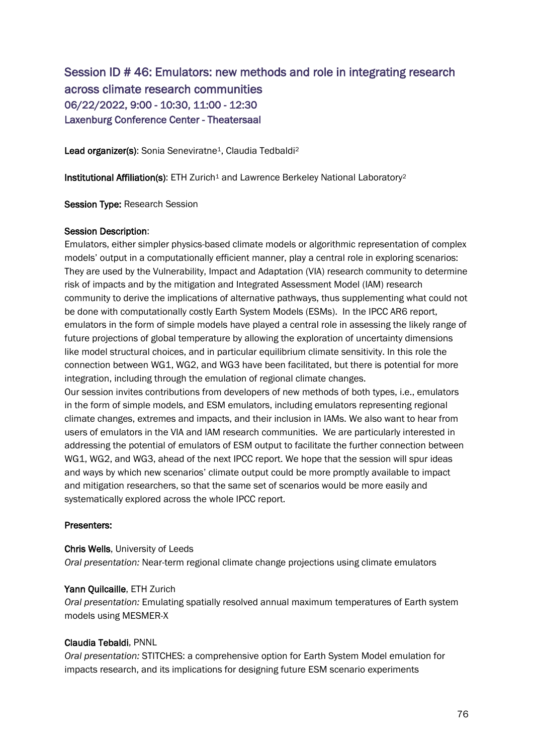# Session ID # 46: Emulators: new methods and role in integrating research across climate research communities 06/22/2022, 9:00 - 10:30, 11:00 - 12:30 Laxenburg Conference Center - Theatersaal

Lead organizer(s): Sonia Seneviratne<sup>1</sup>, Claudia Tedbaldi<sup>2</sup>

Institutional Affiliation(s): ETH Zurich<sup>1</sup> and Lawrence Berkeley National Laboratory<sup>2</sup>

Session Type: Research Session

### Session Description:

Emulators, either simpler physics-based climate models or algorithmic representation of complex models' output in a computationally efficient manner, play a central role in exploring scenarios: They are used by the Vulnerability, Impact and Adaptation (VIA) research community to determine risk of impacts and by the mitigation and Integrated Assessment Model (IAM) research community to derive the implications of alternative pathways, thus supplementing what could not be done with computationally costly Earth System Models (ESMs). In the IPCC AR6 report, emulators in the form of simple models have played a central role in assessing the likely range of future projections of global temperature by allowing the exploration of uncertainty dimensions like model structural choices, and in particular equilibrium climate sensitivity. In this role the connection between WG1, WG2, and WG3 have been facilitated, but there is potential for more integration, including through the emulation of regional climate changes.

Our session invites contributions from developers of new methods of both types, i.e., emulators in the form of simple models, and ESM emulators, including emulators representing regional climate changes, extremes and impacts, and their inclusion in IAMs. We also want to hear from users of emulators in the VIA and IAM research communities. We are particularly interested in addressing the potential of emulators of ESM output to facilitate the further connection between WG1, WG2, and WG3, ahead of the next IPCC report. We hope that the session will spur ideas and ways by which new scenarios' climate output could be more promptly available to impact and mitigation researchers, so that the same set of scenarios would be more easily and systematically explored across the whole IPCC report.

# Presenters:

### Chris Wells, University of Leeds

*Oral presentation:* Near-term regional climate change projections using climate emulators

### Yann Quilcaille, ETH Zurich

*Oral presentation:* Emulating spatially resolved annual maximum temperatures of Earth system models using MESMER-X

# Claudia Tebaldi, PNNL

*Oral presentation:* STITCHES: a comprehensive option for Earth System Model emulation for impacts research, and its implications for designing future ESM scenario experiments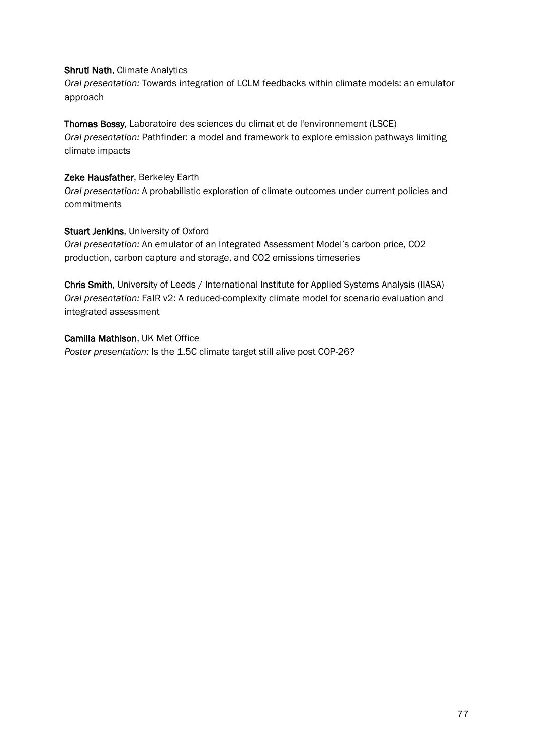### Shruti Nath, Climate Analytics

*Oral presentation:* Towards integration of LCLM feedbacks within climate models: an emulator approach

# Thomas Bossy, Laboratoire des sciences du climat et de l'environnement (LSCE)

*Oral presentation:* Pathfinder: a model and framework to explore emission pathways limiting climate impacts

### Zeke Hausfather, Berkeley Earth

*Oral presentation:* A probabilistic exploration of climate outcomes under current policies and commitments

# Stuart Jenkins, University of Oxford

*Oral presentation:* An emulator of an Integrated Assessment Model's carbon price, CO2 production, carbon capture and storage, and CO2 emissions timeseries

Chris Smith, University of Leeds / International Institute for Applied Systems Analysis (IIASA) *Oral presentation:* FaIR v2: A reduced-complexity climate model for scenario evaluation and integrated assessment

### Camilla Mathison, UK Met Office

*Poster presentation:* Is the 1.5C climate target still alive post COP-26?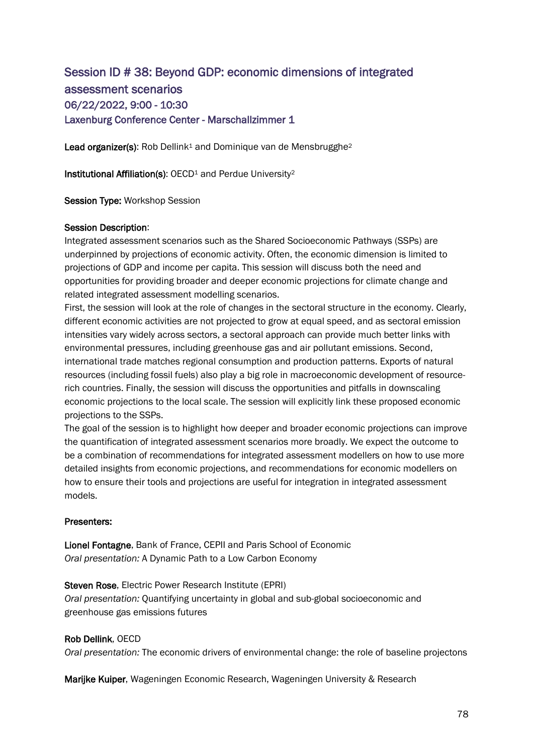# Session ID # 38: Beyond GDP: economic dimensions of integrated assessment scenarios 06/22/2022, 9:00 - 10:30 Laxenburg Conference Center - Marschallzimmer 1

Lead organizer(s): Rob Dellink<sup>1</sup> and Dominique van de Mensbrugghe<sup>2</sup>

Institutional Affiliation(s): OECD<sup>1</sup> and Perdue University<sup>2</sup>

Session Type: Workshop Session

### Session Description:

Integrated assessment scenarios such as the Shared Socioeconomic Pathways (SSPs) are underpinned by projections of economic activity. Often, the economic dimension is limited to projections of GDP and income per capita. This session will discuss both the need and opportunities for providing broader and deeper economic projections for climate change and related integrated assessment modelling scenarios.

First, the session will look at the role of changes in the sectoral structure in the economy. Clearly, different economic activities are not projected to grow at equal speed, and as sectoral emission intensities vary widely across sectors, a sectoral approach can provide much better links with environmental pressures, including greenhouse gas and air pollutant emissions. Second, international trade matches regional consumption and production patterns. Exports of natural resources (including fossil fuels) also play a big role in macroeconomic development of resourcerich countries. Finally, the session will discuss the opportunities and pitfalls in downscaling economic projections to the local scale. The session will explicitly link these proposed economic projections to the SSPs.

The goal of the session is to highlight how deeper and broader economic projections can improve the quantification of integrated assessment scenarios more broadly. We expect the outcome to be a combination of recommendations for integrated assessment modellers on how to use more detailed insights from economic projections, and recommendations for economic modellers on how to ensure their tools and projections are useful for integration in integrated assessment models.

### Presenters:

Lionel Fontagne, Bank of France, CEPII and Paris School of Economic *Oral presentation:* A Dynamic Path to a Low Carbon Economy

Steven Rose, Electric Power Research Institute (EPRI) *Oral presentation:* Quantifying uncertainty in global and sub-global socioeconomic and greenhouse gas emissions futures

### Rob Dellink, OECD

*Oral presentation:* The economic drivers of environmental change: the role of baseline projectons

Marijke Kuiper, Wageningen Economic Research, Wageningen University & Research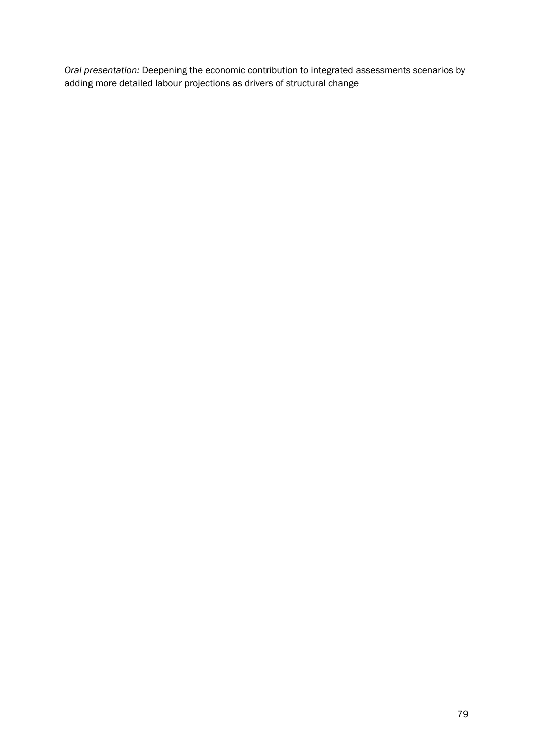*Oral presentation:* Deepening the economic contribution to integrated assessments scenarios by adding more detailed labour projections as drivers of structural change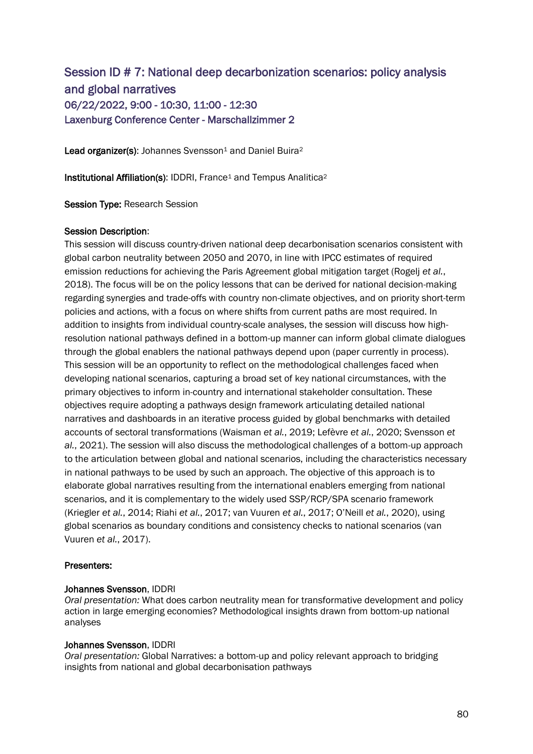# Session ID # 7: National deep decarbonization scenarios: policy analysis and global narratives 06/22/2022, 9:00 - 10:30, 11:00 - 12:30 Laxenburg Conference Center - Marschallzimmer 2

Lead organizer(s): Johannes Svensson<sup>1</sup> and Daniel Buira<sup>2</sup>

Institutional Affiliation(s): IDDRI, France<sup>1</sup> and Tempus Analitica<sup>2</sup>

Session Type: Research Session

### Session Description:

This session will discuss country-driven national deep decarbonisation scenarios consistent with global carbon neutrality between 2050 and 2070, in line with IPCC estimates of required emission reductions for achieving the Paris Agreement global mitigation target (Rogelj *et al.*, 2018). The focus will be on the policy lessons that can be derived for national decision-making regarding synergies and trade-offs with country non-climate objectives, and on priority short-term policies and actions, with a focus on where shifts from current paths are most required. In addition to insights from individual country-scale analyses, the session will discuss how highresolution national pathways defined in a bottom-up manner can inform global climate dialogues through the global enablers the national pathways depend upon (paper currently in process). This session will be an opportunity to reflect on the methodological challenges faced when developing national scenarios, capturing a broad set of key national circumstances, with the primary objectives to inform in-country and international stakeholder consultation. These objectives require adopting a pathways design framework articulating detailed national narratives and dashboards in an iterative process guided by global benchmarks with detailed accounts of sectoral transformations (Waisman *et al.*, 2019; Lefèvre *et al.*, 2020; Svensson *et al.*, 2021). The session will also discuss the methodological challenges of a bottom-up approach to the articulation between global and national scenarios, including the characteristics necessary in national pathways to be used by such an approach. The objective of this approach is to elaborate global narratives resulting from the international enablers emerging from national scenarios, and it is complementary to the widely used SSP/RCP/SPA scenario framework (Kriegler *et al.*, 2014; Riahi *et al.*, 2017; van Vuuren *et al.*, 2017; O'Neill *et al.*, 2020), using global scenarios as boundary conditions and consistency checks to national scenarios (van Vuuren *et al.*, 2017).

### Presenters:

### Johannes Svensson, IDDRI

*Oral presentation:* What does carbon neutrality mean for transformative development and policy action in large emerging economies? Methodological insights drawn from bottom-up national analyses

### Johannes Svensson, IDDRI

*Oral presentation:* Global Narratives: a bottom-up and policy relevant approach to bridging insights from national and global decarbonisation pathways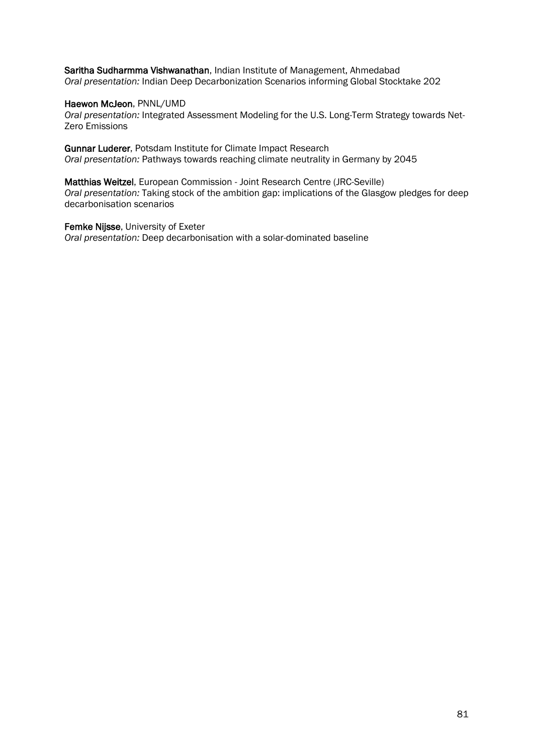Saritha Sudharmma Vishwanathan, Indian Institute of Management, Ahmedabad *Oral presentation:* Indian Deep Decarbonization Scenarios informing Global Stocktake 202

### Haewon McJeon, PNNL/UMD

*Oral presentation:* Integrated Assessment Modeling for the U.S. Long-Term Strategy towards Net-Zero Emissions

Gunnar Luderer, Potsdam Institute for Climate Impact Research *Oral presentation:* Pathways towards reaching climate neutrality in Germany by 2045

Matthias Weitzel, European Commission - Joint Research Centre (JRC-Seville) *Oral presentation:* Taking stock of the ambition gap: implications of the Glasgow pledges for deep decarbonisation scenarios

Femke Nijsse, University of Exeter *Oral presentation:* Deep decarbonisation with a solar-dominated baseline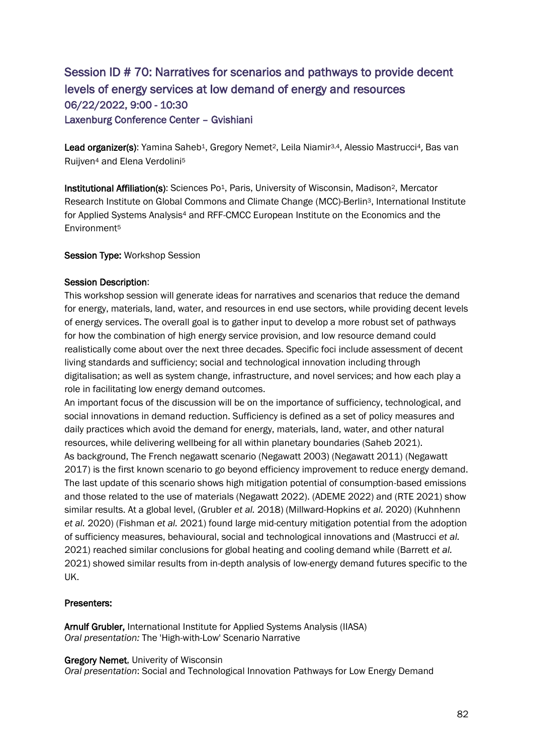# Session ID # 70: Narratives for scenarios and pathways to provide decent levels of energy services at low demand of energy and resources 06/22/2022, 9:00 - 10:30 Laxenburg Conference Center – Gvishiani

Lead organizer(s): Yamina Saheb<sup>1</sup>, Gregory Nemet<sup>2</sup>, Leila Niamir<sup>3,4</sup>, Alessio Mastrucci<sup>4</sup>, Bas van Ruijven<sup>4</sup> and Elena Verdolini<sup>5</sup>

Institutional Affiliation(s): Sciences Po<sup>1</sup>, Paris, University of Wisconsin, Madison<sup>2</sup>, Mercator Research Institute on Global Commons and Climate Change (MCC)-Berlin3, International Institute for Applied Systems Analysis<sup>4</sup> and RFF-CMCC European Institute on the Economics and the Environment<sup>5</sup>

Session Type: Workshop Session

# Session Description:

This workshop session will generate ideas for narratives and scenarios that reduce the demand for energy, materials, land, water, and resources in end use sectors, while providing decent levels of energy services. The overall goal is to gather input to develop a more robust set of pathways for how the combination of high energy service provision, and low resource demand could realistically come about over the next three decades. Specific foci include assessment of decent living standards and sufficiency; social and technological innovation including through digitalisation; as well as system change, infrastructure, and novel services; and how each play a role in facilitating low energy demand outcomes.

An important focus of the discussion will be on the importance of sufficiency, technological, and social innovations in demand reduction. Sufficiency is defined as a set of policy measures and daily practices which avoid the demand for energy, materials, land, water, and other natural resources, while delivering wellbeing for all within planetary boundaries (Saheb 2021). As background, The French negawatt scenario (Negawatt 2003) (Negawatt 2011) (Negawatt 2017) is the first known scenario to go beyond efficiency improvement to reduce energy demand. The last update of this scenario shows high mitigation potential of consumption-based emissions and those related to the use of materials (Negawatt 2022). (ADEME 2022) and (RTE 2021) show similar results. At a global level, (Grubler *et al.* 2018) (Millward-Hopkins *et al.* 2020) (Kuhnhenn *et al.* 2020) (Fishman *et al.* 2021) found large mid-century mitigation potential from the adoption of sufficiency measures, behavioural, social and technological innovations and (Mastrucci *et al.* 2021) reached similar conclusions for global heating and cooling demand while (Barrett *et al.* 2021) showed similar results from in-depth analysis of low-energy demand futures specific to the UK.

# Presenters:

Arnulf Grubler, International Institute for Applied Systems Analysis (IIASA) *Oral presentation:* The 'High-with-Low' Scenario Narrative

# **Gregory Nemet**, Univerity of Wisconsin

*Oral presentation*: Social and Technological Innovation Pathways for Low Energy Demand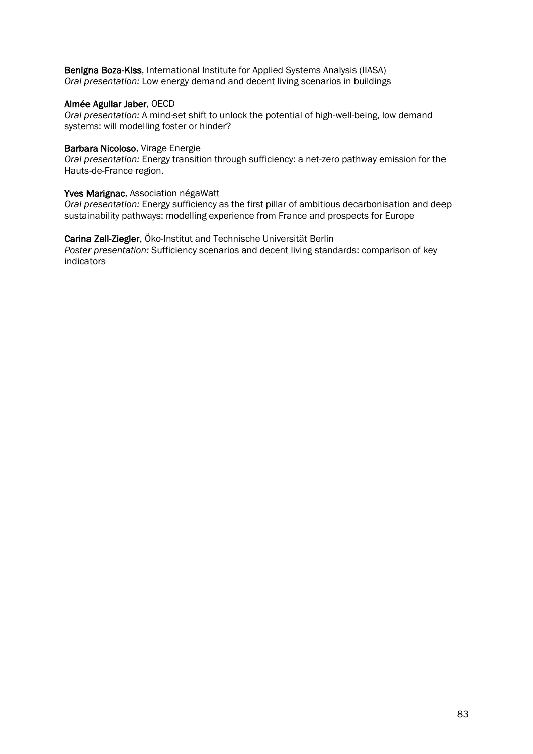Benigna Boza-Kiss, International Institute for Applied Systems Analysis (IIASA) *Oral presentation:* Low energy demand and decent living scenarios in buildings

### Aimée Aguilar Jaber, OECD

*Oral presentation:* A mind-set shift to unlock the potential of high-well-being, low demand systems: will modelling foster or hinder?

### Barbara Nicoloso, Virage Energie

*Oral presentation:* Energy transition through sufficiency: a net-zero pathway emission for the Hauts-de-France region.

### Yves Marignac, Association négaWatt

*Oral presentation:* Energy sufficiency as the first pillar of ambitious decarbonisation and deep sustainability pathways: modelling experience from France and prospects for Europe

Carina Zell-Ziegler, Öko-Institut and Technische Universität Berlin *Poster presentation:* Sufficiency scenarios and decent living standards: comparison of key indicators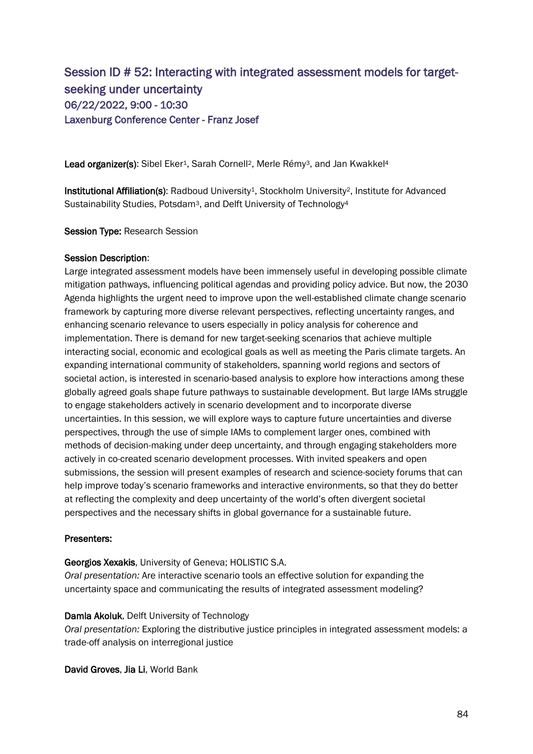# Session ID # 52: Interacting with integrated assessment models for targetseeking under uncertainty 06/22/2022, 9:00 - 10:30 Laxenburg Conference Center - Franz Josef

Lead organizer(s): Sibel Eker<sup>1</sup>, Sarah Cornell<sup>2</sup>, Merle Rémy<sup>3</sup>, and Jan Kwakkel<sup>4</sup>

Institutional Affiliation(s): Radboud University<sup>1</sup>, Stockholm University<sup>2</sup>, Institute for Advanced Sustainability Studies, Potsdam<sup>3</sup>, and Delft University of Technology<sup>4</sup>

Session Type: Research Session

### Session Description:

Large integrated assessment models have been immensely useful in developing possible climate mitigation pathways, influencing political agendas and providing policy advice. But now, the 2030 Agenda highlights the urgent need to improve upon the well-established climate change scenario framework by capturing more diverse relevant perspectives, reflecting uncertainty ranges, and enhancing scenario relevance to users especially in policy analysis for coherence and implementation. There is demand for new target-seeking scenarios that achieve multiple interacting social, economic and ecological goals as well as meeting the Paris climate targets. An expanding international community of stakeholders, spanning world regions and sectors of societal action, is interested in scenario-based analysis to explore how interactions among these globally agreed goals shape future pathways to sustainable development. But large IAMs struggle to engage stakeholders actively in scenario development and to incorporate diverse uncertainties. In this session, we will explore ways to capture future uncertainties and diverse perspectives, through the use of simple IAMs to complement larger ones, combined with methods of decision-making under deep uncertainty, and through engaging stakeholders more actively in co-created scenario development processes. With invited speakers and open submissions, the session will present examples of research and science-society forums that can help improve today's scenario frameworks and interactive environments, so that they do better at reflecting the complexity and deep uncertainty of the world's often divergent societal perspectives and the necessary shifts in global governance for a sustainable future.

# Presenters:

### Georgios Xexakis, University of Geneva; HOLISTIC S.A.

*Oral presentation:* Are interactive scenario tools an effective solution for expanding the uncertainty space and communicating the results of integrated assessment modeling?

# Damla Akoluk, Delft University of Technology

*Oral presentation:* Exploring the distributive justice principles in integrated assessment models: a trade-off analysis on interregional justice

David Groves, Jia Li, World Bank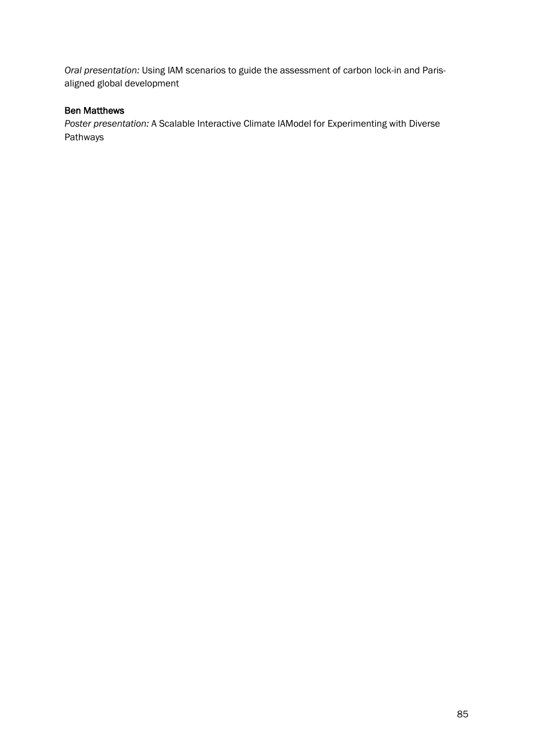*Oral presentation:* Using IAM scenarios to guide the assessment of carbon lock-in and Parisaligned global development

# Ben Matthews

*Poster presentation:* A Scalable Interactive Climate IAModel for Experimenting with Diverse Pathways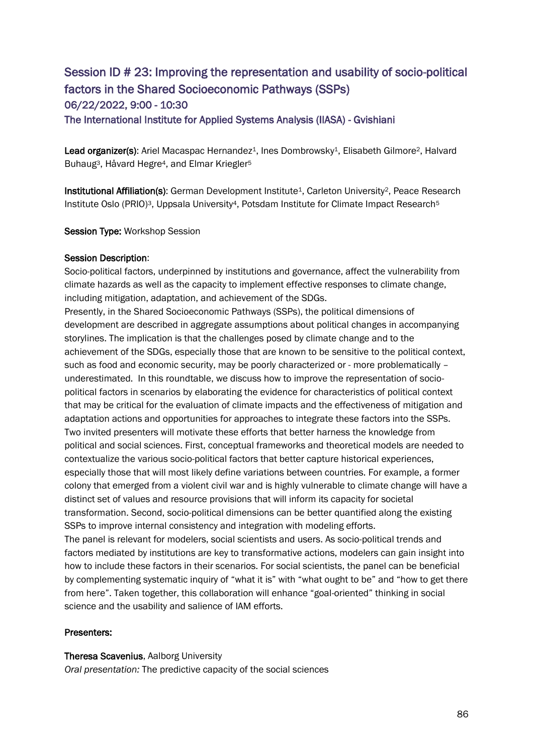# Session ID # 23: Improving the representation and usability of socio-political factors in the Shared Socioeconomic Pathways (SSPs) 06/22/2022, 9:00 - 10:30

The International Institute for Applied Systems Analysis (IIASA) - Gvishiani

Lead organizer(s): Ariel Macaspac Hernandez<sup>1</sup>, Ines Dombrowsky<sup>1</sup>, Elisabeth Gilmore<sup>2</sup>, Halvard Buhaug<sup>3</sup>, Håvard Hegre<sup>4</sup>, and Elmar Kriegler<sup>5</sup>

Institutional Affiliation(s): German Development Institute<sup>1</sup>, Carleton University<sup>2</sup>, Peace Research Institute Oslo (PRIO)<sup>3</sup>, Uppsala University<sup>4</sup>, Potsdam Institute for Climate Impact Research<sup>5</sup>

Session Type: Workshop Session

# Session Description:

Socio-political factors, underpinned by institutions and governance, affect the vulnerability from climate hazards as well as the capacity to implement effective responses to climate change, including mitigation, adaptation, and achievement of the SDGs.

Presently, in the Shared Socioeconomic Pathways (SSPs), the political dimensions of development are described in aggregate assumptions about political changes in accompanying storylines. The implication is that the challenges posed by climate change and to the achievement of the SDGs, especially those that are known to be sensitive to the political context, such as food and economic security, may be poorly characterized or - more problematically underestimated. In this roundtable, we discuss how to improve the representation of sociopolitical factors in scenarios by elaborating the evidence for characteristics of political context that may be critical for the evaluation of climate impacts and the effectiveness of mitigation and adaptation actions and opportunities for approaches to integrate these factors into the SSPs. Two invited presenters will motivate these efforts that better harness the knowledge from political and social sciences. First, conceptual frameworks and theoretical models are needed to contextualize the various socio-political factors that better capture historical experiences, especially those that will most likely define variations between countries. For example, a former colony that emerged from a violent civil war and is highly vulnerable to climate change will have a distinct set of values and resource provisions that will inform its capacity for societal transformation. Second, socio-political dimensions can be better quantified along the existing SSPs to improve internal consistency and integration with modeling efforts.

The panel is relevant for modelers, social scientists and users. As socio-political trends and factors mediated by institutions are key to transformative actions, modelers can gain insight into how to include these factors in their scenarios. For social scientists, the panel can be beneficial by complementing systematic inquiry of "what it is" with "what ought to be" and "how to get there from here". Taken together, this collaboration will enhance "goal-oriented" thinking in social science and the usability and salience of IAM efforts.

# Presenters:

### Theresa Scavenius, Aalborg University

*Oral presentation:* The predictive capacity of the social sciences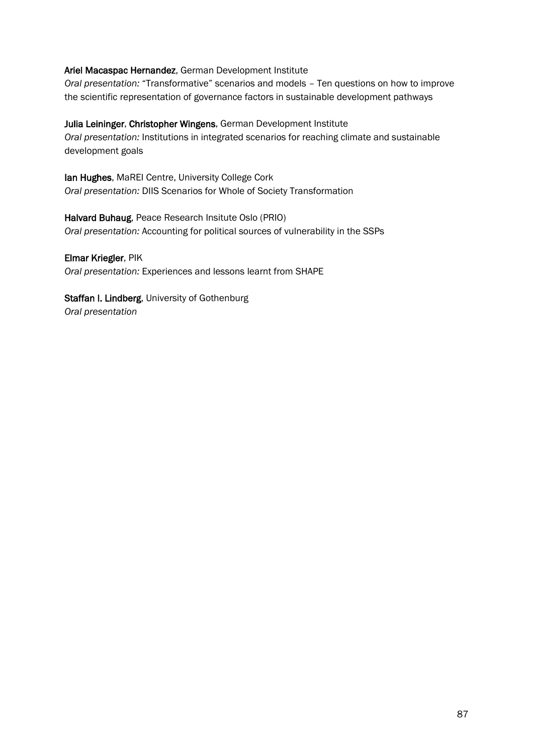# Ariel Macaspac Hernandez, German Development Institute

*Oral presentation:* "Transformative" scenarios and models – Ten questions on how to improve the scientific representation of governance factors in sustainable development pathways

Julia Leininger, Christopher Wingens, German Development Institute *Oral presentation:* Institutions in integrated scenarios for reaching climate and sustainable development goals

lan Hughes, MaREI Centre, University College Cork *Oral presentation:* DIIS Scenarios for Whole of Society Transformation

Halvard Buhaug, Peace Research Insitute Oslo (PRIO) *Oral presentation:* Accounting for political sources of vulnerability in the SSPs

Elmar Kriegler, PIK *Oral presentation:* Experiences and lessons learnt from SHAPE

Staffan I. Lindberg, University of Gothenburg *Oral presentation*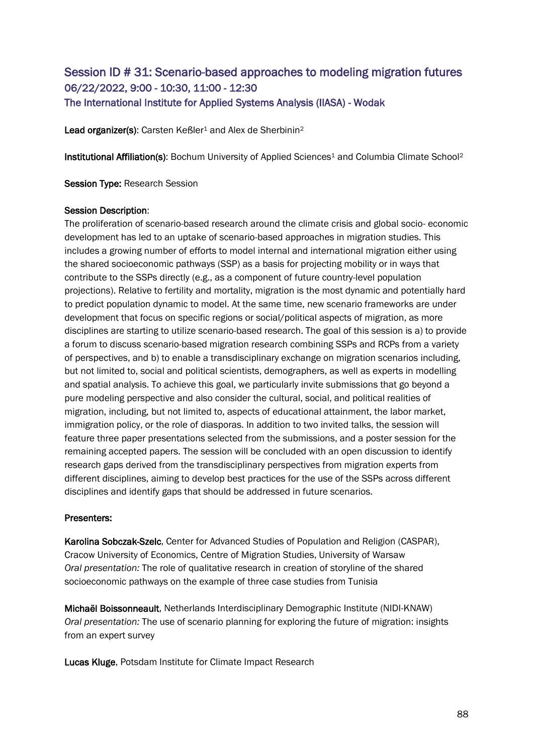# Session ID # 31: Scenario-based approaches to modeling migration futures 06/22/2022, 9:00 - 10:30, 11:00 - 12:30 The International Institute for Applied Systems Analysis (IIASA) - Wodak

Lead organizer(s): Carsten Keßler<sup>1</sup> and Alex de Sherbinin<sup>2</sup>

Institutional Affiliation(s): Bochum University of Applied Sciences<sup>1</sup> and Columbia Climate School<sup>2</sup>

Session Type: Research Session

### Session Description:

The proliferation of scenario-based research around the climate crisis and global socio- economic development has led to an uptake of scenario-based approaches in migration studies. This includes a growing number of efforts to model internal and international migration either using the shared socioeconomic pathways (SSP) as a basis for projecting mobility or in ways that contribute to the SSPs directly (e.g., as a component of future country-level population projections). Relative to fertility and mortality, migration is the most dynamic and potentially hard to predict population dynamic to model. At the same time, new scenario frameworks are under development that focus on specific regions or social/political aspects of migration, as more disciplines are starting to utilize scenario-based research. The goal of this session is a) to provide a forum to discuss scenario-based migration research combining SSPs and RCPs from a variety of perspectives, and b) to enable a transdisciplinary exchange on migration scenarios including, but not limited to, social and political scientists, demographers, as well as experts in modelling and spatial analysis. To achieve this goal, we particularly invite submissions that go beyond a pure modeling perspective and also consider the cultural, social, and political realities of migration, including, but not limited to, aspects of educational attainment, the labor market, immigration policy, or the role of diasporas. In addition to two invited talks, the session will feature three paper presentations selected from the submissions, and a poster session for the remaining accepted papers. The session will be concluded with an open discussion to identify research gaps derived from the transdisciplinary perspectives from migration experts from different disciplines, aiming to develop best practices for the use of the SSPs across different disciplines and identify gaps that should be addressed in future scenarios.

### Presenters:

Karolina Sobczak-Szelc, Center for Advanced Studies of Population and Religion (CASPAR), Cracow University of Economics, Centre of Migration Studies, University of Warsaw *Oral presentation:* The role of qualitative research in creation of storyline of the shared socioeconomic pathways on the example of three case studies from Tunisia

Michaël Boissonneault, Netherlands Interdisciplinary Demographic Institute (NIDI-KNAW) *Oral presentation:* The use of scenario planning for exploring the future of migration: insights from an expert survey

Lucas Kluge, Potsdam Institute for Climate Impact Research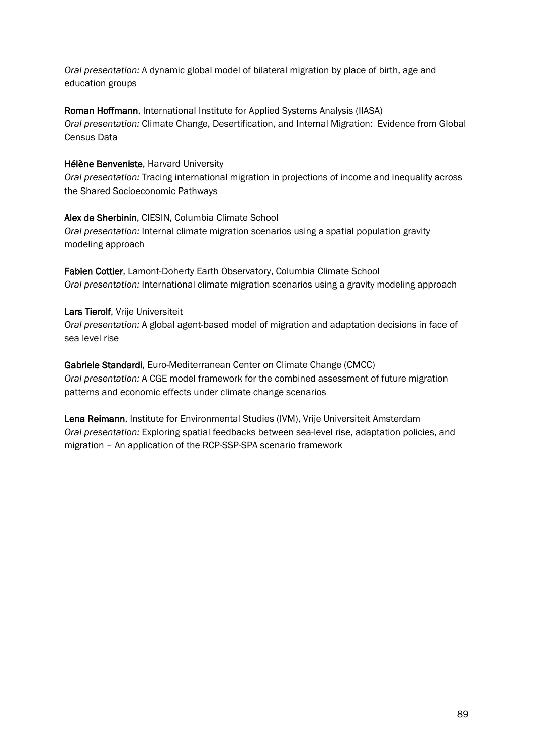*Oral presentation:* A dynamic global model of bilateral migration by place of birth, age and education groups

Roman Hoffmann, International Institute for Applied Systems Analysis (IIASA) *Oral presentation:* Climate Change, Desertification, and Internal Migration: Evidence from Global Census Data

# Hélène Benveniste, Harvard University

*Oral presentation:* Tracing international migration in projections of income and inequality across the Shared Socioeconomic Pathways

# Alex de Sherbinin, CIESIN, Columbia Climate School

*Oral presentation:* Internal climate migration scenarios using a spatial population gravity modeling approach

Fabien Cottier, Lamont-Doherty Earth Observatory, Columbia Climate School *Oral presentation:* International climate migration scenarios using a gravity modeling approach

# Lars Tierolf, Vrije Universiteit

*Oral presentation:* A global agent-based model of migration and adaptation decisions in face of sea level rise

Gabriele Standardi, Euro-Mediterranean Center on Climate Change (CMCC) *Oral presentation:* A CGE model framework for the combined assessment of future migration patterns and economic effects under climate change scenarios

Lena Reimann, Institute for Environmental Studies (IVM), Vrije Universiteit Amsterdam *Oral presentation:* Exploring spatial feedbacks between sea-level rise, adaptation policies, and migration – An application of the RCP-SSP-SPA scenario framework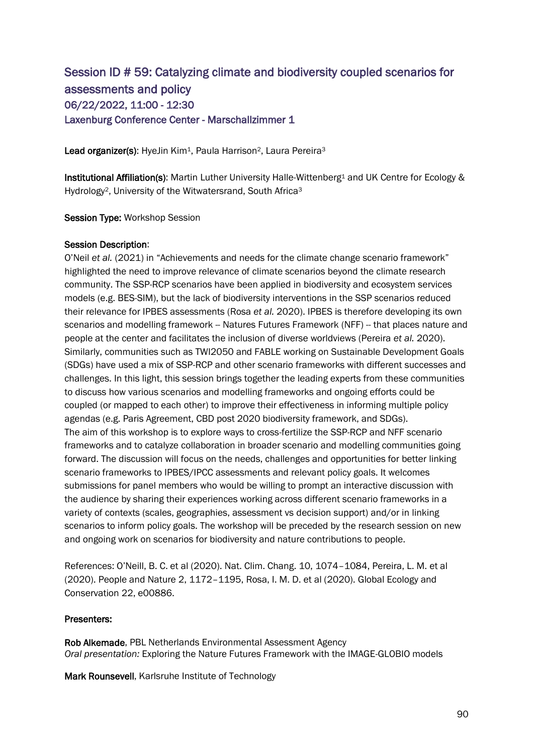# Session ID # 59: Catalyzing climate and biodiversity coupled scenarios for assessments and policy 06/22/2022, 11:00 - 12:30 Laxenburg Conference Center - Marschallzimmer 1

Lead organizer(s): HyeJin Kim<sup>1</sup>, Paula Harrison<sup>2</sup>, Laura Pereira<sup>3</sup>

Institutional Affiliation(s): Martin Luther University Halle-Wittenberg<sup>1</sup> and UK Centre for Ecology & Hydrology<sup>2</sup>, University of the Witwatersrand, South Africa<sup>3</sup>

Session Type: Workshop Session

### Session Description:

O'Neil *et al.* (2021) in "Achievements and needs for the climate change scenario framework" highlighted the need to improve relevance of climate scenarios beyond the climate research community. The SSP-RCP scenarios have been applied in biodiversity and ecosystem services models (e.g. BES-SIM), but the lack of biodiversity interventions in the SSP scenarios reduced their relevance for IPBES assessments (Rosa *et al.* 2020). IPBES is therefore developing its own scenarios and modelling framework -- Natures Futures Framework (NFF) -- that places nature and people at the center and facilitates the inclusion of diverse worldviews (Pereira *et al.* 2020). Similarly, communities such as TWI2050 and FABLE working on Sustainable Development Goals (SDGs) have used a mix of SSP-RCP and other scenario frameworks with different successes and challenges. In this light, this session brings together the leading experts from these communities to discuss how various scenarios and modelling frameworks and ongoing efforts could be coupled (or mapped to each other) to improve their effectiveness in informing multiple policy agendas (e.g. Paris Agreement, CBD post 2020 biodiversity framework, and SDGs). The aim of this workshop is to explore ways to cross-fertilize the SSP-RCP and NFF scenario frameworks and to catalyze collaboration in broader scenario and modelling communities going forward. The discussion will focus on the needs, challenges and opportunities for better linking scenario frameworks to IPBES/IPCC assessments and relevant policy goals. It welcomes submissions for panel members who would be willing to prompt an interactive discussion with the audience by sharing their experiences working across different scenario frameworks in a variety of contexts (scales, geographies, assessment vs decision support) and/or in linking scenarios to inform policy goals. The workshop will be preceded by the research session on new and ongoing work on scenarios for biodiversity and nature contributions to people.

References: O'Neill, B. C. et al (2020). Nat. Clim. Chang. 10, 1074–1084, Pereira, L. M. et al (2020). People and Nature 2, 1172–1195, Rosa, I. M. D. et al (2020). Global Ecology and Conservation 22, e00886.

# Presenters:

Rob Alkemade, PBL Netherlands Environmental Assessment Agency *Oral presentation:* Exploring the Nature Futures Framework with the IMAGE-GLOBIO models

Mark Rounsevell, Karlsruhe Institute of Technology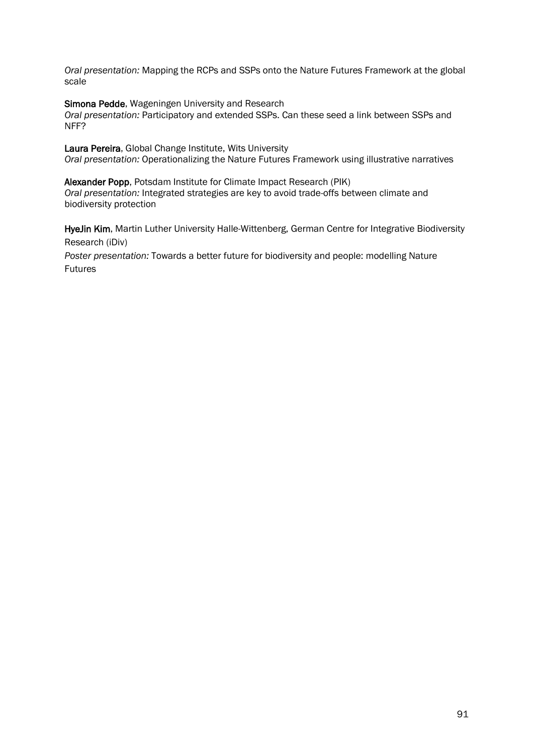*Oral presentation:* Mapping the RCPs and SSPs onto the Nature Futures Framework at the global scale

Simona Pedde, Wageningen University and Research

*Oral presentation:* Participatory and extended SSPs. Can these seed a link between SSPs and NFF?

Laura Pereira, Global Change Institute, Wits University *Oral presentation:* Operationalizing the Nature Futures Framework using illustrative narratives

Alexander Popp, Potsdam Institute for Climate Impact Research (PIK) *Oral presentation:* Integrated strategies are key to avoid trade-offs between climate and biodiversity protection

HyeJin Kim, Martin Luther University Halle-Wittenberg, German Centre for Integrative Biodiversity Research (iDiv)

*Poster presentation:* Towards a better future for biodiversity and people: modelling Nature Futures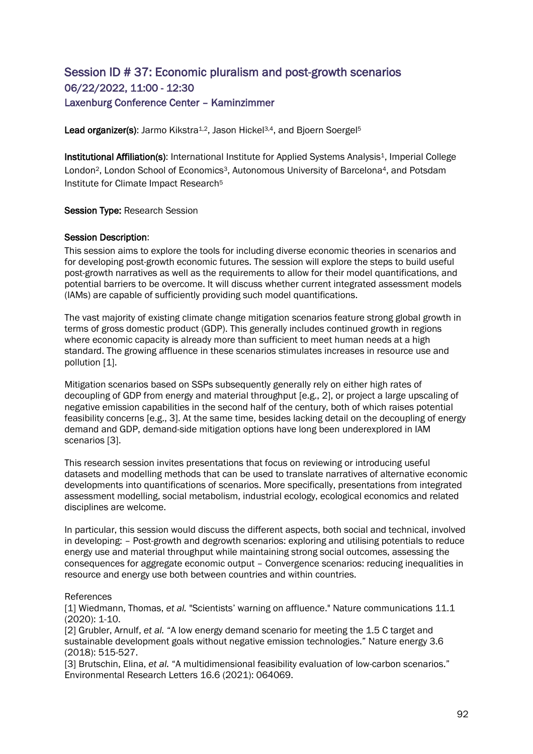# Session ID # 37: Economic pluralism and post-growth scenarios 06/22/2022, 11:00 - 12:30 Laxenburg Conference Center – Kaminzimmer

Lead organizer(s): Jarmo Kikstra<sup>1,2</sup>, Jason Hickel<sup>3,4</sup>, and Bjoern Soergel<sup>5</sup>

Institutional Affiliation(s): International Institute for Applied Systems Analysis<sup>1</sup>, Imperial College London<sup>2</sup>, London School of Economics<sup>3</sup>, Autonomous University of Barcelona<sup>4</sup>, and Potsdam Institute for Climate Impact Research<sup>5</sup>

Session Type: Research Session

### Session Description:

This session aims to explore the tools for including diverse economic theories in scenarios and for developing post-growth economic futures. The session will explore the steps to build useful post-growth narratives as well as the requirements to allow for their model quantifications, and potential barriers to be overcome. It will discuss whether current integrated assessment models (IAMs) are capable of sufficiently providing such model quantifications.

The vast majority of existing climate change mitigation scenarios feature strong global growth in terms of gross domestic product (GDP). This generally includes continued growth in regions where economic capacity is already more than sufficient to meet human needs at a high standard. The growing affluence in these scenarios stimulates increases in resource use and pollution [1].

Mitigation scenarios based on SSPs subsequently generally rely on either high rates of decoupling of GDP from energy and material throughput [e.g., 2], or project a large upscaling of negative emission capabilities in the second half of the century, both of which raises potential feasibility concerns [e.g., 3]. At the same time, besides lacking detail on the decoupling of energy demand and GDP, demand-side mitigation options have long been underexplored in IAM scenarios [3].

This research session invites presentations that focus on reviewing or introducing useful datasets and modelling methods that can be used to translate narratives of alternative economic developments into quantifications of scenarios. More specifically, presentations from integrated assessment modelling, social metabolism, industrial ecology, ecological economics and related disciplines are welcome.

In particular, this session would discuss the different aspects, both social and technical, involved in developing: – Post-growth and degrowth scenarios: exploring and utilising potentials to reduce energy use and material throughput while maintaining strong social outcomes, assessing the consequences for aggregate economic output – Convergence scenarios: reducing inequalities in resource and energy use both between countries and within countries.

### References

[1] Wiedmann, Thomas, *et al.* "Scientists' warning on affluence." Nature communications 11.1 (2020): 1-10.

[2] Grubler, Arnulf, *et al.* "A low energy demand scenario for meeting the 1.5 C target and sustainable development goals without negative emission technologies." Nature energy 3.6 (2018): 515-527.

[3] Brutschin, Elina, *et al.* "A multidimensional feasibility evaluation of low-carbon scenarios." Environmental Research Letters 16.6 (2021): 064069.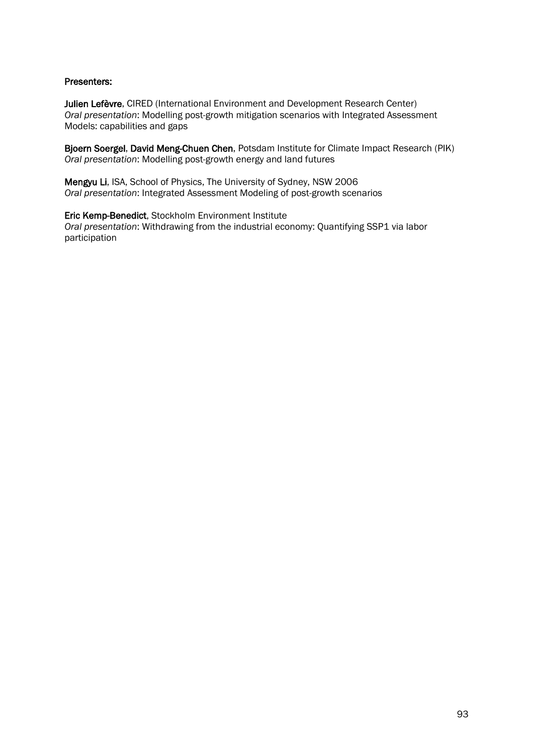# Presenters:

Julien Lefèvre, CIRED (International Environment and Development Research Center) *Oral presentation*: Modelling post-growth mitigation scenarios with Integrated Assessment Models: capabilities and gaps

Bjoern Soergel, David Meng-Chuen Chen, Potsdam Institute for Climate Impact Research (PIK) *Oral presentation*: Modelling post-growth energy and land futures

Mengyu Li, ISA, School of Physics, The University of Sydney, NSW 2006 *Oral presentation*: Integrated Assessment Modeling of post-growth scenarios

Eric Kemp-Benedict, Stockholm Environment Institute *Oral presentation*: Withdrawing from the industrial economy: Quantifying SSP1 via labor participation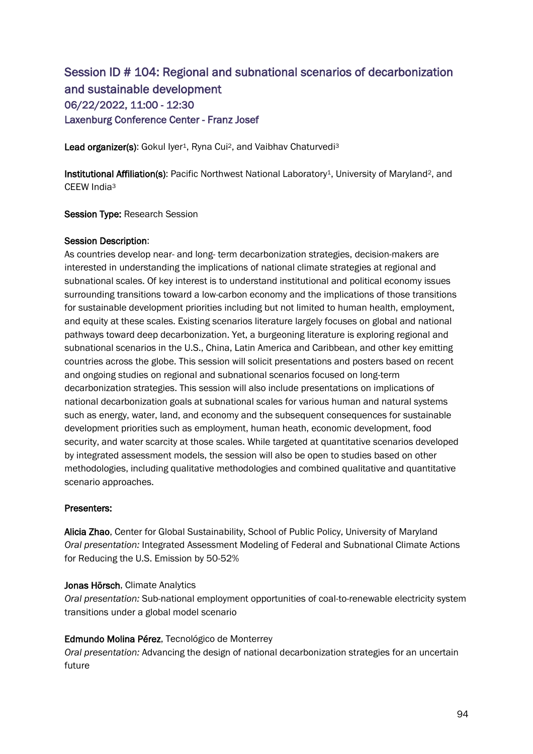# Session ID # 104: Regional and subnational scenarios of decarbonization and sustainable development 06/22/2022, 11:00 - 12:30 Laxenburg Conference Center - Franz Josef

Lead organizer(s): Gokul Iyer<sup>1</sup>, Ryna Cui<sup>2</sup>, and Vaibhav Chaturvedi<sup>3</sup>

Institutional Affiliation(s): Pacific Northwest National Laboratory<sup>1</sup>, University of Maryland<sup>2</sup>, and CEEW India<sup>3</sup>

Session Type: Research Session

### Session Description:

As countries develop near- and long- term decarbonization strategies, decision-makers are interested in understanding the implications of national climate strategies at regional and subnational scales. Of key interest is to understand institutional and political economy issues surrounding transitions toward a low-carbon economy and the implications of those transitions for sustainable development priorities including but not limited to human health, employment, and equity at these scales. Existing scenarios literature largely focuses on global and national pathways toward deep decarbonization. Yet, a burgeoning literature is exploring regional and subnational scenarios in the U.S., China, Latin America and Caribbean, and other key emitting countries across the globe. This session will solicit presentations and posters based on recent and ongoing studies on regional and subnational scenarios focused on long-term decarbonization strategies. This session will also include presentations on implications of national decarbonization goals at subnational scales for various human and natural systems such as energy, water, land, and economy and the subsequent consequences for sustainable development priorities such as employment, human heath, economic development, food security, and water scarcity at those scales. While targeted at quantitative scenarios developed by integrated assessment models, the session will also be open to studies based on other methodologies, including qualitative methodologies and combined qualitative and quantitative scenario approaches.

# Presenters:

Alicia Zhao, Center for Global Sustainability, School of Public Policy, University of Maryland *Oral presentation:* Integrated Assessment Modeling of Federal and Subnational Climate Actions for Reducing the U.S. Emission by 50-52%

### Jonas Hörsch, Climate Analytics

*Oral presentation:* Sub-national employment opportunities of coal-to-renewable electricity system transitions under a global model scenario

# Edmundo Molina Pérez, Tecnológico de Monterrey

*Oral presentation:* Advancing the design of national decarbonization strategies for an uncertain future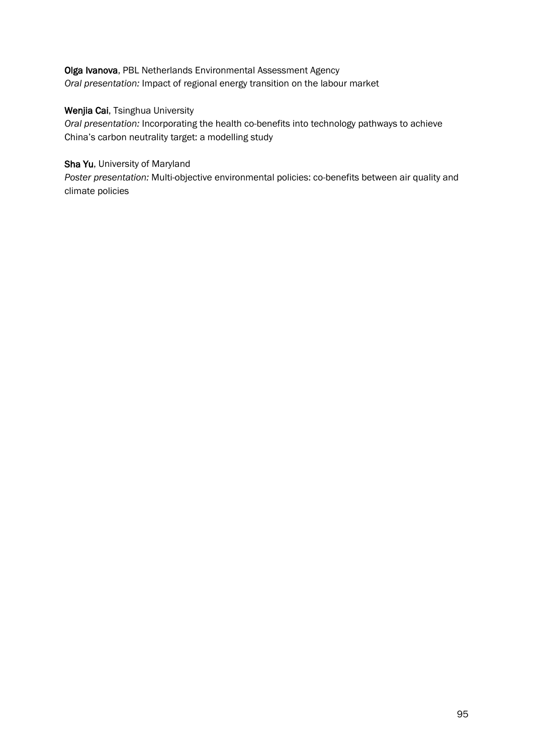# Olga Ivanova, PBL Netherlands Environmental Assessment Agency *Oral presentation:* Impact of regional energy transition on the labour market

# Wenjia Cai, Tsinghua University

*Oral presentation:* Incorporating the health co-benefits into technology pathways to achieve China's carbon neutrality target: a modelling study

# Sha Yu, University of Maryland

*Poster presentation:* Multi-objective environmental policies: co-benefits between air quality and climate policies